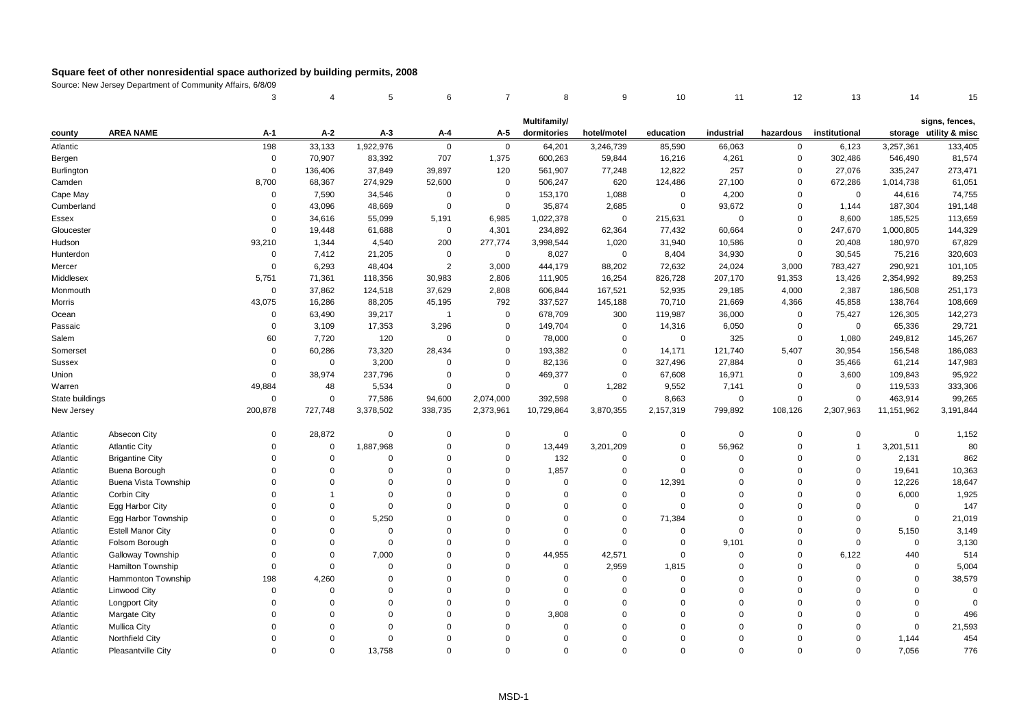|                   |                             | 3              | 4           | 5           | 6                | $\overline{7}$ | 8            | 9           | 10             | 11          | 12          | 13             | 14          | 15                     |
|-------------------|-----------------------------|----------------|-------------|-------------|------------------|----------------|--------------|-------------|----------------|-------------|-------------|----------------|-------------|------------------------|
|                   |                             |                |             |             |                  |                | Multifamily/ |             |                |             |             |                |             | signs, fences,         |
| county            | <b>AREA NAME</b>            | $A-1$          | $A-2$       | $A-3$       | A-4              | A-5            | dormitories  | hotel/motel | education      | industrial  | hazardous   | institutional  |             | storage utility & misc |
| Atlantic          |                             | 198            | 33,133      | 1,922,976   | $\mathbf 0$      | $\mathbf 0$    | 64,201       | 3,246,739   | 85,590         | 66,063      | $\mathbf 0$ | 6,123          | 3,257,361   | 133,405                |
| Bergen            |                             | $\mathsf 0$    | 70,907      | 83,392      | 707              | 1,375          | 600,263      | 59,844      | 16,216         | 4,261       | $\mathbf 0$ | 302,486        | 546,490     | 81,574                 |
| <b>Burlington</b> |                             | $\Omega$       | 136,406     | 37,849      | 39,897           | 120            | 561,907      | 77,248      | 12,822         | 257         | $\Omega$    | 27,076         | 335,247     | 273,471                |
| Camden            |                             | 8,700          | 68,367      | 274,929     | 52,600           | $\mathsf 0$    | 506,247      | 620         | 124,486        | 27,100      | $\Omega$    | 672,286        | 1,014,738   | 61,051                 |
| Cape May          |                             | $\mathbf 0$    | 7,590       | 34,546      | $\mathbf 0$      | $\mathbf 0$    | 153,170      | 1,088       | $\Omega$       | 4,200       | $\Omega$    | $\mathbf 0$    | 44,616      | 74,755                 |
| Cumberland        |                             | $\Omega$       | 43,096      | 48,669      | $\mathbf 0$      | $\mathbf 0$    | 35,874       | 2,685       | $\mathbf 0$    | 93,672      | $\Omega$    | 1,144          | 187,304     | 191,148                |
| Essex             |                             | $\Omega$       | 34,616      | 55,099      | 5,191            | 6,985          | 1,022,378    | $\mathbf 0$ | 215,631        | $\mathbf 0$ | $\mathbf 0$ | 8,600          | 185,525     | 113,659                |
| Gloucester        |                             | $\Omega$       | 19,448      | 61,688      | $\mathbf 0$      | 4,301          | 234,892      | 62,364      | 77,432         | 60,664      | $\mathbf 0$ | 247,670        | 1,000,805   | 144,329                |
| Hudson            |                             | 93,210         | 1,344       | 4,540       | 200              | 277,774        | 3,998,544    | 1,020       | 31,940         | 10,586      | $\Omega$    | 20,408         | 180,970     | 67,829                 |
| Hunterdon         |                             | $\mathbf 0$    | 7,412       | 21,205      | $\mathbf 0$      | $\mathbf 0$    | 8,027        | $\mathbf 0$ | 8,404          | 34,930      | $\Omega$    | 30,545         | 75,216      | 320,603                |
| Mercer            |                             | $\overline{0}$ | 6,293       | 48,404      | $\overline{2}$   | 3,000          | 444,179      | 88,202      | 72,632         | 24,024      | 3,000       | 783,427        | 290,921     | 101,105                |
| Middlesex         |                             | 5,751          | 71,361      | 118,356     | 30,983           | 2,806          | 111,905      | 16,254      | 826,728        | 207,170     | 91,353      | 13,426         | 2,354,992   | 89,253                 |
| Monmouth          |                             | $\mathbf 0$    | 37,862      | 124,518     | 37,629           | 2,808          | 606,844      | 167,521     | 52,935         | 29,185      | 4,000       | 2,387          | 186,508     | 251,173                |
| Morris            |                             | 43,075         | 16,286      | 88,205      | 45,195           | 792            | 337,527      | 145,188     | 70,710         | 21,669      | 4,366       | 45,858         | 138,764     | 108,669                |
| Ocean             |                             | $\mathbf 0$    | 63,490      | 39,217      | $\overline{1}$   | $\mathbf 0$    | 678,709      | 300         | 119,987        | 36,000      | $\Omega$    | 75,427         | 126,305     | 142,273                |
| Passaic           |                             | $\mathbf 0$    | 3,109       | 17,353      | 3,296            | 0              | 149,704      | $\mathbf 0$ | 14,316         | 6,050       | 0           | 0              | 65,336      | 29,721                 |
| Salem             |                             | 60             | 7,720       | 120         | $\boldsymbol{0}$ | $\mathbf 0$    | 78,000       | $\mathbf 0$ | $\mathbf 0$    | 325         | $\mathbf 0$ | 1,080          | 249,812     | 145,267                |
| Somerset          |                             | $\Omega$       | 60,286      | 73,320      | 28,434           | $\mathbf 0$    | 193,382      | 0           | 14,171         | 121,740     | 5,407       | 30,954         | 156,548     | 186,083                |
| Sussex            |                             | $\Omega$       | $\mathbf 0$ | 3,200       | $\mathbf 0$      | $\mathbf 0$    | 82,136       | $\mathbf 0$ | 327,496        | 27,884      | $\Omega$    | 35,466         | 61,214      | 147,983                |
| Union             |                             | $\Omega$       | 38,974      | 237,796     | $\mathbf 0$      | $\mathbf 0$    | 469,377      | 0           | 67,608         | 16,971      | $\Omega$    | 3,600          | 109,843     | 95,922                 |
| Warren            |                             | 49,884         | 48          | 5,534       | $\mathbf 0$      | $\mathbf 0$    | $\mathbf 0$  | 1,282       | 9,552          | 7,141       | $\Omega$    | 0              | 119,533     | 333,306                |
| State buildings   |                             | $\mathsf 0$    | $\mathsf 0$ | 77,586      | 94,600           | 2,074,000      | 392,598      | $\mathbf 0$ | 8,663          | $\mathbf 0$ | $\mathbf 0$ | 0              | 463,914     | 99,265                 |
| New Jersey        |                             | 200,878        | 727,748     | 3,378,502   | 338,735          | 2,373,961      | 10,729,864   | 3,870,355   | 2,157,319      | 799,892     | 108,126     | 2,307,963      | 11,151,962  | 3,191,844              |
| Atlantic          | Absecon City                | $\Omega$       | 28,872      | $\mathbf 0$ | $\mathbf 0$      | $\mathbf 0$    | $\mathbf 0$  | 0           | $\mathbf 0$    | $\Omega$    | $\mathbf 0$ | 0              | $\mathbf 0$ | 1,152                  |
| Atlantic          | <b>Atlantic City</b>        | $\Omega$       | $\mathsf 0$ | 1,887,968   | $\mathbf 0$      | $\mathbf 0$    | 13,449       | 3,201,209   | $\mathbf 0$    | 56,962      | $\mathbf 0$ | $\overline{1}$ | 3,201,511   | 80                     |
| Atlantic          | <b>Brigantine City</b>      | $\Omega$       | $\mathbf 0$ | $\Omega$    | $\Omega$         | $\Omega$       | 132          | $\mathbf 0$ | $\Omega$       | $\Omega$    | $\Omega$    | $\Omega$       | 2,131       | 862                    |
| Atlantic          | Buena Borough               | $\Omega$       | $\Omega$    | $\Omega$    | $\Omega$         | $\Omega$       | 1,857        | 0           | $\Omega$       | $\Omega$    | $\Omega$    | $\mathbf 0$    | 19,641      | 10,363                 |
| Atlantic          | <b>Buena Vista Township</b> | $\Omega$       | $\Omega$    | $\Omega$    | $\Omega$         | $\Omega$       | $\mathbf 0$  | $\Omega$    | 12,391         | $\Omega$    | $\Omega$    | $\mathbf 0$    | 12,226      | 18,647                 |
| Atlantic          | Corbin City                 | $\Omega$       | -1          | $\Omega$    | $\Omega$         | $\Omega$       | $\Omega$     | $\mathbf 0$ | $\Omega$       | $\Omega$    | $\Omega$    | $\Omega$       | 6,000       | 1,925                  |
| Atlantic          | Egg Harbor City             | $\Omega$       | $\Omega$    | $\mathbf 0$ | $\Omega$         | $\Omega$       | $\Omega$     | $\Omega$    | $\mathbf 0$    | $\Omega$    | $\Omega$    | $\Omega$       | $\mathbf 0$ | 147                    |
| Atlantic          | Egg Harbor Township         | $\Omega$       | $\Omega$    | 5,250       | $\Omega$         | $\Omega$       | $\Omega$     | $\Omega$    | 71,384         | $\Omega$    | $\Omega$    | $\mathbf 0$    | $\mathbf 0$ | 21,019                 |
| Atlantic          | <b>Estell Manor City</b>    | $\Omega$       | $\mathbf 0$ | $\mathbf 0$ | $\mathbf 0$      | $\Omega$       | $\mathbf 0$  | $\mathbf 0$ | $\overline{0}$ | $\Omega$    | $\Omega$    | 0              | 5,150       | 3,149                  |
| Atlantic          | Folsom Borough              | $\Omega$       | $\Omega$    | $\Omega$    | $\Omega$         | $\Omega$       | $\Omega$     | $\mathbf 0$ | $\mathbf 0$    | 9,101       | $\Omega$    | $\mathbf 0$    | $\mathbf 0$ | 3,130                  |
| Atlantic          | Galloway Township           | $\Omega$       | $\Omega$    | 7,000       | $\Omega$         | $\Omega$       | 44,955       | 42,571      | $\Omega$       | $\Omega$    | $\Omega$    | 6,122          | 440         | 514                    |
| Atlantic          | Hamilton Township           | $\Omega$       | $\Omega$    | $\mathbf 0$ | $\mathbf 0$      | $\Omega$       | $\mathbf 0$  | 2,959       | 1,815          | $\mathbf 0$ | $\Omega$    | 0              | $\mathbf 0$ | 5,004                  |
| Atlantic          | Hammonton Township          | 198            | 4,260       | $\mathbf 0$ | $\Omega$         | $\Omega$       | $\Omega$     | $\mathbf 0$ | $\mathbf 0$    | $\Omega$    | $\Omega$    | $\mathbf 0$    | $\mathbf 0$ | 38,579                 |
| Atlantic          | <b>Linwood City</b>         | $\Omega$       | $\Omega$    | $\Omega$    | $\Omega$         | $\Omega$       | $\mathbf 0$  | $\Omega$    | $\Omega$       | $\Omega$    | $\Omega$    | $\Omega$       | $\mathbf 0$ | $\Omega$               |
| Atlantic          | Longport City               | $\Omega$       | $\Omega$    | $\Omega$    | $\mathbf 0$      | $\Omega$       | $\mathbf 0$  | $\Omega$    | $\Omega$       | $\Omega$    | $\Omega$    | $\Omega$       | $\mathbf 0$ | $\mathbf 0$            |
| Atlantic          | Margate City                | $\Omega$       | $\Omega$    | $\Omega$    | $\Omega$         | $\Omega$       | 3,808        | $\Omega$    | $\Omega$       | $\Omega$    | $\Omega$    | $\Omega$       | $\Omega$    | 496                    |
| Atlantic          | <b>Mullica City</b>         | $\Omega$       | $\Omega$    | $\Omega$    | $\Omega$         | $\Omega$       | $\mathbf 0$  | $\Omega$    | $\Omega$       | $\Omega$    | $\Omega$    | $\Omega$       | $\mathbf 0$ | 21,593                 |
| Atlantic          | Northfield City             | $\Omega$       | $\Omega$    | $\Omega$    | $\Omega$         | $\Omega$       | $\Omega$     | $\Omega$    | $\Omega$       | $\Omega$    | $\Omega$    | $\mathbf 0$    | 1,144       | 454                    |
| Atlantic          | Pleasantville City          | $\Omega$       | $\Omega$    | 13.758      | $\Omega$         | $\Omega$       | $\Omega$     | $\Omega$    | $\Omega$       | $\Omega$    | $\Omega$    | $\Omega$       | 7.056       | 776                    |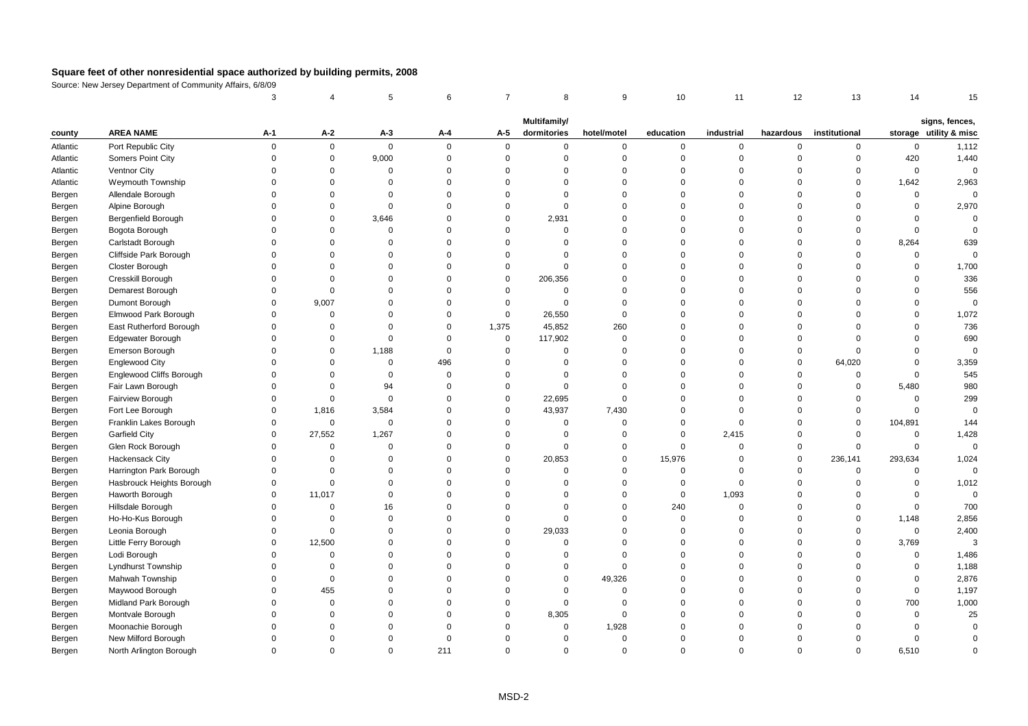|          |                                 | 3           |              | 5           | 6           | $\overline{7}$ | 8            | 9              | 10          | 11          | 12             | 13            | 14          | 15                     |
|----------|---------------------------------|-------------|--------------|-------------|-------------|----------------|--------------|----------------|-------------|-------------|----------------|---------------|-------------|------------------------|
|          |                                 |             |              |             |             |                | Multifamily/ |                |             |             |                |               |             | signs, fences,         |
| county   | <b>AREA NAME</b>                | A-1         | A-2          | A-3         | A-4         | A-5            | dormitories  | hotel/motel    | education   | industrial  | hazardous      | institutional |             | storage utility & misc |
| Atlantic | Port Republic City              | $\mathbf 0$ | $\mathbf 0$  | $\mathsf 0$ | $\Omega$    | $\mathbf 0$    | $\mathsf{O}$ | $\mathbf 0$    | $\mathbf 0$ | 0           | $\mathbf 0$    | $\mathbf 0$   | $\mathsf 0$ | 1,112                  |
| Atlantic | Somers Point City               | $\mathbf 0$ | $\mathbf 0$  | 9,000       | $\mathbf 0$ | $\mathsf 0$    | $\mathbf 0$  | $\mathbf 0$    | $\mathbf 0$ | $\mathbf 0$ | $\overline{0}$ | $\mathsf 0$   | 420         | 1,440                  |
| Atlantic | Ventnor City                    | $\Omega$    | $\Omega$     | $\Omega$    | $\Omega$    | $\Omega$       | $\Omega$     | $\mathbf 0$    | $\Omega$    | $\mathbf 0$ | $\Omega$       | $\mathbf 0$   | $\mathbf 0$ | $\mathbf 0$            |
| Atlantic | Weymouth Township               | $\Omega$    | $\Omega$     | $\Omega$    | $\Omega$    | $\Omega$       | $\Omega$     | $\mathbf 0$    | $\Omega$    | $\mathbf 0$ | $\Omega$       | $\Omega$      | 1,642       | 2,963                  |
| Bergen   | Allendale Borough               | $\Omega$    | $\Omega$     | $\mathbf 0$ | $\Omega$    | $\Omega$       | $\Omega$     | $\mathbf 0$    | $\Omega$    | $\mathbf 0$ | $\Omega$       | $\Omega$      | $\mathsf 0$ | $\mathbf 0$            |
| Bergen   | Alpine Borough                  | $\Omega$    | $\Omega$     | $\Omega$    | $\Omega$    | $\Omega$       | $\Omega$     | $\mathbf 0$    | $\Omega$    | $\mathbf 0$ | $\Omega$       | $\Omega$      | $\mathsf 0$ | 2,970                  |
| Bergen   | Bergenfield Borough             | $\Omega$    | $\Omega$     | 3,646       | $\Omega$    | $\mathbf 0$    | 2,931        | $\mathbf 0$    | $\Omega$    | $\Omega$    | $\Omega$       | $\Omega$      | $\mathbf 0$ | $\Omega$               |
| Bergen   | Bogota Borough                  | $\Omega$    | $\Omega$     | $\Omega$    | $\Omega$    | $\Omega$       | $\Omega$     | $\mathbf 0$    | $\Omega$    | $\mathbf 0$ | $\Omega$       | $\Omega$      | $\mathbf 0$ | $\Omega$               |
| Bergen   | Carlstadt Borough               | $\Omega$    | $\Omega$     | $\Omega$    | $\Omega$    | $\Omega$       | $\Omega$     | $\Omega$       | $\Omega$    | $\Omega$    | $\Omega$       | $\Omega$      | 8,264       | 639                    |
| Bergen   | Cliffside Park Borough          | $\Omega$    | $\Omega$     | $\Omega$    | $\Omega$    | $\mathbf 0$    | $\Omega$     | $\mathbf 0$    | $\Omega$    | $\mathbf 0$ | $\Omega$       | $\Omega$      | $\mathbf 0$ | $\Omega$               |
| Bergen   | <b>Closter Borough</b>          | $\Omega$    | $\Omega$     | $\Omega$    | $\Omega$    | $\mathbf 0$    | $\Omega$     | $\mathbf 0$    | $\Omega$    | $\mathbf 0$ | $\Omega$       | $\Omega$      | 0           | 1,700                  |
| Bergen   | Cresskill Borough               | $\mathbf 0$ | $\Omega$     | $\Omega$    | $\Omega$    | $\mathbf 0$    | 206,356      | $\mathbf 0$    | $\Omega$    | $\Omega$    | $\Omega$       | $\Omega$      | $\mathbf 0$ | 336                    |
| Bergen   | Demarest Borough                | $\Omega$    | $\mathbf 0$  | $\Omega$    | $\Omega$    | $\mathbf 0$    | $\Omega$     | $\mathbf 0$    | $\Omega$    | $\mathbf 0$ | $\Omega$       | $\Omega$      | $\Omega$    | 556                    |
| Bergen   | Dumont Borough                  | $\Omega$    | 9,007        | $\Omega$    | $\Omega$    | $\mathbf 0$    | $\Omega$     | $\mathbf 0$    | $\Omega$    | $\Omega$    | $\Omega$       | $\Omega$      | $\Omega$    | $\Omega$               |
| Bergen   | Elmwood Park Borough            | $\Omega$    | $\mathbf 0$  | $\Omega$    | $\Omega$    | $\mathbf 0$    | 26,550       | $\mathbf 0$    | $\Omega$    | $\mathbf 0$ | $\Omega$       | $\Omega$      | $\Omega$    | 1,072                  |
| Bergen   | East Rutherford Borough         | $\Omega$    | $\Omega$     | $\Omega$    | $\Omega$    | 1,375          | 45,852       | 260            | $\Omega$    | $\mathbf 0$ | $\Omega$       | $\Omega$      | $\Omega$    | 736                    |
| Bergen   | <b>Edgewater Borough</b>        | $\Omega$    | $\Omega$     | $\Omega$    | $\Omega$    | $\mathsf 0$    | 117,902      | $\mathbf 0$    | $\Omega$    | $\Omega$    | $\Omega$       | $\Omega$      | $\Omega$    | 690                    |
| Bergen   | Emerson Borough                 | $\Omega$    | $\mathsf 0$  | 1,188       | $\Omega$    | $\mathbf 0$    | $\mathbf 0$  | $\Omega$       | $\Omega$    | $\mathbf 0$ | $\mathbf 0$    | $\Omega$      | $\Omega$    | $\Omega$               |
| Bergen   | <b>Englewood City</b>           | $\Omega$    | $\mathbf 0$  | $\mathbf 0$ | 496         | $\mathbf 0$    | $\Omega$     | $\mathbf 0$    | $\Omega$    | $\Omega$    | $\overline{0}$ | 64,020        | $\mathbf 0$ | 3,359                  |
| Bergen   | <b>Englewood Cliffs Borough</b> | $\Omega$    | $\Omega$     | $\Omega$    | $\Omega$    | $\mathbf 0$    | $\Omega$     | $\mathbf 0$    | $\Omega$    | $\Omega$    | $\Omega$       | $\Omega$      | $\Omega$    | 545                    |
| Bergen   | Fair Lawn Borough               | $\Omega$    | $\Omega$     | 94          | $\Omega$    | $\mathbf 0$    | $\Omega$     | $\mathbf 0$    | $\Omega$    | $\mathbf 0$ | $\Omega$       | $\mathbf 0$   | 5,480       | 980                    |
| Bergen   | Fairview Borough                | $\mathbf 0$ | $\mathbf 0$  | $\mathbf 0$ | $\Omega$    | $\mathbf 0$    | 22,695       | $\mathbf 0$    | $\Omega$    | $\Omega$    | $\Omega$       | $\mathbf 0$   | $\mathsf 0$ | 299                    |
| Bergen   | Fort Lee Borough                | $\Omega$    | 1,816        | 3,584       | $\Omega$    | $\mathbf 0$    | 43,937       | 7,430          | $\Omega$    | $\mathbf 0$ | $\Omega$       | $\Omega$      | $\Omega$    | $\Omega$               |
| Bergen   | Franklin Lakes Borough          | $\Omega$    | $\mathbf 0$  | $\mathbf 0$ | $\Omega$    | $\Omega$       | $\Omega$     | $\mathbf 0$    | $\Omega$    | $\mathbf 0$ | $\Omega$       | $\mathbf 0$   | 104,891     | 144                    |
| Bergen   | Garfield City                   | $\Omega$    | 27,552       | 1,267       | $\Omega$    | $\mathbf 0$    | $\mathbf 0$  | $\mathbf 0$    | $\mathbf 0$ | 2,415       | $\mathbf 0$    | $\mathbf 0$   | $\mathsf 0$ | 1,428                  |
| Bergen   | Glen Rock Borough               | $\Omega$    | $\mathbf 0$  | $\Omega$    | $\Omega$    | $\mathbf 0$    | $\Omega$     | $\mathbf 0$    | $\mathbf 0$ | $\mathbf 0$ | $\mathbf 0$    | $\mathbf 0$   | $\mathbf 0$ | $\Omega$               |
| Bergen   | <b>Hackensack City</b>          | $\Omega$    | $\Omega$     | $\Omega$    | $\Omega$    | $\mathbf 0$    | 20,853       | $\mathbf 0$    | 15,976      | $\Omega$    | $\overline{0}$ | 236,141       | 293,634     | 1,024                  |
| Bergen   | Harrington Park Borough         | $\Omega$    | $\Omega$     | $\Omega$    | $\Omega$    | $\Omega$       | $\mathbf 0$  | $\mathbf 0$    | $\Omega$    | $\mathbf 0$ | $\overline{0}$ | $\mathbf 0$   | $\mathsf 0$ | $\Omega$               |
| Bergen   | Hasbrouck Heights Borough       | $\mathbf 0$ | $\mathbf 0$  | $\Omega$    | $\Omega$    | $\Omega$       | $\Omega$     | $\mathbf 0$    | $\mathbf 0$ | $\mathbf 0$ | $\Omega$       | $\Omega$      | $\Omega$    | 1,012                  |
| Bergen   | Haworth Borough                 | $\Omega$    | 11,017       | $\Omega$    | $\Omega$    | $\Omega$       | $\Omega$     | $\mathbf 0$    | $\mathbf 0$ | 1,093       | $\Omega$       | $\Omega$      | $\Omega$    | $\mathbf 0$            |
| Bergen   | Hillsdale Borough               | $\Omega$    | 0            | 16          | $\Omega$    | $\Omega$       | $\Omega$     | $\mathbf 0$    | 240         | $\mathbf 0$ | $\mathbf 0$    | $\mathbf 0$   | 0           | 700                    |
| Bergen   | Ho-Ho-Kus Borough               | $\mathbf 0$ | $\mathbf 0$  | $\mathbf 0$ | $\Omega$    | $\mathbf 0$    | $\mathbf 0$  | $\mathbf 0$    | $\mathbf 0$ | $\mathbf 0$ | $\mathbf 0$    | $\mathbf 0$   | 1,148       | 2,856                  |
| Bergen   | Leonia Borough                  | $\Omega$    | $\Omega$     | $\Omega$    | $\Omega$    | $\mathbf 0$    | 29,033       | $\mathbf 0$    | $\Omega$    | $\mathbf 0$ | $\Omega$       | $\Omega$      | $\mathsf 0$ | 2,400                  |
| Bergen   | Little Ferry Borough            | $\Omega$    | 12,500       | $\Omega$    | $\Omega$    | $\Omega$       | $\Omega$     | $\mathbf 0$    | $\Omega$    | $\Omega$    | $\Omega$       | $\mathbf 0$   | 3,769       | 3                      |
| Bergen   | Lodi Borough                    | $\Omega$    | $\Omega$     | $\Omega$    | $\Omega$    | $\Omega$       | $\Omega$     | $\mathbf 0$    | $\Omega$    | $\Omega$    | $\Omega$       | $\Omega$      | $\Omega$    | 1,486                  |
| Bergen   | Lyndhurst Township              | $\Omega$    | $\mathbf 0$  | $\Omega$    | $\Omega$    | $\Omega$       | $\Omega$     | $\mathbf 0$    | $\Omega$    | $\Omega$    | $\Omega$       | $\Omega$      | $\Omega$    | 1,188                  |
| Bergen   | Mahwah Township                 | $\Omega$    | $\mathbf{0}$ | $\Omega$    | $\Omega$    | $\Omega$       | $\Omega$     | 49,326         | $\Omega$    | $\Omega$    | $\Omega$       | $\Omega$      | $\Omega$    | 2,876                  |
| Bergen   | Maywood Borough                 | $\Omega$    | 455          | $\Omega$    | $\Omega$    | $\Omega$       | $\Omega$     | $\mathbf 0$    | $\Omega$    | $\mathbf 0$ | $\Omega$       | $\Omega$      | $\mathsf 0$ | 1,197                  |
| Bergen   | Midland Park Borough            | $\Omega$    | $\mathbf 0$  | $\mathbf 0$ | $\Omega$    | $\mathbf 0$    | $\mathbf 0$  | $\overline{0}$ | $\Omega$    | 0           | $\Omega$       | $\Omega$      | 700         | 1,000                  |
| Bergen   | Montvale Borough                | $\Omega$    | $\Omega$     | $\Omega$    | $\Omega$    | $\Omega$       | 8,305        | $\mathbf 0$    | $\Omega$    | $\Omega$    | $\Omega$       | $\Omega$      | $\mathbf 0$ | 25                     |
| Bergen   | Moonachie Borough               | $\Omega$    | $\Omega$     | $\Omega$    | $\Omega$    | $\Omega$       | $\Omega$     | 1,928          | $\Omega$    | $\Omega$    | $\Omega$       | $\Omega$      | $\mathbf 0$ | $\Omega$               |
| Bergen   | New Milford Borough             | $\Omega$    | $\Omega$     | $\Omega$    | $\Omega$    | $\Omega$       | $\Omega$     | $\mathbf 0$    | $\Omega$    | $\Omega$    | $\Omega$       | $\Omega$      | $\mathsf 0$ | $\Omega$               |
| Bergen   | North Arlington Borough         | $\Omega$    | $\Omega$     | $\Omega$    | 211         | $\Omega$       | $\Omega$     | $\Omega$       | $\Omega$    | $\Omega$    | $\Omega$       | $\Omega$      | 6.510       | $\Omega$               |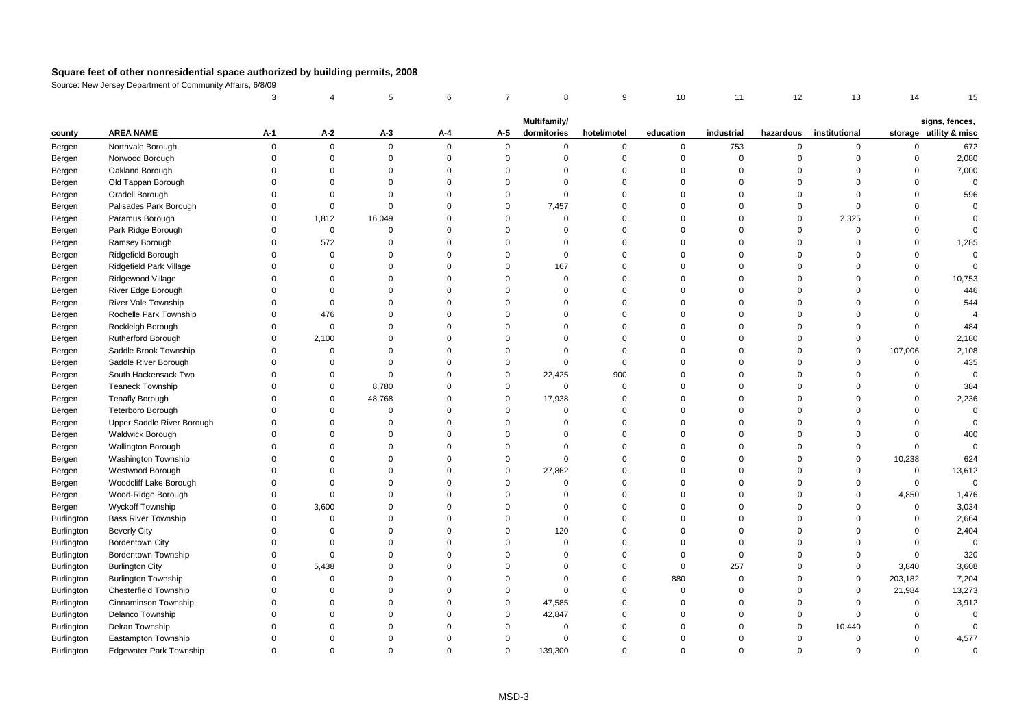|                                 |                                        | 3                       |                         | 5                    | 6                    | $\overline{7}$       | 8                           | 9                          | 10                   | 11                         | 12                   | 13                      | 14                         | 15                                       |
|---------------------------------|----------------------------------------|-------------------------|-------------------------|----------------------|----------------------|----------------------|-----------------------------|----------------------------|----------------------|----------------------------|----------------------|-------------------------|----------------------------|------------------------------------------|
|                                 |                                        |                         |                         |                      |                      |                      |                             |                            |                      |                            |                      |                         |                            |                                          |
| county                          | <b>AREA NAME</b>                       | $A-1$                   | $A-2$                   | A-3                  | Α-4                  | A-5                  | Multifamily/<br>dormitories | hotel/motel                | education            | industrial                 | hazardous            | institutional           |                            | signs, fences,<br>storage utility & misc |
| Bergen                          | Northvale Borough                      | $\Omega$                | $\mathbf 0$             | $\mathbf 0$          | $\Omega$             | $\mathbf{0}$         | 0                           | $\mathbf 0$                | 0                    | 753                        | $\mathsf 0$          | $\mathbf 0$             | $\mathbf 0$                | 672                                      |
| Bergen                          | Norwood Borough                        | $\Omega$                | $\mathbf 0$             | $\Omega$             | $\Omega$             | $\mathbf{0}$         | $\mathbf 0$                 | $\mathbf 0$                | $\mathbf 0$          | $\mathbf 0$                | $\Omega$             | $\Omega$                | $\Omega$                   | 2,080                                    |
| Bergen                          | Oakland Borough                        | $\Omega$                | $\mathbf 0$             | $\mathbf 0$          | $\Omega$             | $\Omega$             | $\Omega$                    | $\mathbf 0$                | $\Omega$             | $\mathbf 0$                | $\Omega$             | $\Omega$                | $\Omega$                   | 7,000                                    |
| Bergen                          | Old Tappan Borough                     | $\Omega$                | $\Omega$                | $\Omega$             | $\Omega$             | $\Omega$             | $\Omega$                    | $\mathbf 0$                | $\Omega$             | $\Omega$                   | $\Omega$             | $\Omega$                | $\Omega$                   | $\mathsf 0$                              |
| Bergen                          | Oradell Borough                        | $\Omega$                | 0                       | $\Omega$             | $\Omega$             | $\mathbf 0$          | $\Omega$                    | $\mathbf 0$                | $\Omega$             | $\mathbf 0$                | $\Omega$             | $\Omega$                | $\Omega$                   | 596                                      |
| Bergen                          | Palisades Park Borough                 | $\Omega$                | $\mathbf 0$             | $\Omega$             | $\Omega$             | $\mathbf 0$          | 7,457                       | $\mathbf 0$                | $\Omega$             | $\mathbf 0$                | $\Omega$             | $\Omega$                | $\Omega$                   | $\Omega$                                 |
| Bergen                          | Paramus Borough                        | $\Omega$                | 1,812                   | 16,049               | $\Omega$             | $\Omega$             | $\Omega$                    | $\mathbf 0$                | $\Omega$             | $\Omega$                   | $\Omega$             | 2,325                   | $\Omega$                   | $\Omega$                                 |
| Bergen                          | Park Ridge Borough                     | $\Omega$                | $\mathbf 0$             | $\mathbf 0$          | $\Omega$             | $\Omega$             | $\Omega$                    | $\mathbf 0$                | $\Omega$             | $\Omega$                   | $\Omega$             | $\Omega$                | $\Omega$                   | $\Omega$                                 |
| Bergen                          | Ramsey Borough                         | $\Omega$                | 572                     | $\Omega$             | $\Omega$             | $\Omega$             | $\Omega$                    | $\mathbf 0$                | $\Omega$             | $\Omega$                   | $\Omega$             | $\Omega$                | $\Omega$                   | 1,285                                    |
| Bergen                          | Ridgefield Borough                     | $\Omega$                | 0                       | $\Omega$             | $\Omega$             | $\Omega$             | $\Omega$                    | $\mathbf 0$                | $\Omega$             | $\Omega$                   | $\Omega$             | $\Omega$                | $\Omega$                   | $\mathsf 0$                              |
| Bergen                          | Ridgefield Park Village                | $\Omega$                | $\mathbf 0$             | $\Omega$             | $\Omega$             | $\Omega$             | 167                         | $\mathbf 0$                | $\Omega$             | $\Omega$                   | $\Omega$             | $\Omega$                | $\Omega$                   | $\Omega$                                 |
| Bergen                          | Ridgewood Village                      | $\Omega$                | $\Omega$                | $\Omega$             | $\Omega$             | $\Omega$             | $\Omega$                    | $\mathbf 0$                | $\Omega$             | $\mathbf 0$                | $\Omega$             | $\Omega$                | $\Omega$                   | 10,753                                   |
| Bergen                          | River Edge Borough                     | $\Omega$                | $\Omega$                | $\Omega$             | $\Omega$             | $\Omega$             | $\Omega$                    | $\mathbf 0$                | $\Omega$             | $\mathbf 0$                | $\Omega$             | $\Omega$                | $\Omega$                   | 446                                      |
| Bergen                          | River Vale Township                    | $\Omega$                | $\mathbf 0$             | $\Omega$             | $\Omega$             | $\Omega$             | $\Omega$                    | $\mathbf 0$                | $\Omega$             | $\Omega$                   | $\Omega$             | $\Omega$                | $\Omega$                   | 544                                      |
| Bergen                          | Rochelle Park Township                 | $\Omega$                | 476                     | $\Omega$             | $\Omega$             | $\Omega$             | $\Omega$                    | $\mathbf 0$                | $\Omega$             | $\Omega$                   | $\Omega$             | $\Omega$                | $\Omega$                   |                                          |
| Bergen                          | Rockleigh Borough                      | $\Omega$                | $\mathbf 0$             | $\Omega$             | $\Omega$             | $\Omega$             | $\Omega$                    | $\mathbf 0$                | $\Omega$             | $\Omega$                   | $\Omega$             | $\Omega$                | $\Omega$                   | 484                                      |
| Bergen                          | <b>Rutherford Borough</b>              | $\Omega$                | 2,100                   | $\Omega$             | $\Omega$             | $\Omega$             | $\Omega$                    | $\mathbf 0$                | $\Omega$             | $\mathbf 0$                | $\Omega$             | $\Omega$                | $\mathbf 0$                | 2,180                                    |
| Bergen                          | Saddle Brook Township                  | $\Omega$                | $\Omega$                | $\Omega$             | $\Omega$             | $\Omega$             | $\Omega$                    | $\mathbf 0$                | $\Omega$             | $\Omega$                   | $\Omega$             | $\mathbf 0$             | 107,006                    | 2,108                                    |
| Bergen                          | Saddle River Borough                   | $\Omega$                | $\Omega$                | $\Omega$             | $\Omega$             | $\mathbf 0$          | $\mathbf 0$                 | $\mathbf 0$                | $\Omega$             | $\Omega$                   | $\Omega$             | $\mathbf 0$             | $\mathsf 0$                | 435                                      |
| Bergen                          | South Hackensack Twp                   | $\Omega$                | $\Omega$                | $\mathbf 0$          | $\Omega$             | $\mathbf 0$          | 22,425                      | 900                        | $\Omega$             | $\Omega$                   | $\Omega$             | $\mathbf 0$             | $\mathsf 0$                | $\mathbf 0$                              |
| Bergen                          | <b>Teaneck Township</b>                | $\Omega$                | $\Omega$                | 8,780                | $\Omega$             | $\mathbf 0$          | $\Omega$                    | $\mathbf 0$                | $\Omega$             | $\Omega$                   | $\Omega$             | $\Omega$                | $\Omega$                   | 384                                      |
| Bergen                          | <b>Tenafly Borough</b>                 | $\Omega$                | $\mathbf 0$             | 48,768               | $\Omega$             | $\mathbf 0$          | 17,938                      | $\mathbf 0$                | $\Omega$             | $\Omega$                   | $\Omega$             | $\Omega$                | $\Omega$                   | 2,236                                    |
| Bergen                          | <b>Teterboro Borough</b>               | $\Omega$                | $\Omega$                | $\Omega$             | $\Omega$             | $\mathbf 0$          | $\Omega$                    | $\mathbf 0$                | $\Omega$             | $\mathbf 0$                | $\Omega$             | $\Omega$                | $\Omega$                   | $\mathbf 0$                              |
| Bergen                          | Upper Saddle River Borough             | $\Omega$                | $\Omega$                | $\Omega$             | $\Omega$             | $\Omega$             | $\Omega$                    | $\mathbf 0$                | $\Omega$             | $\Omega$                   | $\Omega$             | $\Omega$                | $\Omega$                   | $\mathbf 0$                              |
| Bergen                          | <b>Waldwick Borough</b>                | $\Omega$                | $\Omega$                | $\mathbf 0$          | $\Omega$             | $\Omega$             | $\Omega$                    | $\mathbf 0$                | $\Omega$             | $\Omega$                   | $\Omega$             | $\Omega$                | $\Omega$                   | 400                                      |
| Bergen                          | Wallington Borough                     | $\Omega$                | $\Omega$                | $\Omega$             | $\Omega$             | $\Omega$             | $\Omega$                    | $\mathbf 0$                | $\Omega$             | $\Omega$                   | $\Omega$             | $\mathbf 0$             | $\mathsf 0$                | $\mathbf 0$                              |
| Bergen                          | <b>Washington Township</b>             | $\Omega$                | $\Omega$                | $\Omega$             | $\Omega$             | $\Omega$             | $\Omega$                    | $\Omega$                   | $\Omega$             | $\Omega$                   | $\Omega$             | $\Omega$                | 10,238                     | 624                                      |
| Bergen                          | Westwood Borough                       | $\Omega$                | $\Omega$                | $\Omega$             | $\Omega$             | $\mathbf 0$          | 27,862                      | $\mathbf 0$                | $\Omega$             | $\Omega$                   | $\Omega$             | $\Omega$                | 0                          | 13,612                                   |
| Bergen                          | Woodcliff Lake Borough                 | $\Omega$                | $\Omega$                | $\Omega$             | $\Omega$             | $\Omega$             | $\mathbf 0$                 | $\mathbf 0$                | $\Omega$             | $\Omega$                   | $\Omega$             | 0                       | $\mathsf 0$                | $\mathsf 0$                              |
| Bergen                          | Wood-Ridge Borough                     | $\mathbf 0$             | $\mathbf 0$             | $\Omega$<br>$\Omega$ | $\Omega$<br>$\Omega$ | $\Omega$<br>$\Omega$ | $\Omega$<br>$\Omega$        | $\mathbf 0$                | $\Omega$<br>$\Omega$ | 0                          | $\Omega$<br>$\Omega$ | $\mathbf 0$<br>$\Omega$ | 4,850                      | 1,476                                    |
| Bergen                          | Wyckoff Township                       | $\mathbf 0$<br>$\Omega$ | 3,600<br>$\Omega$       | $\Omega$             | $\Omega$             | $\Omega$             | $\Omega$                    | $\mathbf 0$<br>$\Omega$    | $\Omega$             | 0<br>$\Omega$              | $\Omega$             | $\Omega$                | $\mathsf 0$<br>$\mathbf 0$ | 3,034<br>2,664                           |
| Burlington                      | <b>Bass River Township</b>             | $\Omega$                |                         | $\Omega$             | $\Omega$             | $\Omega$             |                             |                            |                      |                            | $\Omega$             | $\Omega$                |                            |                                          |
| <b>Burlington</b>               | <b>Beverly City</b>                    | $\Omega$                | $\Omega$<br>$\mathbf 0$ | $\Omega$             | $\Omega$             | $\Omega$             | 120<br>$\Omega$             | $\mathbf 0$<br>$\mathbf 0$ | $\Omega$<br>$\Omega$ | $\mathbf 0$<br>$\mathbf 0$ | $\Omega$             | $\Omega$                | $\mathbf 0$<br>$\mathbf 0$ | 2,404<br>$\mathbf 0$                     |
| <b>Burlington</b>               | Bordentown City<br>Bordentown Township | $\mathbf 0$             | $\mathbf 0$             | $\Omega$             | $\Omega$             | $\Omega$             | $\mathbf 0$                 | $\mathbf 0$                | $\Omega$             | $\mathbf 0$                | $\Omega$             | $\Omega$                | $\mathsf 0$                | 320                                      |
| Burlington                      | <b>Burlington City</b>                 | $\mathbf 0$             | 5,438                   | $\Omega$             | $\Omega$             | $\Omega$             | $\mathbf 0$                 | $\mathbf 0$                | $\mathbf 0$          | 257                        | $\Omega$             | $\mathbf 0$             | 3,840                      | 3,608                                    |
| Burlington<br>Burlington        | <b>Burlington Township</b>             | $\Omega$                | $\Omega$                | $\Omega$             | $\Omega$             | $\Omega$             | $\Omega$                    | $\mathbf 0$                | 880                  | $\mathbf 0$                | $\Omega$             | $\mathbf 0$             | 203,182                    | 7,204                                    |
|                                 | <b>Chesterfield Township</b>           | $\Omega$                | $\Omega$                | $\Omega$             | $\Omega$             | $\mathbf 0$          | $\Omega$                    | $\mathbf 0$                | $\Omega$             | 0                          | $\Omega$             | $\Omega$                | 21,984                     | 13,273                                   |
| <b>Burlington</b>               | Cinnaminson Township                   | $\Omega$                | $\mathbf 0$             | $\Omega$             | $\Omega$             | $\mathbf 0$          | 47,585                      | $\mathbf 0$                | $\Omega$             | $\mathbf 0$                | $\Omega$             | $\Omega$                | 0                          | 3,912                                    |
| <b>Burlington</b><br>Burlington | Delanco Township                       | $\Omega$                | $\Omega$                | $\Omega$             | $\Omega$             | $\mathbf 0$          | 42,847                      | $\mathbf 0$                | $\Omega$             | $\mathbf 0$                | $\overline{0}$       | $\mathbf 0$             | $\mathbf 0$                | $\mathbf 0$                              |
| Burlington                      | Delran Township                        | $\Omega$                | $\Omega$                | $\mathbf 0$          | $\Omega$             | $\mathbf 0$          | $\mathbf 0$                 | $\mathbf 0$                | $\Omega$             | 0                          | $\overline{0}$       | 10,440                  | $\mathbf 0$                | $\mathbf 0$                              |
| Burlington                      | Eastampton Township                    | $\Omega$                | $\Omega$                | $\Omega$             | $\Omega$             | $\Omega$             | $\Omega$                    | $\Omega$                   | $\Omega$             | $\mathbf 0$                | $\Omega$             | $\Omega$                | $\mathbf 0$                | 4,577                                    |
| <b>Burlington</b>               | <b>Edgewater Park Township</b>         | $\Omega$                | $\Omega$                | $\Omega$             | $\Omega$             | $\Omega$             | 139,300                     | $\Omega$                   | $\Omega$             | $\Omega$                   | $\Omega$             | $\Omega$                | $\Omega$                   | $\mathbf 0$                              |
|                                 |                                        |                         |                         |                      |                      |                      |                             |                            |                      |                            |                      |                         |                            |                                          |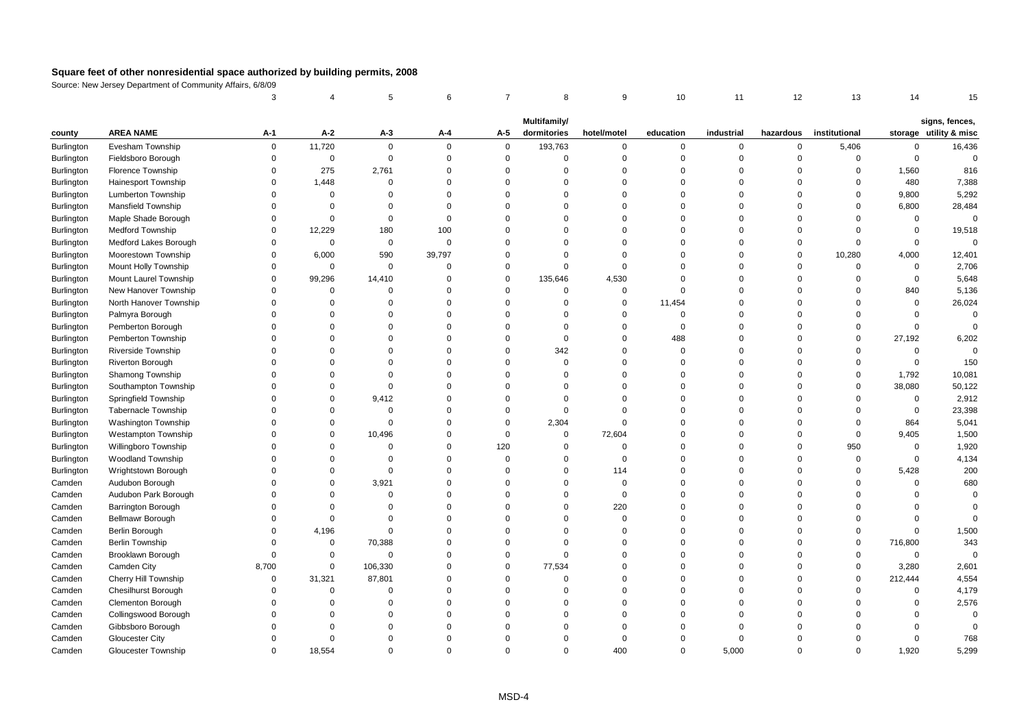|                   |                            | 3           |             | 5           | 6              | $\overline{7}$ | 8            | 9              | 10          | 11          | 12          | 13             | 14          | 15                     |
|-------------------|----------------------------|-------------|-------------|-------------|----------------|----------------|--------------|----------------|-------------|-------------|-------------|----------------|-------------|------------------------|
|                   |                            |             |             |             |                |                | Multifamily/ |                |             |             |             |                |             | signs, fences,         |
| county            | <b>AREA NAME</b>           | A-1         | A-2         | $A-3$       | A-4            | A-5            | dormitories  | hotel/motel    | education   | industrial  | hazardous   | institutional  |             | storage utility & misc |
| Burlington        | Evesham Township           | 0           | 11,720      | $\mathbf 0$ | $\Omega$       | 0              | 193,763      | $\mathbf 0$    | 0           | $\mathbf 0$ | 0           | 5,406          | $\Omega$    | 16,436                 |
| <b>Burlington</b> | Fieldsboro Borough         | $\mathbf 0$ | $\mathbf 0$ | $\mathsf 0$ | $\Omega$       | $\mathsf 0$    | $\mathbf 0$  | $\overline{0}$ | $\Omega$    | $\mathbf 0$ | $\mathbf 0$ | $\mathsf 0$    | $\mathbf 0$ | $\mathsf 0$            |
| Burlington        | Florence Township          | $\mathbf 0$ | 275         | 2,761       | $\Omega$       | $\Omega$       | $\Omega$     | $\overline{0}$ | $\Omega$    | $\Omega$    | $\Omega$    | $\Omega$       | 1,560       | 816                    |
| Burlington        | <b>Hainesport Township</b> | $\Omega$    | 1,448       | $\Omega$    | $\Omega$       | $\Omega$       | $\Omega$     | $\Omega$       | $\Omega$    | $\Omega$    | $\Omega$    | $\Omega$       | 480         | 7,388                  |
| Burlington        | <b>Lumberton Township</b>  | $\Omega$    | $\mathbf 0$ | $\Omega$    | $\Omega$       | $\Omega$       | $\Omega$     | $\Omega$       | $\Omega$    | $\Omega$    | $\Omega$    | $\mathbf 0$    | 9,800       | 5,292                  |
| Burlington        | <b>Mansfield Township</b>  | $\mathbf 0$ | $\mathbf 0$ | 0           | $\Omega$       | $\Omega$       | $\Omega$     | $\overline{0}$ | $\Omega$    | $\mathbf 0$ | $\Omega$    | $\mathbf 0$    | 6,800       | 28,484                 |
| Burlington        | Maple Shade Borough        | $\mathbf 0$ | $\mathbf 0$ | $\mathbf 0$ | $\overline{0}$ | $\Omega$       | 0            | $\overline{0}$ | $\Omega$    | $\mathbf 0$ | $\Omega$    | $\mathbf 0$    | $\mathsf 0$ | $\mathsf 0$            |
| <b>Burlington</b> | <b>Medford Township</b>    | $\Omega$    | 12,229      | 180         | 100            | $\Omega$       | $\Omega$     | $\Omega$       | $\Omega$    | $\Omega$    | $\Omega$    | $\Omega$       | $\Omega$    | 19,518                 |
| Burlington        | Medford Lakes Borough      | $\Omega$    | $\mathbf 0$ | $\mathbf 0$ | $\mathbf 0$    | $\Omega$       | $\Omega$     | $\Omega$       | $\Omega$    | $\Omega$    | $\Omega$    | $\Omega$       | $\mathbf 0$ | $\Omega$               |
| Burlington        | Moorestown Township        | $\mathbf 0$ | 6,000       | 590         | 39,797         | $\Omega$       | $\mathbf 0$  | $\overline{0}$ | $\Omega$    | $\Omega$    | $\Omega$    | 10,280         | 4,000       | 12,401                 |
| <b>Burlington</b> | Mount Holly Township       | $\mathbf 0$ | 0           | $\mathsf 0$ | $\overline{0}$ | $\Omega$       | $\mathbf 0$  | $\overline{0}$ | $\Omega$    | $\mathbf 0$ | $\Omega$    | $\overline{0}$ | $\Omega$    | 2,706                  |
| Burlington        | Mount Laurel Township      | $\Omega$    | 99,296      | 14,410      | $\Omega$       | $\Omega$       | 135,646      | 4,530          | $\Omega$    | $\Omega$    | $\Omega$    | $\Omega$       | $\mathbf 0$ | 5,648                  |
| Burlington        | New Hanover Township       | $\Omega$    | $\Omega$    | 0           | $\Omega$       | $\Omega$       | $\mathbf 0$  | $\overline{0}$ | $\Omega$    | $\Omega$    | $\Omega$    | $\Omega$       | 840         | 5,136                  |
| Burlington        | North Hanover Township     | $\Omega$    | $\Omega$    | $\Omega$    | $\Omega$       | $\Omega$       | $\mathbf 0$  | $\overline{0}$ | 11,454      | $\Omega$    | $\Omega$    | $\Omega$       | $\Omega$    | 26,024                 |
| Burlington        | Palmyra Borough            | $\Omega$    | $\Omega$    | $\Omega$    | $\Omega$       | $\Omega$       | $\mathbf 0$  | $\Omega$       | $\Omega$    | $\Omega$    | $\Omega$    | $\Omega$       | $\Omega$    | $\Omega$               |
| <b>Burlington</b> | Pemberton Borough          | $\Omega$    | $\Omega$    | $\Omega$    | $\Omega$       | $\Omega$       | $\mathbf 0$  | $\mathbf 0$    | $\mathbf 0$ | $\Omega$    | $\Omega$    | $\Omega$       | $\Omega$    | $\Omega$               |
| Burlington        | Pemberton Township         | $\Omega$    | $\Omega$    | $\Omega$    | $\Omega$       | $\Omega$       | $\mathbf 0$  | $\overline{0}$ | 488         | $\Omega$    | $\Omega$    | $\Omega$       | 27,192      | 6,202                  |
| Burlington        | Riverside Township         | $\Omega$    | $\Omega$    | $\Omega$    | $\Omega$       | $\Omega$       | 342          | $\overline{0}$ | $\Omega$    | $\Omega$    | $\Omega$    | $\Omega$       | $\Omega$    | $\Omega$               |
| <b>Burlington</b> | Riverton Borough           | $\Omega$    | $\Omega$    | $\Omega$    | $\Omega$       | $\Omega$       | $\mathbf 0$  | $\Omega$       | $\Omega$    | $\Omega$    | $\Omega$    | $\Omega$       | $\Omega$    | 150                    |
| Burlington        | Shamong Township           | $\Omega$    | $\Omega$    | $\Omega$    | $\Omega$       | $\Omega$       | $\Omega$     | $\Omega$       | $\Omega$    | $\Omega$    | $\Omega$    | $\Omega$       | 1,792       | 10,081                 |
| <b>Burlington</b> | Southampton Township       | $\Omega$    | $\Omega$    | $\Omega$    | $\Omega$       | $\Omega$       | 0            | $\Omega$       | $\Omega$    | $\Omega$    | $\Omega$    | $\Omega$       | 38,080      | 50,122                 |
| Burlington        | Springfield Township       | $\mathbf 0$ | $\Omega$    | 9,412       | $\Omega$       | $\Omega$       | $\mathbf 0$  | $\overline{0}$ | $\Omega$    | $\Omega$    | $\Omega$    | $\Omega$       | $\mathbf 0$ | 2,912                  |
| Burlington        | <b>Tabernacle Township</b> | $\Omega$    | $\Omega$    | $\Omega$    | $\Omega$       | $\Omega$       | $\mathbf 0$  | $\Omega$       | $\Omega$    | $\Omega$    | $\Omega$    | $\Omega$       | $\mathbf 0$ | 23,398                 |
| <b>Burlington</b> | <b>Washington Township</b> | $\Omega$    | $\Omega$    | $\Omega$    | $\Omega$       | $\Omega$       | 2,304        | $\Omega$       | $\Omega$    | $\Omega$    | $\Omega$    | $\Omega$       | 864         | 5,041                  |
| Burlington        | <b>Westampton Township</b> | $\Omega$    | $\mathbf 0$ | 10,496      | $\mathbf 0$    | $\mathbf 0$    | $\mathbf 0$  | 72,604         | $\Omega$    | $\Omega$    | $\Omega$    | $\Omega$       | 9,405       | 1,500                  |
| <b>Burlington</b> | Willingboro Township       | $\Omega$    | $\mathbf 0$ | $\mathsf 0$ | $\mathbf 0$    | 120            | $\mathbf 0$  | $\overline{0}$ | $\Omega$    | $\mathbf 0$ | $\Omega$    | 950            | $\mathbf 0$ | 1,920                  |
| <b>Burlington</b> | <b>Woodland Township</b>   | $\Omega$    | $\Omega$    | $\Omega$    | $\Omega$       | $\mathbf 0$    | $\mathbf 0$  | $\Omega$       | $\Omega$    | $\Omega$    | $\Omega$    | $\Omega$       | $\mathbf 0$ | 4,134                  |
| Burlington        | Wrightstown Borough        | $\Omega$    | $\Omega$    | $\Omega$    | $\Omega$       | $\Omega$       | $\mathbf 0$  | 114            | $\Omega$    | $\Omega$    | $\Omega$    | $\Omega$       | 5,428       | 200                    |
| Camden            | Audubon Borough            | $\Omega$    | $\Omega$    | 3,921       | $\Omega$       | $\Omega$       | $\Omega$     | $\overline{0}$ | $\Omega$    | $\Omega$    | $\Omega$    | $\Omega$       | $\Omega$    | 680                    |
| Camden            | Audubon Park Borough       | $\Omega$    | $\Omega$    | $\Omega$    | $\Omega$       | $\Omega$       | $\Omega$     | $\overline{0}$ | $\Omega$    | $\Omega$    | $\Omega$    | $\Omega$       | $\Omega$    | $\mathbf 0$            |
| Camden            | Barrington Borough         | $\Omega$    | $\Omega$    | $\Omega$    | $\Omega$       | $\Omega$       | $\Omega$     | 220            | $\Omega$    | $\Omega$    | $\Omega$    | $\Omega$       | $\Omega$    | $\Omega$               |
| Camden            | Bellmawr Borough           | $\Omega$    | $\Omega$    | $\Omega$    | $\Omega$       | $\Omega$       | $\mathbf 0$  | $\overline{0}$ | $\Omega$    | $\Omega$    | $\Omega$    | $\Omega$       | $\Omega$    | $\Omega$               |
| Camden            | Berlin Borough             | $\mathbf 0$ | 4,196       | $\Omega$    | $\Omega$       | $\Omega$       | $\mathbf 0$  | $\Omega$       | $\Omega$    | $\Omega$    | $\Omega$    | $\Omega$       | $\Omega$    | 1,500                  |
| Camden            | Berlin Township            | $\mathbf 0$ | $\mathbf 0$ | 70,388      | $\Omega$       | $\Omega$       | $\mathbf 0$  | $\overline{0}$ | $\Omega$    | $\Omega$    | $\Omega$    | $\mathbf 0$    | 716,800     | 343                    |
| Camden            | Brooklawn Borough          | $\Omega$    | $\Omega$    | $\Omega$    | $\Omega$       | $\Omega$       | $\Omega$     | $\Omega$       | $\Omega$    | $\Omega$    | $\Omega$    | $\Omega$       | $\Omega$    | $\Omega$               |
| Camden            | Camden City                | 8,700       | $\mathbf 0$ | 106,330     | $\Omega$       | $\Omega$       | 77,534       | $\Omega$       | $\Omega$    | $\Omega$    | $\Omega$    | $\Omega$       | 3,280       | 2,601                  |
| Camden            | Cherry Hill Township       | $\mathbf 0$ | 31,321      | 87,801      | $\Omega$       | $\Omega$       | 0            | $\Omega$       | $\Omega$    | $\Omega$    | $\Omega$    | $\mathbf 0$    | 212,444     | 4,554                  |
| Camden            | Chesilhurst Borough        | $\mathbf 0$ | $\mathbf 0$ | $\mathbf 0$ | $\Omega$       | $\Omega$       | 0            | $\overline{0}$ | $\Omega$    | $\mathbf 0$ | $\Omega$    | $\Omega$       | $\Omega$    | 4,179                  |
| Camden            | <b>Clementon Borough</b>   | $\Omega$    | $\Omega$    | $\Omega$    | $\Omega$       | $\Omega$       | $\Omega$     | $\Omega$       | $\Omega$    | $\Omega$    | $\Omega$    | $\Omega$       | $\Omega$    | 2,576                  |
| Camden            | Collingswood Borough       | $\Omega$    | $\Omega$    | $\Omega$    | $\Omega$       | $\Omega$       | $\Omega$     | $\Omega$       | $\Omega$    | $\Omega$    | $\Omega$    | O              | $\Omega$    | $\Omega$               |
| Camden            | Gibbsboro Borough          | $\Omega$    | $\Omega$    | $\Omega$    | $\Omega$       | $\Omega$       | $\Omega$     | $\Omega$       | $\Omega$    | $\Omega$    | O           | $\Omega$       | $\Omega$    | $\Omega$               |
| Camden            | <b>Gloucester City</b>     | $\Omega$    | $\Omega$    | $\Omega$    | $\Omega$       | $\Omega$       | $\Omega$     | $\Omega$       | $\Omega$    | $\mathbf 0$ | $\Omega$    | $\Omega$       | $\Omega$    | 768                    |
| Camden            | Gloucester Township        | $\Omega$    | 18,554      | $\Omega$    | $\Omega$       | $\Omega$       | $\Omega$     | 400            | $\Omega$    | 5,000       | $\Omega$    | $\Omega$       | 1.920       | 5,299                  |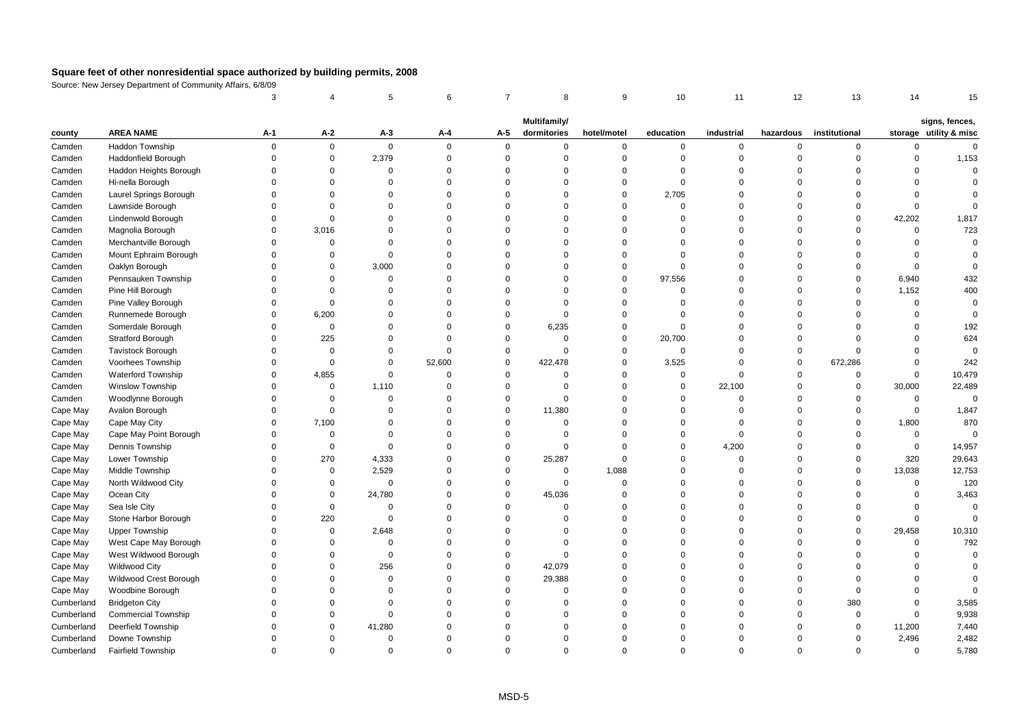|            |                            | 3           |             | 5           | 6        | $\overline{7}$ | 8            | 9           | 10          | 11          | 12             | 13            | 14          | 15                     |
|------------|----------------------------|-------------|-------------|-------------|----------|----------------|--------------|-------------|-------------|-------------|----------------|---------------|-------------|------------------------|
|            |                            |             |             |             |          |                | Multifamily/ |             |             |             |                |               |             | signs, fences,         |
| county     | <b>AREA NAME</b>           | A-1         | A-2         | $A-3$       | A-4      | A-5            | dormitories  | hotel/motel | education   | industrial  | hazardous      | institutional |             | storage utility & misc |
| Camden     | Haddon Township            | $\Omega$    | $\mathbf 0$ | $\mathbf 0$ | $\Omega$ | $\mathbf 0$    | $\mathbf 0$  | $\mathbf 0$ | 0           | 0           | $\mathbf 0$    | 0             | $\mathbf 0$ | $\mathbf 0$            |
| Camden     | Haddonfield Borough        | $\Omega$    | 0           | 2,379       | $\Omega$ | $\mathbf 0$    | $\Omega$     | $\mathbf 0$ | $\Omega$    | 0           | $\overline{0}$ | $\mathbf 0$   | $\Omega$    | 1,153                  |
| Camden     | Haddon Heights Borough     | $\Omega$    | $\Omega$    | $\Omega$    | $\Omega$ | $\Omega$       | $\Omega$     | $\Omega$    | $\Omega$    | $\Omega$    | $\Omega$       | $\Omega$      | $\Omega$    | $\mathbf 0$            |
| Camden     | Hi-nella Borough           | $\Omega$    | $\Omega$    | $\Omega$    | $\Omega$ | $\Omega$       | $\Omega$     | $\mathbf 0$ | $\Omega$    | $\Omega$    | $\Omega$       | $\Omega$      | $\Omega$    | $\Omega$               |
| Camden     | Laurel Springs Borough     | $\Omega$    | $\Omega$    | $\Omega$    | $\Omega$ | $\Omega$       | $\Omega$     | $\mathbf 0$ | 2,705       | $\Omega$    | $\Omega$       | $\Omega$      | $\Omega$    | $\Omega$               |
| Camden     | Lawnside Borough           | $\Omega$    | $\Omega$    | $\Omega$    | $\Omega$ | $\Omega$       | $\Omega$     | $\mathbf 0$ | $\Omega$    | $\Omega$    | $\Omega$       | $\Omega$      | $\mathbf 0$ | $\Omega$               |
| Camden     | Lindenwold Borough         | $\Omega$    | $\Omega$    | $\Omega$    | $\Omega$ | $\Omega$       | $\Omega$     | $\mathbf 0$ | $\Omega$    | $\Omega$    | $\Omega$       | $\Omega$      | 42,202      | 1,817                  |
| Camden     | Magnolia Borough           | $\Omega$    | 3,016       | $\Omega$    | $\Omega$ | $\Omega$       | $\Omega$     | $\mathbf 0$ | $\Omega$    | $\Omega$    | $\Omega$       | $\Omega$      | $\mathsf 0$ | 723                    |
| Camden     | Merchantville Borough      | $\Omega$    | $\mathbf 0$ | $\Omega$    | $\Omega$ | $\Omega$       | $\Omega$     | $\mathbf 0$ | $\Omega$    | $\Omega$    | $\Omega$       | $\Omega$      | $\Omega$    | $\Omega$               |
| Camden     | Mount Ephraim Borough      | $\Omega$    | $\mathbf 0$ | $\Omega$    | $\Omega$ | $\Omega$       | $\Omega$     | $\mathbf 0$ | $\Omega$    | $\Omega$    | $\Omega$       | $\Omega$      | $\Omega$    | $\Omega$               |
| Camden     | Oaklyn Borough             | $\Omega$    | $\Omega$    | 3,000       | $\Omega$ | $\Omega$       | $\Omega$     | $\mathbf 0$ | $\Omega$    | $\Omega$    | $\Omega$       | $\Omega$      | $\mathbf 0$ | $\Omega$               |
| Camden     | Pennsauken Township        | $\Omega$    | $\Omega$    | $\mathbf 0$ | $\Omega$ | $\Omega$       | $\Omega$     | $\mathbf 0$ | 97,556      | $\Omega$    | $\Omega$       | 0             | 6,940       | 432                    |
| Camden     | Pine Hill Borough          | $\Omega$    | $\Omega$    | $\Omega$    | $\Omega$ | $\Omega$       | $\Omega$     | $\mathbf 0$ | $\mathbf 0$ | $\Omega$    | $\Omega$       | $\mathbf 0$   | 1,152       | 400                    |
| Camden     | Pine Valley Borough        | $\Omega$    | $\Omega$    | $\Omega$    | $\Omega$ | $\Omega$       | $\Omega$     | $\mathbf 0$ | $\Omega$    | $\Omega$    | $\Omega$       | $\Omega$      | $\mathsf 0$ | $\Omega$               |
| Camden     | Runnemede Borough          | $\Omega$    | 6,200       | $\Omega$    | $\Omega$ | $\Omega$       | $\Omega$     | $\mathbf 0$ | $\Omega$    | $\Omega$    | $\Omega$       | $\Omega$      | $\Omega$    | $\Omega$               |
| Camden     | Somerdale Borough          | $\Omega$    | $\mathbf 0$ | $\Omega$    | $\Omega$ | $\Omega$       | 6,235        | $\mathbf 0$ | $\mathbf 0$ | $\Omega$    | $\Omega$       | $\Omega$      | $\Omega$    | 192                    |
| Camden     | Stratford Borough          | $\mathbf 0$ | 225         | $\Omega$    | $\Omega$ | $\Omega$       | $\mathbf 0$  | $\mathbf 0$ | 20,700      | $\Omega$    | $\overline{0}$ | $\Omega$      | $\Omega$    | 624                    |
| Camden     | Tavistock Borough          | $\mathbf 0$ | $\mathbf 0$ | $\Omega$    | $\Omega$ | $\mathbf 0$    | $\Omega$     | $\mathbf 0$ | $\mathbf 0$ | $\mathbf 0$ | $\overline{0}$ | $\Omega$      | $\Omega$    | $\Omega$               |
| Camden     | <b>Voorhees Township</b>   | $\Omega$    | $\mathbf 0$ | $\Omega$    | 52,600   | $\Omega$       | 422,478      | $\mathbf 0$ | 3,525       | $\mathbf 0$ | $\Omega$       | 672,286       | $\Omega$    | 242                    |
| Camden     | Waterford Township         | $\Omega$    | 4,855       | $\Omega$    | $\Omega$ | $\Omega$       | $\Omega$     | $\mathbf 0$ | $\mathbf 0$ | $\Omega$    | $\Omega$       | 0             | $\mathbf 0$ | 10,479                 |
| Camden     | Winslow Township           | $\Omega$    | 0           | 1,110       | $\Omega$ | $\Omega$       | $\Omega$     | $\mathbf 0$ | 0           | 22,100      | $\mathbf 0$    | $\mathbf 0$   | 30,000      | 22,489                 |
| Camden     | Woodlynne Borough          | $\Omega$    | $\mathbf 0$ | $\Omega$    | $\Omega$ | $\Omega$       | $\Omega$     | $\mathbf 0$ | $\Omega$    | $\Omega$    | $\Omega$       | $\mathbf 0$   | $\mathsf 0$ | $\mathbf 0$            |
| Cape May   | Avalon Borough             | $\mathbf 0$ | $\Omega$    | $\Omega$    | $\Omega$ | $\mathbf 0$    | 11,380       | $\mathbf 0$ | $\Omega$    | $\mathbf 0$ | $\Omega$       | $\Omega$      | $\mathsf 0$ | 1,847                  |
| Cape May   | Cape May City              | $\Omega$    | 7,100       | $\Omega$    | $\Omega$ | $\Omega$       | $\Omega$     | $\mathbf 0$ | $\Omega$    | $\mathbf 0$ | $\Omega$       | $\Omega$      | 1,800       | 870                    |
| Cape May   | Cape May Point Borough     | $\Omega$    | $\Omega$    | $\Omega$    | $\Omega$ | $\Omega$       | $\Omega$     | $\mathbf 0$ | $\Omega$    | $\Omega$    | $\Omega$       | $\Omega$      | $\mathbf 0$ | $\Omega$               |
| Cape May   | Dennis Township            | $\Omega$    | 0           | $\Omega$    | $\Omega$ | $\mathbf 0$    | $\Omega$     | $\mathbf 0$ | $\Omega$    | 4,200       | $\Omega$       | $\Omega$      | 0           | 14,957                 |
| Cape May   | Lower Township             | $\Omega$    | 270         | 4,333       | $\Omega$ | $\mathbf 0$    | 25,287       | $\mathbf 0$ | $\Omega$    | 0           | $\Omega$       | $\mathbf 0$   | 320         | 29,643                 |
| Cape May   | Middle Township            | $\Omega$    | $\mathbf 0$ | 2,529       | $\Omega$ | $\Omega$       | $\Omega$     | 1,088       | $\Omega$    | $\Omega$    | $\Omega$       | $\Omega$      | 13,038      | 12,753                 |
| Cape May   | North Wildwood City        | $\Omega$    | 0           | $\mathbf 0$ | $\Omega$ | $\Omega$       | $\Omega$     | $\mathbf 0$ | $\Omega$    | $\Omega$    | $\Omega$       | $\Omega$      | $\mathbf 0$ | 120                    |
| Cape May   | Ocean City                 | $\Omega$    | $\Omega$    | 24,780      | $\Omega$ | $\Omega$       | 45,036       | $\Omega$    | $\Omega$    | $\Omega$    | $\Omega$       | $\Omega$      | $\mathbf 0$ | 3,463                  |
| Cape May   | Sea Isle City              | $\Omega$    | $\mathbf 0$ | $\Omega$    | $\Omega$ | $\Omega$       | $\mathbf 0$  | $\mathbf 0$ | $\Omega$    | $\Omega$    | $\Omega$       | $\Omega$      | $\Omega$    | $\Omega$               |
| Cape May   | Stone Harbor Borough       | $\Omega$    | 220         | $\mathbf 0$ | $\Omega$ | $\Omega$       | $\Omega$     | $\mathbf 0$ | $\Omega$    | $\mathbf 0$ | $\Omega$       | $\Omega$      | $\mathsf 0$ | $\mathbf 0$            |
| Cape May   | <b>Upper Township</b>      | $\Omega$    | $\mathbf 0$ | 2,648       | $\Omega$ | $\Omega$       | $\Omega$     | $\mathbf 0$ | $\Omega$    | $\Omega$    | $\Omega$       | $\Omega$      | 29,458      | 10,310                 |
| Cape May   | West Cape May Borough      | $\Omega$    | $\mathbf 0$ | $\Omega$    | $\Omega$ | $\Omega$       | $\Omega$     | $\mathbf 0$ | $\Omega$    | $\Omega$    | $\Omega$       | $\Omega$      | $\mathbf 0$ | 792                    |
| Cape May   | West Wildwood Borough      | $\Omega$    | $\Omega$    | $\mathbf 0$ | $\Omega$ | $\Omega$       | $\Omega$     | $\mathbf 0$ | $\Omega$    | $\Omega$    | $\Omega$       | $\Omega$      | $\Omega$    | $\mathbf 0$            |
| Cape May   | Wildwood City              | $\Omega$    | $\Omega$    | 256         | $\Omega$ | $\Omega$       | 42,079       | $\mathbf 0$ | $\Omega$    | $\Omega$    | $\Omega$       | $\Omega$      | $\Omega$    | $\Omega$               |
| Cape May   | Wildwood Crest Borough     | $\Omega$    | $\Omega$    | $\Omega$    | $\Omega$ | $\mathbf 0$    | 29,388       | $\mathbf 0$ | $\Omega$    | $\Omega$    | $\Omega$       | $\Omega$      | $\Omega$    | $\Omega$               |
| Cape May   | Woodbine Borough           | $\Omega$    | $\Omega$    | $\Omega$    | $\Omega$ | $\Omega$       | $\Omega$     | $\mathbf 0$ | $\Omega$    | $\Omega$    | $\Omega$       | $\Omega$      | $\Omega$    | $\Omega$               |
| Cumberland | <b>Bridgeton City</b>      | $\Omega$    | $\Omega$    | $\Omega$    | $\Omega$ | $\Omega$       | $\Omega$     | $\Omega$    | $\Omega$    | $\Omega$    | $\Omega$       | 380           | $\Omega$    | 3,585                  |
| Cumberland | <b>Commercial Township</b> | $\Omega$    | $\Omega$    | $\Omega$    | $\Omega$ | $\Omega$       | $\Omega$     | $\mathbf 0$ | $\Omega$    | $\Omega$    | $\Omega$       | 0             | $\mathbf 0$ | 9,938                  |
| Cumberland | Deerfield Township         | $\Omega$    | $\Omega$    | 41,280      | $\Omega$ | $\Omega$       | $\Omega$     | $\Omega$    | $\Omega$    | $\Omega$    | $\Omega$       | $\mathbf 0$   | 11,200      | 7,440                  |
| Cumberland | Downe Township             | $\Omega$    | $\Omega$    | $\Omega$    | $\Omega$ | $\Omega$       | $\Omega$     | $\Omega$    | $\Omega$    | $\Omega$    | $\Omega$       | $\Omega$      | 2,496       | 2,482                  |
| Cumberland | <b>Fairfield Township</b>  | $\Omega$    | $\Omega$    | $\Omega$    | $\Omega$ | $\Omega$       | $\Omega$     | $\Omega$    | $\Omega$    | $\mathbf 0$ | $\Omega$       | $\Omega$      | $\mathbf 0$ | 5,780                  |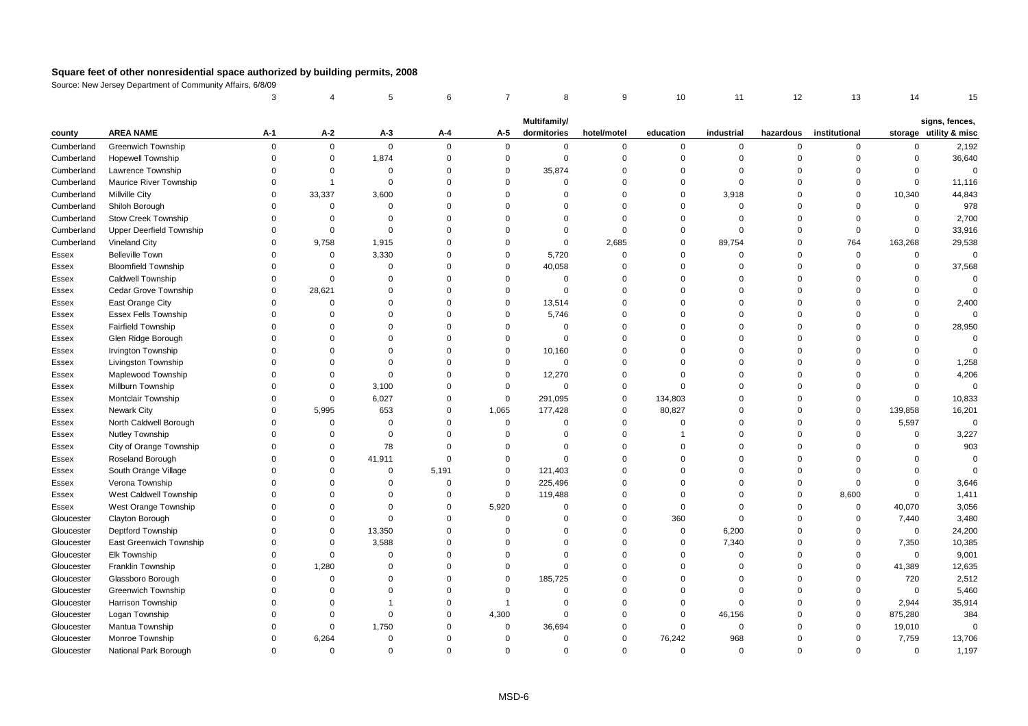|            |                                 | 3        |                         | 5           | 6           | $\overline{7}$ | 8            | 9              | 10          | 11          | 12        | 13             | 14          | 15                                       |
|------------|---------------------------------|----------|-------------------------|-------------|-------------|----------------|--------------|----------------|-------------|-------------|-----------|----------------|-------------|------------------------------------------|
|            |                                 |          |                         |             |             |                | Multifamily/ |                |             |             |           |                |             |                                          |
| county     | <b>AREA NAME</b>                | A-1      | A-2                     | $A-3$       | A-4         | A-5            | dormitories  | hotel/motel    | education   | industrial  | hazardous | institutional  |             | signs, fences,<br>storage utility & misc |
| Cumberland | <b>Greenwich Township</b>       | $\Omega$ | $\mathbf{0}$            | $\mathbf 0$ | $\mathbf 0$ | $\mathbf 0$    | $\mathbf 0$  | $\mathbf 0$    | $\mathbf 0$ | $\mathbf 0$ | $\Omega$  | 0              | $\Omega$    | 2,192                                    |
| Cumberland | Hopewell Township               | $\Omega$ | $\mathsf 0$             | 1,874       | $\mathbf 0$ | $\mathbf 0$    | $\mathbf 0$  | $\overline{0}$ | $\mathbf 0$ | $\mathbf 0$ | $\Omega$  | $\mathbf 0$    | $\Omega$    | 36,640                                   |
| Cumberland | Lawrence Township               | $\Omega$ | $\mathbf 0$             | $\mathbf 0$ | $\mathbf 0$ | $\mathbf 0$    | 35,874       | $\mathbf 0$    | $\mathbf 0$ | $\mathbf 0$ | $\Omega$  | $\Omega$       | $\Omega$    | $\Omega$                                 |
| Cumberland | Maurice River Township          | $\Omega$ | $\overline{\mathbf{1}}$ | $\Omega$    | $\mathbf 0$ | $\Omega$       | $\mathbf 0$  | $\Omega$       | $\mathbf 0$ | $\Omega$    | $\Omega$  | $\Omega$       | $\Omega$    | 11,116                                   |
| Cumberland | <b>Millville City</b>           | $\Omega$ | 33,337                  | 3,600       | $\mathbf 0$ | $\Omega$       | $\mathbf 0$  | $\Omega$       | $\mathbf 0$ | 3,918       | $\Omega$  | $\mathbf 0$    | 10,340      | 44,843                                   |
| Cumberland | Shiloh Borough                  | $\Omega$ | $\Omega$                | $\Omega$    | $\mathbf 0$ | $\Omega$       | $\Omega$     | $\Omega$       | $\Omega$    | $\mathbf 0$ | $\Omega$  | $\Omega$       | $\mathbf 0$ | 978                                      |
| Cumberland | <b>Stow Creek Township</b>      | $\Omega$ | $\Omega$                | $\mathbf 0$ | $\mathbf 0$ | $\Omega$       | $\Omega$     | $\overline{0}$ | $\mathbf 0$ | $\mathbf 0$ | $\Omega$  | $\Omega$       | $\Omega$    | 2,700                                    |
| Cumberland | <b>Upper Deerfield Township</b> | $\Omega$ | $\Omega$                | $\Omega$    | $\mathbf 0$ | $\Omega$       | $\mathbf 0$  | $\Omega$       | $\Omega$    | $\mathbf 0$ | $\Omega$  | $\mathbf 0$    | $\Omega$    | 33,916                                   |
| Cumberland | Vineland City                   | $\Omega$ | 9,758                   | 1,915       | $\mathbf 0$ | $\Omega$       | $\mathbf 0$  | 2,685          | $\Omega$    | 89,754      | $\Omega$  | 764            | 163,268     | 29,538                                   |
| Essex      | <b>Belleville Town</b>          | $\Omega$ | $\mathsf 0$             | 3,330       | $\mathbf 0$ | $\mathbf 0$    | 5,720        | $\mathsf 0$    | $\mathbf 0$ | $\mathbf 0$ | $\Omega$  | $\overline{0}$ | $\mathbf 0$ | $\mathbf 0$                              |
| Essex      | <b>Bloomfield Township</b>      | $\Omega$ | $\Omega$                | $\Omega$    | $\mathbf 0$ | $\Omega$       | 40,058       | $\Omega$       | $\Omega$    | $\Omega$    | $\Omega$  | $\mathsf 0$    | $\mathsf 0$ | 37,568                                   |
| Essex      | <b>Caldwell Township</b>        | $\Omega$ | $\Omega$                | $\Omega$    | $\mathbf 0$ | $\Omega$       | $\mathbf 0$  | $\Omega$       | $\Omega$    | $\Omega$    | $\Omega$  | $\Omega$       | $\Omega$    | $\Omega$                                 |
| Essex      | Cedar Grove Township            | $\Omega$ | 28,621                  | $\Omega$    | $\mathbf 0$ | $\Omega$       | $\mathbf 0$  | $\Omega$       | $\Omega$    | $\Omega$    | $\Omega$  | $\Omega$       | $\Omega$    |                                          |
| Essex      | East Orange City                | $\Omega$ | $\Omega$                | 0           | $\Omega$    | $\Omega$       | 13,514       | $\Omega$       | $\Omega$    | $\Omega$    | $\Omega$  | $\Omega$       | $\Omega$    | 2,400                                    |
| Essex      | <b>Essex Fells Township</b>     | $\Omega$ | $\Omega$                | $\Omega$    | $\Omega$    | $\Omega$       | 5,746        | $\Omega$       | $\Omega$    | $\Omega$    | $\Omega$  | $\Omega$       | $\Omega$    | $\Omega$                                 |
| Essex      | <b>Fairfield Township</b>       | $\Omega$ | $\Omega$                | $\Omega$    | $\mathbf 0$ | $\Omega$       | $\mathbf 0$  | $\Omega$       | $\Omega$    | $\Omega$    | $\Omega$  | $\Omega$       | $\Omega$    | 28,950                                   |
| Essex      | Glen Ridge Borough              | $\Omega$ | $\Omega$                | $\Omega$    | $\mathbf 0$ | $\Omega$       | $\mathbf 0$  | $\Omega$       | $\Omega$    | $\Omega$    | $\Omega$  | $\Omega$       | $\Omega$    | $\mathbf 0$                              |
| Essex      | Irvington Township              | $\Omega$ | $\Omega$                | $\Omega$    | $\mathbf 0$ | $\mathbf 0$    | 10,160       | $\Omega$       | $\Omega$    | $\mathbf 0$ | $\Omega$  | $\Omega$       | $\Omega$    |                                          |
| Essex      | Livingston Township             | $\Omega$ | $\Omega$                | $\Omega$    | $\Omega$    | $\Omega$       | $\mathbf 0$  | $\Omega$       | $\Omega$    | $\Omega$    | $\Omega$  | $\Omega$       | $\Omega$    | 1,258                                    |
| Essex      | Maplewood Township              | $\Omega$ | $\Omega$                | $\Omega$    | $\mathbf 0$ | $\Omega$       | 12,270       | $\Omega$       | $\Omega$    | $\Omega$    | $\Omega$  | $\Omega$       | $\Omega$    | 4,206                                    |
| Essex      | Millburn Township               | $\Omega$ | $\mathbf 0$             | 3,100       | $\mathbf 0$ | $\mathbf 0$    | $\mathbf 0$  | $\Omega$       | $\mathbf 0$ | $\Omega$    | $\Omega$  | $\Omega$       | $\mathbf 0$ | $\Omega$                                 |
| Essex      | Montclair Township              | $\Omega$ | $\mathsf 0$             | 6,027       | $\mathbf 0$ | $\mathbf 0$    | 291,095      | $\mathsf 0$    | 134,803     | $\Omega$    | $\Omega$  | $\Omega$       | $\Omega$    | 10,833                                   |
| Essex      | <b>Newark City</b>              | $\Omega$ | 5,995                   | 653         | $\mathbf 0$ | 1,065          | 177,428      | $\mathbf 0$    | 80,827      | $\Omega$    | $\Omega$  | $\Omega$       | 139,858     | 16,201                                   |
| Essex      | North Caldwell Borough          | $\Omega$ | $\Omega$                | $\Omega$    | $\Omega$    | $\mathbf{0}$   | $\mathbf 0$  | $\Omega$       | $\Omega$    | $\Omega$    | $\Omega$  | $\Omega$       | 5,597       | $\mathbf 0$                              |
| Essex      | Nutley Township                 | $\Omega$ | $\Omega$                | $\mathbf 0$ | $\mathbf 0$ | $\Omega$       | $\mathbf 0$  | $\Omega$       |             | $\Omega$    | $\Omega$  | $\Omega$       | $\Omega$    | 3,227                                    |
| Essex      | City of Orange Township         | $\Omega$ | $\mathbf 0$             | 78          | $\mathbf 0$ | $\Omega$       | $\mathbf 0$  | $\Omega$       | $\Omega$    | $\Omega$    | $\Omega$  | $\Omega$       | $\Omega$    | 903                                      |
| Essex      | Roseland Borough                | $\Omega$ | $\mathbf 0$             | 41,911      | $\mathbf 0$ | $\Omega$       | $\mathbf 0$  | $\Omega$       | $\Omega$    | $\Omega$    | $\Omega$  | $\Omega$       | $\Omega$    | $\Omega$                                 |
| Essex      | South Orange Village            | $\Omega$ | $\Omega$                | 0           | 5,191       | $\mathbf 0$    | 121,403      | $\Omega$       | $\Omega$    | $\Omega$    | $\Omega$  | $\Omega$       | $\Omega$    | $\Omega$                                 |
| Essex      | Verona Township                 | $\Omega$ | $\Omega$                | $\Omega$    | $\mathbf 0$ | $\mathbf 0$    | 225,496      | $\Omega$       | $\Omega$    | $\Omega$    | $\Omega$  | $\Omega$       | $\Omega$    | 3,646                                    |
| Essex      | West Caldwell Township          | $\Omega$ | $\Omega$                | $\Omega$    | $\Omega$    | $\mathbf 0$    | 119,488      | $\Omega$       | $\Omega$    | $\Omega$    | $\Omega$  | 8,600          | $\Omega$    | 1,411                                    |
| Essex      | West Orange Township            | $\Omega$ | $\Omega$                | $\Omega$    | $\mathbf 0$ | 5,920          | $\mathbf 0$  | $\Omega$       | $\mathbf 0$ | $\Omega$    | $\Omega$  | $\mathbf 0$    | 40,070      | 3,056                                    |
| Gloucester | Clayton Borough                 | $\Omega$ | $\Omega$                | $\Omega$    | $\mathbf 0$ | $\Omega$       | $\mathbf 0$  | $\Omega$       | 360         | $\mathbf 0$ | $\Omega$  | $\mathbf 0$    | 7,440       | 3,480                                    |
| Gloucester | Deptford Township               | $\Omega$ | $\Omega$                | 13,350      | $\mathbf 0$ | $\Omega$       | $\mathbf 0$  | $\mathbf 0$    | $\mathbf 0$ | 6,200       | $\Omega$  | $\Omega$       | $\mathbf 0$ | 24,200                                   |
| Gloucester | East Greenwich Township         | $\Omega$ | 0                       | 3,588       | $\mathbf 0$ | $\mathbf 0$    | $\mathbf 0$  | $\mathbf 0$    | $\mathbf 0$ | 7,340       | $\Omega$  | $\mathbf 0$    | 7,350       | 10,385                                   |
| Gloucester | Elk Township                    | $\Omega$ | $\Omega$                | $\Omega$    | $\mathbf 0$ | $\Omega$       | $\mathbf 0$  | $\Omega$       | $\mathbf 0$ | $\Omega$    | $\Omega$  | $\Omega$       | $\mathbf 0$ | 9,001                                    |
| Gloucester | Franklin Township               | $\Omega$ | 1,280                   | $\Omega$    | $\mathbf 0$ | $\Omega$       | $\mathbf 0$  | $\Omega$       | $\Omega$    | $\Omega$    | $\Omega$  | $\Omega$       | 41,389      | 12,635                                   |
| Gloucester | Glassboro Borough               | $\Omega$ | $\mathbf 0$             | $\Omega$    | $\mathbf 0$ | $\Omega$       | 185,725      | $\Omega$       | $\Omega$    | $\Omega$    | $\Omega$  | $\Omega$       | 720         | 2,512                                    |
| Gloucester | <b>Greenwich Township</b>       | $\Omega$ | $\Omega$                | $\Omega$    | $\mathbf 0$ | $\Omega$       | $\mathbf 0$  | $\Omega$       | $\Omega$    | $\mathbf 0$ | $\Omega$  | $\Omega$       | $\mathsf 0$ | 5,460                                    |
| Gloucester | <b>Harrison Township</b>        | $\Omega$ | $\Omega$                |             | $\mathbf 0$ | $\mathbf{1}$   | $\mathbf 0$  | $\Omega$       | $\mathbf 0$ | $\Omega$    | $\Omega$  | $\Omega$       | 2,944       | 35,914                                   |
| Gloucester | Logan Township                  | $\Omega$ | $\Omega$                | $\Omega$    | $\mathbf 0$ | 4,300          | $\mathbf 0$  | $\Omega$       | $\mathbf 0$ | 46,156      | $\Omega$  | 0              | 875,280     | 384                                      |
| Gloucester | Mantua Township                 | $\Omega$ | $\Omega$                | 1,750       | $\mathbf 0$ | $\mathbf 0$    | 36,694       | $\mathbf 0$    | $\mathbf 0$ | $\mathbf 0$ | $\Omega$  | $\Omega$       | 19,010      | $\Omega$                                 |
| Gloucester | Monroe Township                 | $\Omega$ | 6,264                   | 0           | $\mathbf 0$ | $\Omega$       | $\mathbf 0$  | $\Omega$       | 76,242      | 968         | $\Omega$  | $\Omega$       | 7,759       | 13,706                                   |
| Gloucester | National Park Borough           | $\Omega$ | $\Omega$                | $\Omega$    | $\Omega$    | $\Omega$       | $\Omega$     | $\Omega$       | $\Omega$    | $\Omega$    | $\Omega$  | $\Omega$       | $\Omega$    | 1,197                                    |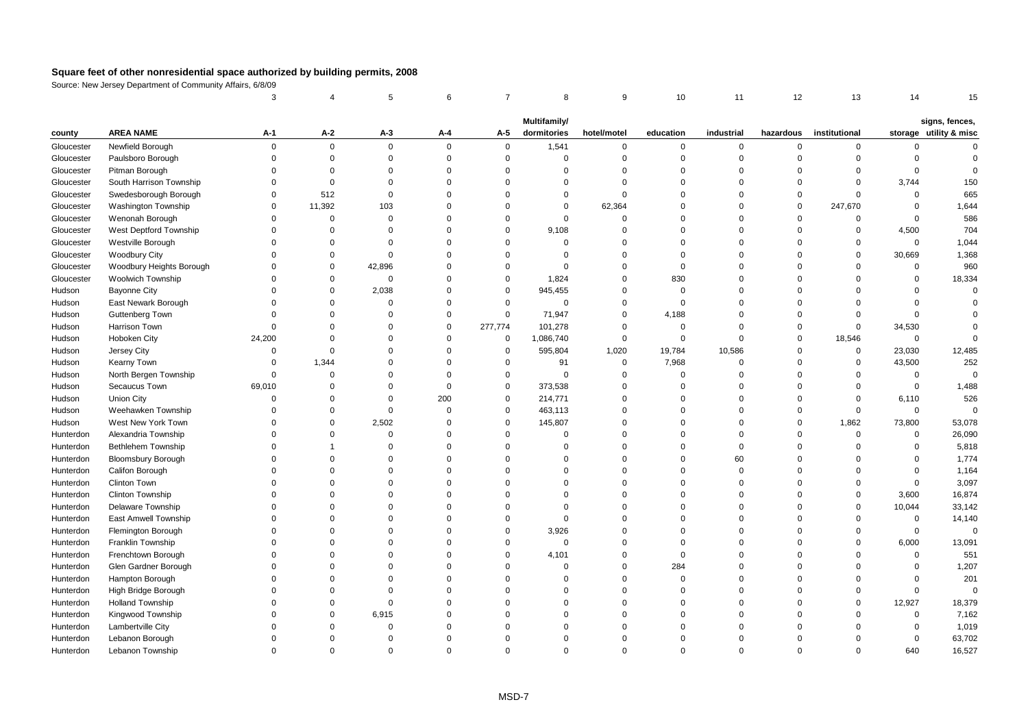|            |                           | 3           |             | 5           | 6        | $\overline{7}$ | 8            | 9           | 10          | 11          | 12             | 13            | 14          | 15                                       |
|------------|---------------------------|-------------|-------------|-------------|----------|----------------|--------------|-------------|-------------|-------------|----------------|---------------|-------------|------------------------------------------|
|            |                           |             |             |             |          |                | Multifamily/ |             |             |             |                |               |             |                                          |
| county     | <b>AREA NAME</b>          | A-1         | A-2         | $A-3$       | A-4      | A-5            | dormitories  | hotel/motel | education   | industrial  | hazardous      | institutional |             | signs, fences,<br>storage utility & misc |
| Gloucester | Newfield Borough          | $\mathbf 0$ | $\mathbf 0$ | $\mathbf 0$ | $\Omega$ | $\mathbf 0$    | 1,541        | $\mathbf 0$ | 0           | 0           | $\overline{0}$ | 0             | 0           | $\Omega$                                 |
| Gloucester | Paulsboro Borough         | $\Omega$    | $\mathsf 0$ | $\mathbf 0$ | $\Omega$ | $\mathsf 0$    | $\mathbf 0$  | $\mathbf 0$ | $\mathbf 0$ | $\mathbf 0$ | $\overline{0}$ | $\mathbf 0$   | $\mathbf 0$ | $\Omega$                                 |
| Gloucester | Pitman Borough            | $\Omega$    | $\Omega$    | $\Omega$    | $\Omega$ | $\Omega$       | $\Omega$     | $\mathbf 0$ | $\Omega$    | $\mathbf 0$ | $\Omega$       | $\Omega$      | $\mathbf 0$ | $\Omega$                                 |
| Gloucester | South Harrison Township   | $\Omega$    | $\mathbf 0$ | $\Omega$    | $\Omega$ | $\Omega$       | $\Omega$     | $\mathbf 0$ | $\Omega$    | $\Omega$    | $\Omega$       | $\Omega$      | 3,744       | 150                                      |
| Gloucester | Swedesborough Borough     | $\Omega$    | 512         | $\mathbf 0$ | $\Omega$ | $\Omega$       | $\Omega$     | $\mathbf 0$ | $\Omega$    | $\mathbf 0$ | $\overline{0}$ | $\Omega$      | $\mathsf 0$ | 665                                      |
| Gloucester | Washington Township       | $\Omega$    | 11,392      | 103         | $\Omega$ | $\Omega$       | $\Omega$     | 62,364      | $\Omega$    | $\Omega$    | $\overline{0}$ | 247,670       | $\mathsf 0$ | 1,644                                    |
| Gloucester | Wenonah Borough           | $\Omega$    | $\Omega$    | $\Omega$    | $\Omega$ | $\Omega$       | $\Omega$     | $\mathbf 0$ | $\Omega$    | $\Omega$    | $\Omega$       | $\mathbf 0$   | $\mathbf 0$ | 586                                      |
| Gloucester | West Deptford Township    | $\Omega$    | $\Omega$    | $\Omega$    | $\Omega$ | $\Omega$       | 9,108        | $\Omega$    | $\Omega$    | $\Omega$    | $\Omega$       | $\mathbf 0$   | 4,500       | 704                                      |
| Gloucester | Westville Borough         | $\Omega$    | $\Omega$    | $\Omega$    | $\Omega$ | $\Omega$       | $\Omega$     | $\Omega$    | $\Omega$    | $\Omega$    | $\Omega$       | $\Omega$      | $\mathsf 0$ | 1,044                                    |
| Gloucester | <b>Woodbury City</b>      | $\Omega$    | $\Omega$    | $\Omega$    | $\Omega$ | $\Omega$       | $\Omega$     | $\mathbf 0$ | $\Omega$    | $\Omega$    | $\Omega$       | $\Omega$      | 30,669      | 1,368                                    |
| Gloucester | Woodbury Heights Borough  | $\Omega$    | $\Omega$    | 42,896      | $\Omega$ | $\Omega$       | $\Omega$     | $\mathbf 0$ | $\mathbf 0$ | $\mathbf 0$ | $\Omega$       | $\mathbf 0$   | 0           | 960                                      |
| Gloucester | <b>Woolwich Township</b>  | $\Omega$    | $\Omega$    | $\mathbf 0$ | $\Omega$ | $\mathbf 0$    | 1,824        | $\mathbf 0$ | 830         | $\Omega$    | $\Omega$       | $\Omega$      | $\mathbf 0$ | 18,334                                   |
| Hudson     | Bayonne City              | $\Omega$    | $\Omega$    | 2,038       | $\Omega$ | $\mathbf 0$    | 945,455      | $\mathbf 0$ | $\mathbf 0$ | $\mathbf 0$ | $\Omega$       | $\Omega$      | $\Omega$    | $\Omega$                                 |
| Hudson     | East Newark Borough       | $\Omega$    | $\Omega$    | $\Omega$    | $\Omega$ | $\mathbf 0$    | $\Omega$     | $\mathbf 0$ | $\mathbf 0$ | $\Omega$    | $\Omega$       | $\Omega$      | $\Omega$    |                                          |
| Hudson     | Guttenberg Town           | $\Omega$    | $\Omega$    | $\Omega$    | $\Omega$ | $\mathbf 0$    | 71,947       | $\mathbf 0$ | 4,188       | $\mathbf 0$ | $\Omega$       | $\Omega$      | $\Omega$    | $\Omega$                                 |
| Hudson     | Harrison Town             | $\Omega$    | $\Omega$    | $\Omega$    | $\Omega$ | 277,774        | 101,278      | $\mathbf 0$ | $\mathbf 0$ | $\mathbf 0$ | $\Omega$       | $\mathbf 0$   | 34,530      | $\Omega$                                 |
| Hudson     | Hoboken City              | 24,200      | $\Omega$    | $\Omega$    | $\Omega$ | $\mathbf 0$    | 1,086,740    | $\mathbf 0$ | $\mathbf 0$ | $\mathbf 0$ | $\Omega$       | 18,546        | $\mathsf 0$ | $\Omega$                                 |
| Hudson     | Jersey City               | $\mathbf 0$ | $\mathbf 0$ | $\Omega$    | $\Omega$ | $\mathbf 0$    | 595,804      | 1,020       | 19,784      | 10,586      | $\overline{0}$ | $\mathsf 0$   | 23,030      | 12,485                                   |
| Hudson     | Kearny Town               | $\Omega$    | 1,344       | $\Omega$    | $\Omega$ | $\mathbf 0$    | 91           | $\mathbf 0$ | 7,968       | $\mathbf 0$ | $\overline{0}$ | $\mathsf 0$   | 43,500      | 252                                      |
| Hudson     | North Bergen Township     | $\Omega$    | $\mathbf 0$ | $\Omega$    | $\Omega$ | $\mathbf 0$    | $\Omega$     | $\mathbf 0$ | $\Omega$    | $\mathbf 0$ | $\Omega$       | $\Omega$      | $\mathbf 0$ | $\mathbf 0$                              |
| Hudson     | Secaucus Town             | 69,010      | $\Omega$    | $\Omega$    | $\Omega$ | $\mathbf 0$    | 373,538      | $\mathbf 0$ | $\Omega$    | $\Omega$    | $\Omega$       | 0             | $\mathsf 0$ | 1,488                                    |
| Hudson     | <b>Union City</b>         | $\mathbf 0$ | $\Omega$    | $\Omega$    | 200      | $\mathbf 0$    | 214,771      | $\mathbf 0$ | $\Omega$    | $\Omega$    | $\overline{0}$ | $\mathbf 0$   | 6,110       | 526                                      |
| Hudson     | Weehawken Township        | $\Omega$    | $\Omega$    | $\Omega$    | $\Omega$ | $\mathbf 0$    | 463,113      | $\mathbf 0$ | $\Omega$    | $\Omega$    | $\Omega$       | $\mathbf 0$   | $\mathbf 0$ | $\mathbf 0$                              |
| Hudson     | West New York Town        | $\Omega$    | $\Omega$    | 2,502       | $\Omega$ | $\mathbf 0$    | 145,807      | $\Omega$    | $\Omega$    | $\Omega$    | $\Omega$       | 1,862         | 73,800      | 53,078                                   |
| Hunterdon  | Alexandria Township       | $\Omega$    | $\Omega$    | $\Omega$    | $\Omega$ | $\mathbf 0$    | $\mathbf 0$  | $\mathbf 0$ | $\Omega$    | $\mathbf 0$ | $\Omega$       | $\mathbf 0$   | $\mathsf 0$ | 26,090                                   |
| Hunterdon  | <b>Bethlehem Township</b> | $\Omega$    | 1           | $\Omega$    | $\Omega$ | $\Omega$       | $\Omega$     | $\mathbf 0$ | $\Omega$    | $\mathbf 0$ | $\Omega$       | $\Omega$      | $\mathbf 0$ | 5,818                                    |
| Hunterdon  | <b>Bloomsbury Borough</b> | $\Omega$    | $\Omega$    | $\Omega$    | $\Omega$ | $\Omega$       | $\Omega$     | $\mathbf 0$ | $\Omega$    | 60          | $\Omega$       | $\Omega$      | $\Omega$    | 1,774                                    |
| Hunterdon  | Califon Borough           | $\Omega$    | $\Omega$    | $\Omega$    | $\Omega$ | $\Omega$       | $\Omega$     | $\mathbf 0$ | $\Omega$    | $\mathbf 0$ | $\Omega$       | $\Omega$      | $\mathsf 0$ | 1,164                                    |
| Hunterdon  | Clinton Town              | $\Omega$    | $\Omega$    | $\Omega$    | $\Omega$ | $\Omega$       | 0            | $\Omega$    | $\Omega$    | $\Omega$    | $\Omega$       | $\Omega$      | $\mathsf 0$ | 3,097                                    |
| Hunterdon  | <b>Clinton Township</b>   | $\Omega$    | $\Omega$    | $\Omega$    | $\Omega$ | $\Omega$       | $\Omega$     | $\Omega$    | $\Omega$    | $\Omega$    | $\Omega$       | $\Omega$      | 3,600       | 16,874                                   |
| Hunterdon  | Delaware Township         | $\Omega$    | $\Omega$    | $\Omega$    | $\Omega$ | $\Omega$       | $\Omega$     | $\mathbf 0$ | $\Omega$    | 0           | $\Omega$       | $\mathbf 0$   | 10,044      | 33,142                                   |
| Hunterdon  | East Amwell Township      | $\Omega$    | $\Omega$    | $\Omega$    | $\Omega$ | $\Omega$       | $\mathbf 0$  | $\mathbf 0$ | $\Omega$    | $\mathbf 0$ | $\Omega$       | $\mathbf 0$   | $\mathsf 0$ | 14,140                                   |
| Hunterdon  | Flemington Borough        | $\Omega$    | $\Omega$    | $\Omega$    | $\Omega$ | $\Omega$       | 3,926        | $\mathbf 0$ | $\Omega$    | $\Omega$    | $\Omega$       | $\Omega$      | $\mathbf 0$ | $\mathbf 0$                              |
| Hunterdon  | Franklin Township         | $\Omega$    | $\Omega$    | $\Omega$    | $\Omega$ | $\Omega$       | $\Omega$     | $\mathbf 0$ | $\Omega$    | $\Omega$    | $\Omega$       | $\Omega$      | 6,000       | 13,091                                   |
| Hunterdon  | Frenchtown Borough        | $\Omega$    | $\Omega$    | $\Omega$    | $\Omega$ | $\mathbf 0$    | 4,101        | $\mathbf 0$ | $\mathbf 0$ | $\Omega$    | $\Omega$       | $\Omega$      | $\mathbf 0$ | 551                                      |
| Hunterdon  | Glen Gardner Borough      | $\Omega$    | $\Omega$    | $\Omega$    | $\Omega$ | $\Omega$       | $\Omega$     | $\mathbf 0$ | 284         | $\Omega$    | $\Omega$       | $\Omega$      | $\mathbf 0$ | 1,207                                    |
| Hunterdon  | Hampton Borough           | $\Omega$    | $\Omega$    | $\Omega$    | $\Omega$ | $\Omega$       | $\Omega$     | $\mathbf 0$ | $\Omega$    | $\Omega$    | $\Omega$       | $\Omega$      | $\Omega$    | 201                                      |
| Hunterdon  | High Bridge Borough       | $\Omega$    | $\Omega$    | $\Omega$    | $\Omega$ | $\Omega$       | $\Omega$     | $\mathbf 0$ | $\Omega$    | 0           | $\Omega$       | $\Omega$      | $\mathsf 0$ | $\mathsf 0$                              |
| Hunterdon  | <b>Holland Township</b>   | $\Omega$    | $\mathbf 0$ | $\mathbf 0$ | $\Omega$ | $\Omega$       | 0            | $\Omega$    | $\Omega$    | 0           | $\Omega$       | $\mathbf 0$   | 12,927      | 18,379                                   |
| Hunterdon  | Kingwood Township         | $\Omega$    | $\Omega$    | 6,915       | $\Omega$ | $\Omega$       | $\Omega$     | $\Omega$    | $\Omega$    | $\Omega$    | $\Omega$       | $\Omega$      | $\mathbf 0$ | 7,162                                    |
| Hunterdon  | Lambertville City         | $\Omega$    | $\Omega$    | $\mathbf 0$ | $\Omega$ | $\Omega$       | $\Omega$     | $\Omega$    | $\Omega$    | 0           | $\Omega$       | n             | $\mathbf 0$ | 1,019                                    |
| Hunterdon  | Lebanon Borough           | $\Omega$    | $\Omega$    | $\Omega$    | $\Omega$ | $\Omega$       | $\Omega$     | $\Omega$    | $\Omega$    | $\Omega$    | $\Omega$       | $\Omega$      | $\mathbf 0$ | 63,702                                   |
| Hunterdon  | Lebanon Township          | $\Omega$    | $\Omega$    | $\Omega$    | $\Omega$ | $\Omega$       | $\Omega$     | $\Omega$    | $\Omega$    | $\Omega$    | $\Omega$       | $\Omega$      | 640         | 16,527                                   |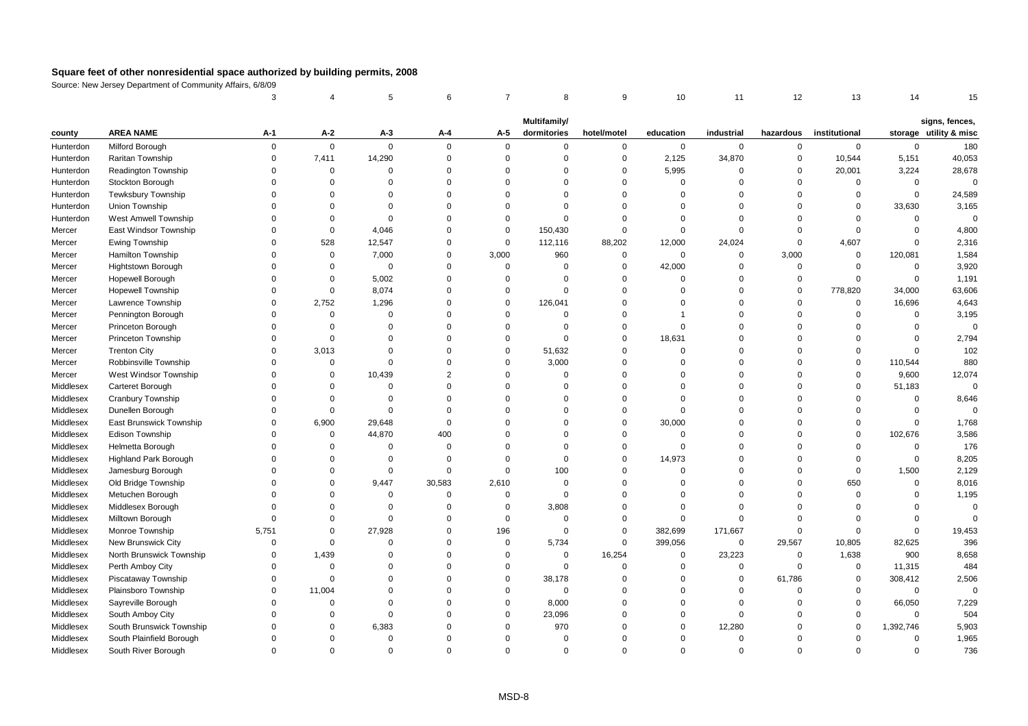|           |                              | 3           |             | 5              | 6              | $\overline{7}$ | 8                           | 9              | 10          | 11          | 12          | 13            | 14          | 15                                       |
|-----------|------------------------------|-------------|-------------|----------------|----------------|----------------|-----------------------------|----------------|-------------|-------------|-------------|---------------|-------------|------------------------------------------|
|           |                              |             |             |                |                |                |                             |                |             |             |             |               |             |                                          |
| county    | <b>AREA NAME</b>             | A-1         | A-2         | $A-3$          | A-4            | A-5            | Multifamily/<br>dormitories | hotel/motel    | education   | industrial  | hazardous   | institutional |             | signs, fences,<br>storage utility & misc |
| Hunterdon | Milford Borough              | $\mathbf 0$ | $\mathbf 0$ | $\mathbf 0$    | $\Omega$       | $\mathbf 0$    | $\mathbf 0$                 | $\mathbf 0$    | $\mathbf 0$ | $\mathbf 0$ | 0           | $\mathbf 0$   | $\mathbf 0$ | 180                                      |
| Hunterdon | Raritan Township             | $\mathbf 0$ | 7,411       | 14,290         | $\Omega$       | $\mathsf 0$    | $\mathbf 0$                 | $\overline{0}$ | 2,125       | 34,870      | $\mathbf 0$ | 10,544        | 5,151       | 40,053                                   |
| Hunterdon | Readington Township          | $\mathbf 0$ | $\mathbf 0$ | $\overline{0}$ | $\Omega$       | $\Omega$       | $\mathbf 0$                 | $\overline{0}$ | 5,995       | $\mathbf 0$ | $\mathbf 0$ | 20,001        | 3,224       | 28,678                                   |
| Hunterdon | Stockton Borough             | $\Omega$    | $\Omega$    | $\Omega$       | $\Omega$       | $\Omega$       | $\Omega$                    | $\Omega$       | $\Omega$    | $\Omega$    | $\Omega$    | $\Omega$      | $\mathbf 0$ | $\Omega$                                 |
| Hunterdon | Tewksbury Township           | $\Omega$    | $\Omega$    | $\Omega$       | $\Omega$       | $\Omega$       | $\mathbf 0$                 | $\Omega$       | $\mathbf 0$ | $\Omega$    | $\Omega$    | 0             | $\mathbf 0$ | 24,589                                   |
| Hunterdon | Union Township               | $\Omega$    | $\Omega$    | $\Omega$       | $\Omega$       | $\Omega$       | $\mathbf 0$                 | $\Omega$       | $\mathbf 0$ | $\Omega$    | $\Omega$    | $\mathbf 0$   | 33,630      | 3,165                                    |
| Hunterdon | West Amwell Township         | $\Omega$    | $\mathbf 0$ | $\Omega$       | $\Omega$       | $\mathbf 0$    | $\mathbf 0$                 | $\overline{0}$ | $\mathbf 0$ | $\mathbf 0$ | $\Omega$    | $\Omega$      | $\Omega$    | $\mathsf 0$                              |
| Mercer    | East Windsor Township        | $\Omega$    | $\mathbf 0$ | 4.046          | $\Omega$       | $\Omega$       | 150,430                     | $\mathbf 0$    | $\Omega$    | $\Omega$    | $\Omega$    | $\Omega$      | $\Omega$    | 4,800                                    |
| Mercer    | Ewing Township               | $\Omega$    | 528         | 12,547         | $\Omega$       | $\mathsf 0$    | 112,116                     | 88,202         | 12,000      | 24,024      | $\mathbf 0$ | 4,607         | $\Omega$    | 2,316                                    |
| Mercer    | Hamilton Township            | $\Omega$    | $\mathbf 0$ | 7,000          | $\mathbf 0$    | 3,000          | 960                         | $\mathbf 0$    | $\mathbf 0$ | $\mathsf 0$ | 3,000       | $\mathbf 0$   | 120,081     | 1,584                                    |
| Mercer    | Hightstown Borough           | $\Omega$    | $\mathbf 0$ | $\mathbf 0$    | $\Omega$       | $\mathsf 0$    | $\mathbf 0$                 | $\mathbf 0$    | 42,000      | $\Omega$    | $\mathbf 0$ | $\mathbf 0$   | $\Omega$    | 3,920                                    |
| Mercer    | Hopewell Borough             | $\Omega$    | $\mathbf 0$ | 5,002          | $\Omega$       | $\Omega$       | $\mathbf 0$                 | $\overline{0}$ | $\Omega$    | $\Omega$    | $\Omega$    | $\mathbf 0$   | $\Omega$    | 1,191                                    |
| Mercer    | <b>Hopewell Township</b>     | $\Omega$    | $\mathbf 0$ | 8,074          | $\Omega$       | $\Omega$       | $\mathbf 0$                 | $\Omega$       | $\Omega$    | $\Omega$    | $\Omega$    | 778,820       | 34,000      | 63,606                                   |
| Mercer    | Lawrence Township            | $\Omega$    | 2,752       | 1,296          | $\Omega$       | $\Omega$       | 126,041                     | $\Omega$       | $\Omega$    | $\Omega$    | $\Omega$    | $\mathbf 0$   | 16,696      | 4,643                                    |
| Mercer    | Pennington Borough           | $\Omega$    | $\mathbf 0$ | $\Omega$       | $\Omega$       | $\Omega$       | $\Omega$                    | $\Omega$       |             | $\Omega$    | $\Omega$    | $\Omega$      | $\Omega$    | 3,195                                    |
| Mercer    | Princeton Borough            | $\Omega$    | $\mathbf 0$ | $\Omega$       | $\Omega$       | $\Omega$       | $\mathbf 0$                 | $\mathbf 0$    | $\Omega$    | $\Omega$    | $\Omega$    | $\Omega$      | $\mathbf 0$ | $\Omega$                                 |
| Mercer    | Princeton Township           | $\mathbf 0$ | $\mathbf 0$ | $\Omega$       | $\Omega$       | $\Omega$       | $\mathbf 0$                 | $\overline{0}$ | 18,631      | $\Omega$    | $\Omega$    | $\Omega$      | $\Omega$    | 2,794                                    |
| Mercer    | <b>Trenton City</b>          | $\mathbf 0$ | 3,013       | $\overline{0}$ | $\Omega$       | $\mathbf 0$    | 51,632                      | $\overline{0}$ | $\Omega$    | $\mathbf 0$ | $\Omega$    | $\Omega$      | $\Omega$    | 102                                      |
| Mercer    | Robbinsville Township        | $\Omega$    | $\mathbf 0$ | $\Omega$       | $\Omega$       | $\Omega$       | 3,000                       | $\Omega$       | $\Omega$    | $\Omega$    | $\Omega$    | $\Omega$      | 110,544     | 880                                      |
| Mercer    | West Windsor Township        | $\Omega$    | $\Omega$    | 10,439         | $\overline{2}$ | $\Omega$       | $\Omega$                    | $\Omega$       | $\Omega$    | $\Omega$    | $\Omega$    | $\mathbf 0$   | 9,600       | 12,074                                   |
| Middlesex | Carteret Borough             | $\Omega$    | $\Omega$    | $\overline{0}$ | $\Omega$       | $\Omega$       | $\mathbf 0$                 | $\overline{0}$ | $\Omega$    | $\Omega$    | $\Omega$    | $\mathbf 0$   | 51,183      | $\Omega$                                 |
| Middlesex | Cranbury Township            | $\Omega$    | $\Omega$    | $\mathbf 0$    | $\Omega$       | $\Omega$       | $\mathbf 0$                 | $\overline{0}$ | $\Omega$    | $\Omega$    | $\Omega$    | $\mathbf 0$   | $\mathbf 0$ | 8,646                                    |
| Middlesex | Dunellen Borough             | $\Omega$    | $\Omega$    | $\Omega$       | $\Omega$       | $\Omega$       | $\mathbf 0$                 | $\Omega$       | $\Omega$    | $\Omega$    | $\Omega$    | $\Omega$      | $\Omega$    | $\Omega$                                 |
| Middlesex | East Brunswick Township      | $\Omega$    | 6,900       | 29,648         | $\Omega$       | $\Omega$       | $\Omega$                    | $\Omega$       | 30,000      | $\Omega$    | $\Omega$    | $\Omega$      | $\Omega$    | 1,768                                    |
| Middlesex | Edison Township              | $\Omega$    | 0           | 44,870         | 400            | $\Omega$       | $\Omega$                    | $\overline{0}$ | $\Omega$    | $\Omega$    | $\Omega$    | $\mathbf 0$   | 102,676     | 3,586                                    |
| Middlesex | Helmetta Borough             | $\Omega$    | 0           | $\mathsf 0$    | $\Omega$       | $\Omega$       | $\mathbf 0$                 | $\mathsf 0$    | $\mathbf 0$ | $\Omega$    | $\Omega$    | $\Omega$      | $\Omega$    | 176                                      |
| Middlesex | <b>Highland Park Borough</b> | $\Omega$    | $\Omega$    | $\mathbf 0$    | $\Omega$       | $\Omega$       | $\mathbf 0$                 | $\mathbf 0$    | 14,973      | $\Omega$    | $\Omega$    | $\mathbf 0$   | $\Omega$    | 8,205                                    |
| Middlesex | Jamesburg Borough            | $\Omega$    | $\Omega$    | $\mathbf 0$    | $\Omega$       | $\Omega$       | 100                         | $\overline{0}$ | $\Omega$    | $\Omega$    | $\Omega$    | $\mathbf 0$   | 1,500       | 2,129                                    |
| Middlesex | Old Bridge Township          | $\Omega$    | $\mathbf 0$ | 9,447          | 30,583         | 2,610          | 0                           | $\Omega$       | $\Omega$    | $\Omega$    | $\Omega$    | 650           | $\Omega$    | 8,016                                    |
| Middlesex | Metuchen Borough             | $\Omega$    | $\mathbf 0$ | $\Omega$       | $\Omega$       | $\mathbf 0$    | $\mathbf 0$                 | $\Omega$       | $\Omega$    | $\Omega$    | $\Omega$    | $\Omega$      | $\Omega$    | 1,195                                    |
| Middlesex | Middlesex Borough            | $\Omega$    | $\Omega$    | $\Omega$       | $\Omega$       | $\mathbf 0$    | 3,808                       | $\Omega$       | $\Omega$    | $\Omega$    | $\Omega$    | $\Omega$      | $\Omega$    | $\Omega$                                 |
| Middlesex | Milltown Borough             | $\Omega$    | $\Omega$    | $\mathbf 0$    | $\mathbf 0$    | $\mathbf 0$    | 0                           | $\overline{0}$ | $\Omega$    | $\Omega$    | $\Omega$    | $\Omega$      | $\Omega$    | $\Omega$                                 |
| Middlesex | Monroe Township              | 5,751       | $\mathbf 0$ | 27,928         | $\overline{0}$ | 196            | $\mathbf 0$                 | $\overline{0}$ | 382,699     | 171,667     | $\mathbf 0$ | $\Omega$      | $\Omega$    | 19,453                                   |
| Middlesex | New Brunswick City           | $\mathbf 0$ | $\mathbf 0$ | $\mathbf 0$    | $\Omega$       | $\mathsf 0$    | 5,734                       | $\overline{0}$ | 399,056     | $\mathsf 0$ | 29,567      | 10,805        | 82,625      | 396                                      |
| Middlesex | North Brunswick Township     | $\Omega$    | 1,439       | $\Omega$       | $\Omega$       | $\Omega$       | $\mathbf 0$                 | 16,254         | $\mathbf 0$ | 23,223      | $\mathbf 0$ | 1,638         | 900         | 8,658                                    |
| Middlesex | Perth Amboy City             | $\Omega$    | $\mathbf 0$ | $\Omega$       | $\Omega$       | $\Omega$       | $\mathbf 0$                 | $\mathbf 0$    | $\mathbf 0$ | $\Omega$    | $\mathbf 0$ | $\mathsf 0$   | 11,315      | 484                                      |
| Middlesex | Piscataway Township          | $\Omega$    | $\mathbf 0$ | $\Omega$       | $\mathbf 0$    | $\Omega$       | 38,178                      | $\Omega$       | $\mathbf 0$ | $\Omega$    | 61,786      | $\mathbf 0$   | 308,412     | 2,506                                    |
| Middlesex | Plainsboro Township          | $\mathbf 0$ | 11,004      | $\Omega$       | $\Omega$       | $\mathbf 0$    | $\mathbf 0$                 | $\overline{0}$ | $\Omega$    | $\mathbf 0$ | $\mathbf 0$ | $\mathsf 0$   | $\Omega$    | $\Omega$                                 |
| Middlesex | Sayreville Borough           | $\Omega$    | $\Omega$    | $\Omega$       | $\Omega$       | $\Omega$       | 8,000                       | $\Omega$       | $\Omega$    | $\Omega$    | $\Omega$    | $\Omega$      | 66,050      | 7,229                                    |
| Middlesex | South Amboy City             | $\Omega$    | $\Omega$    | $\mathbf 0$    | $\Omega$       | $\Omega$       | 23,096                      | $\Omega$       | $\Omega$    | $\mathbf 0$ | $\Omega$    | $\Omega$      | $\Omega$    | 504                                      |
| Middlesex | South Brunswick Township     | $\Omega$    | $\mathbf 0$ | 6,383          | $\Omega$       | $\Omega$       | 970                         | $\Omega$       | $\Omega$    | 12,280      | $\Omega$    | $\Omega$      | 1,392,746   | 5,903                                    |
| Middlesex | South Plainfield Borough     | $\Omega$    | $\Omega$    | $\mathbf 0$    | $\Omega$       | $\Omega$       | 0                           | $\Omega$       | $\Omega$    | $\Omega$    | $\Omega$    | $\Omega$      | $\Omega$    | 1,965                                    |
| Middlesex | South River Borough          | $\Omega$    | $\Omega$    | $\Omega$       | $\Omega$       | $\Omega$       | $\Omega$                    | $\Omega$       | $\Omega$    | $\Omega$    | $\Omega$    | $\Omega$      | $\Omega$    | 736                                      |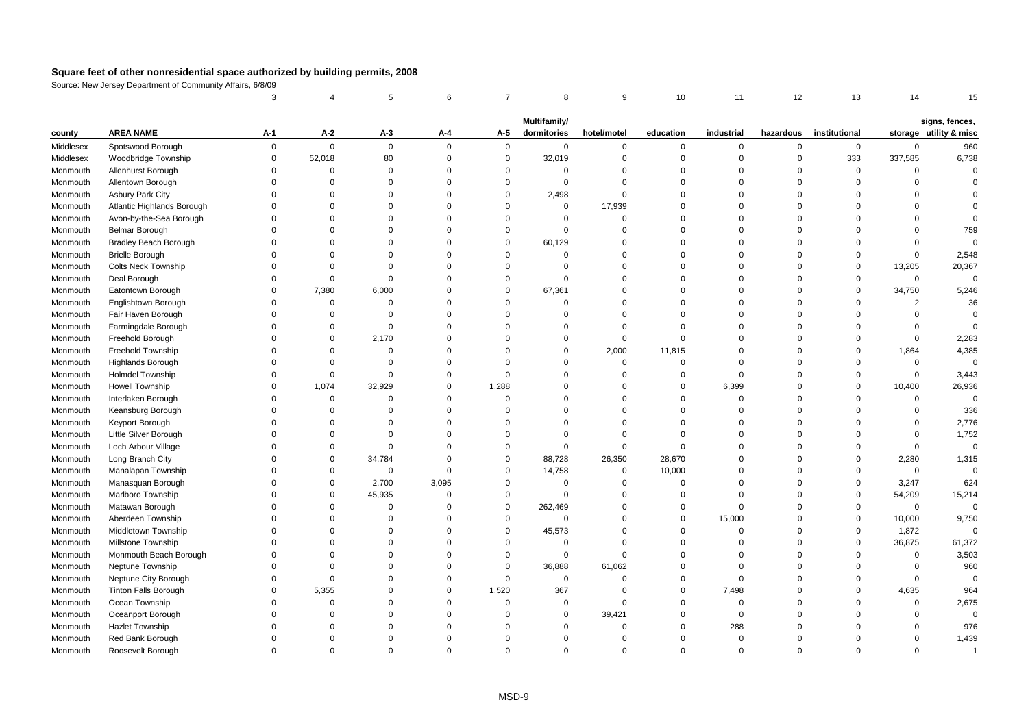|                      |                                               | 3                    |                      | 5                    | 6                          | $\overline{7}$       | 8                        | 9                    | 10                      | 11                   | 12                   | 13                   | 14                   | 15                     |
|----------------------|-----------------------------------------------|----------------------|----------------------|----------------------|----------------------------|----------------------|--------------------------|----------------------|-------------------------|----------------------|----------------------|----------------------|----------------------|------------------------|
|                      |                                               |                      |                      |                      |                            |                      | Multifamily/             |                      |                         |                      |                      |                      |                      | signs, fences,         |
| county               | <b>AREA NAME</b>                              | A-1                  | A-2                  | A-3                  | A-4                        | A-5                  | dormitories              | hotel/motel          | education               | industrial           | hazardous            | institutional        |                      | storage utility & misc |
| Middlesex            | Spotswood Borough                             | $\Omega$             | $\mathbf 0$          | $\mathbf 0$          | $\mathbf 0$                | $\mathbf 0$          | $\mathbf 0$              | $\mathsf 0$          | $\mathbf 0$             | $\mathsf 0$          | $\mathbf 0$          | $\mathbf 0$          | $\mathbf 0$          | 960                    |
| Middlesex            | Woodbridge Township                           | $\Omega$             | 52,018               | 80                   | $\mathbf 0$                | $\mathbf 0$          | 32,019                   | $\mathsf 0$          | $\mathbf 0$             | $\mathbf 0$          | $\mathbf 0$          | 333                  | 337,585              | 6,738                  |
| Monmouth             | Allenhurst Borough                            | $\Omega$             | $\Omega$             | $\mathbf 0$          | $\mathbf 0$                | $\Omega$             | $\mathbf 0$              | $\mathbf 0$          | $\Omega$                | $\Omega$             | $\Omega$             | $\mathsf 0$          | $\Omega$             | $\Omega$               |
| Monmouth             | Allentown Borough                             | $\Omega$             | $\Omega$             | 0                    | $\mathbf 0$                | $\Omega$             | $\mathbf 0$              | $\Omega$             | $\Omega$                | $\Omega$             | $\Omega$             | $\Omega$             | $\Omega$             |                        |
| Monmouth             | Asbury Park City                              | $\Omega$             | $\Omega$             | $\Omega$             | $\mathbf 0$                | $\mathbf 0$          | 2,498                    | $\mathbf 0$          | $\Omega$                | $\Omega$             | $\Omega$             | $\Omega$             | $\Omega$             |                        |
| Monmouth             | Atlantic Highlands Borough                    | $\Omega$             | $\Omega$             | $\Omega$             | $\mathbf 0$                | $\Omega$             | $\mathbf 0$              | 17,939               | $\Omega$                | $\Omega$             | $\Omega$             | $\Omega$             | $\Omega$             |                        |
| Monmouth             | Avon-by-the-Sea Borough                       | $\Omega$             | $\Omega$             | $\Omega$             | $\mathbf 0$                | $\Omega$             | $\mathbf 0$              | $\overline{0}$       | $\Omega$                | $\Omega$             | $\Omega$             | $\Omega$             | $\Omega$             |                        |
| Monmouth             | Belmar Borough                                | $\Omega$             | $\Omega$             | $\Omega$             | $\mathbf 0$                | $\Omega$             | $\mathbf 0$              | $\Omega$             | $\Omega$                | $\Omega$             | $\Omega$             | $\Omega$             | $\Omega$             | 759                    |
| Monmouth             | Bradley Beach Borough                         | $\Omega$             | $\Omega$             | $\Omega$             | $\mathbf 0$                | $\Omega$             | 60,129                   | $\Omega$             | $\Omega$                | $\Omega$             | $\Omega$             | $\Omega$             | $\Omega$             | $\Omega$               |
| Monmouth             | <b>Brielle Borough</b>                        | $\Omega$             | $\Omega$             | $\Omega$             | $\mathbf 0$                | $\Omega$             | $\mathbf 0$              | $\Omega$             | $\Omega$                | $\Omega$             | $\Omega$             | $\Omega$             | $\mathbf 0$          | 2,548                  |
| Monmouth             | <b>Colts Neck Township</b>                    | $\Omega$             | $\Omega$             | $\Omega$             | $\mathbf 0$                | $\Omega$             | $\mathbf 0$              | $\Omega$             | $\Omega$                | $\Omega$             | $\Omega$             | $\Omega$             | 13,205               | 20,367                 |
| Monmouth             | Deal Borough                                  | $\Omega$             | $\Omega$             | $\mathbf 0$          | $\mathbf 0$                | $\mathbf 0$          | $\mathbf 0$              | $\overline{0}$       | $\Omega$                | $\mathbf 0$          | $\Omega$             | $\mathbf 0$          | $\mathsf 0$          | $\bf 0$                |
| Monmouth             | Eatontown Borough                             | $\Omega$             | 7,380                | 6,000                | $\mathbf 0$                | $\Omega$             | 67,361                   | $\Omega$             | $\Omega$                | $\Omega$             | $\Omega$             | $\Omega$             | 34,750               | 5,246                  |
| Monmouth             | Englishtown Borough                           | $\Omega$             | $\Omega$             | $\Omega$             | $\mathbf 0$                | $\Omega$             | $\Omega$                 | $\Omega$             | $\Omega$                | $\Omega$             | $\Omega$             | $\Omega$             | $\overline{2}$       | 36                     |
| Monmouth             | Fair Haven Borough                            | $\Omega$             | 0                    | $\Omega$             | $\mathbf 0$                | $\Omega$             | $\mathbf 0$              | $\mathbf 0$          | $\mathbf 0$             | $\Omega$             | $\Omega$             | $\Omega$             | $\Omega$             | $\Omega$               |
| Monmouth             | Farmingdale Borough                           | $\Omega$             | $\Omega$             | $\mathbf 0$          | $\mathbf 0$                | $\Omega$             | $\mathbf 0$              | $\mathbf 0$          | $\mathbf 0$             | $\Omega$             | $\Omega$             | $\Omega$             | $\Omega$             | $\Omega$               |
| Monmouth             | Freehold Borough                              | $\Omega$             | $\Omega$             | 2,170                | $\mathbf 0$                | $\Omega$             | $\mathbf 0$              | $\overline{0}$       | $\mathbf 0$             | $\Omega$             | $\Omega$             | $\Omega$             | $\Omega$             | 2,283                  |
| Monmouth             | Freehold Township                             | $\Omega$             | $\Omega$             | $\Omega$             | $\mathbf 0$                | $\Omega$             | $\mathbf 0$              | 2,000                | 11,815                  | $\mathbf 0$          | $\Omega$             | $\Omega$             | 1,864                | 4,385                  |
| Monmouth             | Highlands Borough                             | $\Omega$             | $\Omega$             | 0                    | $\mathbf 0$                | $\Omega$             | $\Omega$                 | $\mathsf 0$          | $\mathbf 0$             | $\Omega$             | $\Omega$             | $\Omega$             | $\mathbf 0$          | $\mathbf 0$            |
| Monmouth             | Holmdel Township                              | $\Omega$             | $\Omega$             | $\Omega$             | $\mathbf 0$                | $\Omega$             | $\mathbf 0$              | $\mathbf 0$          | $\mathbf 0$             | $\Omega$             | $\Omega$             | $\Omega$             | $\mathbf 0$          | 3,443                  |
| Monmouth             | <b>Howell Township</b>                        | $\Omega$             | 1,074                | 32,929               | $\mathbf 0$                | 1,288                | $\mathbf 0$              | $\overline{0}$       | $\mathbf 0$             | 6,399                | $\Omega$             | $\Omega$             | 10,400               | 26,936                 |
| Monmouth             | Interlaken Borough                            | $\Omega$             | $\mathsf 0$          | 0                    | $\mathbf 0$                | $\mathbf 0$          | $\mathbf 0$              | $\overline{0}$       | $\mathbf 0$             | $\mathsf 0$          | $\Omega$             | $\mathbf 0$          | $\mathbf 0$          | $\mathbf 0$            |
| Monmouth             | Keansburg Borough                             | $\Omega$             | $\Omega$             | $\Omega$             | $\mathbf 0$                | $\Omega$             | $\mathbf 0$              | $\Omega$             | $\Omega$                | $\Omega$             | $\Omega$             | $\Omega$             | $\Omega$             | 336                    |
| Monmouth             | Keyport Borough                               | $\Omega$             | $\Omega$             | 0                    | $\mathbf 0$                | $\Omega$             | $\Omega$                 | $\Omega$             | $\Omega$                | $\Omega$             | $\Omega$             | $\Omega$             | $\Omega$             | 2,776                  |
| Monmouth             | Little Silver Borough                         | $\Omega$             | $\Omega$             | $\Omega$             | $\mathbf 0$                | $\Omega$             | $\mathbf 0$              | $\mathbf 0$          | $\mathbf 0$             | $\Omega$             | $\Omega$             | $\Omega$             | $\mathbf 0$          | 1,752                  |
| Monmouth             | Loch Arbour Village                           | $\Omega$             | $\Omega$             | $\Omega$             | $\mathbf 0$                | $\Omega$             | $\mathbf 0$              | $\mathbf 0$          | $\mathbf 0$             | $\Omega$             | $\Omega$             | $\Omega$             | $\mathbf 0$          | $\Omega$               |
| Monmouth             | Long Branch City                              | $\Omega$             | $\Omega$             | 34,784               | $\mathbf 0$                | $\mathbf 0$          | 88,728                   | 26,350               | 28,670                  | $\Omega$             | $\Omega$             | $\mathbf 0$          | 2,280                | 1,315                  |
| Monmouth             | Manalapan Township                            | $\Omega$             | $\mathbf 0$          | $\mathbf 0$          | $\mathbf 0$                | $\mathbf 0$          | 14,758                   | $\mathsf 0$          | 10,000                  | $\mathbf 0$          | $\Omega$             | $\Omega$             | $\mathbf 0$          | $\Omega$               |
| Monmouth             | Manasquan Borough                             | $\Omega$             | $\mathbf 0$          | 2,700                | 3,095                      | $\mathbf 0$          | $\mathbf 0$              | $\overline{0}$       | $\overline{0}$          | $\mathbf 0$          | $\Omega$             | $\mathbf 0$          | 3,247                | 624                    |
| Monmouth             | Marlboro Township                             | $\Omega$             | $\mathbf 0$          | 45,935               | $\mathbf 0$                | $\mathbf 0$          | $\mathbf 0$              | $\mathbf 0$          | $\mathbf 0$             | $\Omega$             | $\Omega$             | $\Omega$             | 54,209               | 15,214                 |
| Monmouth             | Matawan Borough                               | $\Omega$<br>$\Omega$ | $\Omega$             | 0                    | $\mathbf 0$                | $\mathbf 0$          | 262,469                  | $\mathbf 0$          | $\mathbf 0$             | $\Omega$             | $\Omega$             | $\mathbf 0$          | $\mathbf 0$          | $\Omega$               |
| Monmouth             | Aberdeen Township                             | $\Omega$             | $\Omega$             | $\mathbf 0$          | $\mathbf 0$                | $\mathbf 0$          | $\mathbf 0$              | $\mathsf 0$          | $\mathbf 0$             | 15,000               | $\Omega$             | $\mathsf 0$          | 10,000               | 9,750<br>$\Omega$      |
| Monmouth             | Middletown Township                           | $\Omega$             | $\Omega$<br>$\Omega$ | $\Omega$<br>$\Omega$ | $\mathbf 0$<br>$\mathbf 0$ | $\Omega$<br>$\Omega$ | 45,573                   | $\Omega$<br>$\Omega$ | $\mathbf 0$<br>$\Omega$ | $\Omega$<br>$\Omega$ | $\Omega$             | $\Omega$<br>$\Omega$ | 1,872                |                        |
| Monmouth             | Millstone Township                            | $\Omega$             | $\Omega$             | $\Omega$             | $\mathbf 0$                | $\mathbf 0$          | $\mathbf 0$<br>$\pmb{0}$ | $\mathbf 0$          | $\Omega$                | $\Omega$             | $\Omega$<br>$\Omega$ | $\Omega$             | 36,875<br>$\Omega$   | 61,372<br>3,503        |
| Monmouth<br>Monmouth | Monmouth Beach Borough<br>Neptune Township    | $\Omega$             | $\Omega$             | $\Omega$             | $\mathbf 0$                | $\mathbf 0$          | 36,888                   | 61,062               | $\Omega$                | $\Omega$             | $\Omega$             | $\Omega$             | $\mathbf 0$          | 960                    |
|                      |                                               | $\Omega$             | $\Omega$             | $\Omega$             | $\mathbf 0$                | $\mathbf 0$          | $\mathbf 0$              | $\mathsf 0$          | $\mathbf 0$             | $\mathbf 0$          | $\Omega$             | $\Omega$             | $\Omega$             | $\mathbf 0$            |
| Monmouth             | Neptune City Borough                          | $\Omega$             | 5,355                | $\Omega$             | $\mathbf 0$                | 1,520                |                          | $\overline{0}$       | $\mathbf 0$             |                      | $\Omega$             | $\Omega$             |                      | 964                    |
| Monmouth             | <b>Tinton Falls Borough</b><br>Ocean Township | $\Omega$             | $\mathbf 0$          | $\Omega$             | $\mathbf 0$                | $\mathbf 0$          | 367<br>$\mathbf 0$       | $\overline{0}$       | $\mathbf 0$             | 7,498<br>$\mathbf 0$ | $\Omega$             | $\Omega$             | 4,635<br>$\mathsf 0$ | 2,675                  |
| Monmouth             | Oceanport Borough                             | $\Omega$             | $\Omega$             | $\Omega$             | $\mathbf 0$                | $\Omega$             | $\mathbf 0$              | 39,421               | $\Omega$                | $\mathbf 0$          | $\Omega$             | $\Omega$             | $\Omega$             | $\Omega$               |
| Monmouth             |                                               | $\Omega$             | $\Omega$             | $\Omega$             | $\mathbf 0$                | $\Omega$             |                          | $\overline{0}$       | $\Omega$                | 288                  | 0                    | $\Omega$             | $\Omega$             | 976                    |
| Monmouth<br>Monmouth | <b>Hazlet Township</b><br>Red Bank Borough    | $\Omega$             | $\Omega$             | $\Omega$             | $\Omega$                   | $\Omega$             | 0<br>$\mathbf 0$         | $\Omega$             | $\Omega$                | $\mathbf 0$          | $\Omega$             | $\Omega$             | $\Omega$             | 1,439                  |
| Monmouth             | Roosevelt Borough                             | $\Omega$             | $\Omega$             | $\Omega$             | $\Omega$                   | $\Omega$             | $\Omega$                 | $\Omega$             | $\Omega$                | $\Omega$             | $\Omega$             | $\Omega$             | $\Omega$             | $\mathbf{1}$           |
|                      |                                               |                      |                      |                      |                            |                      |                          |                      |                         |                      |                      |                      |                      |                        |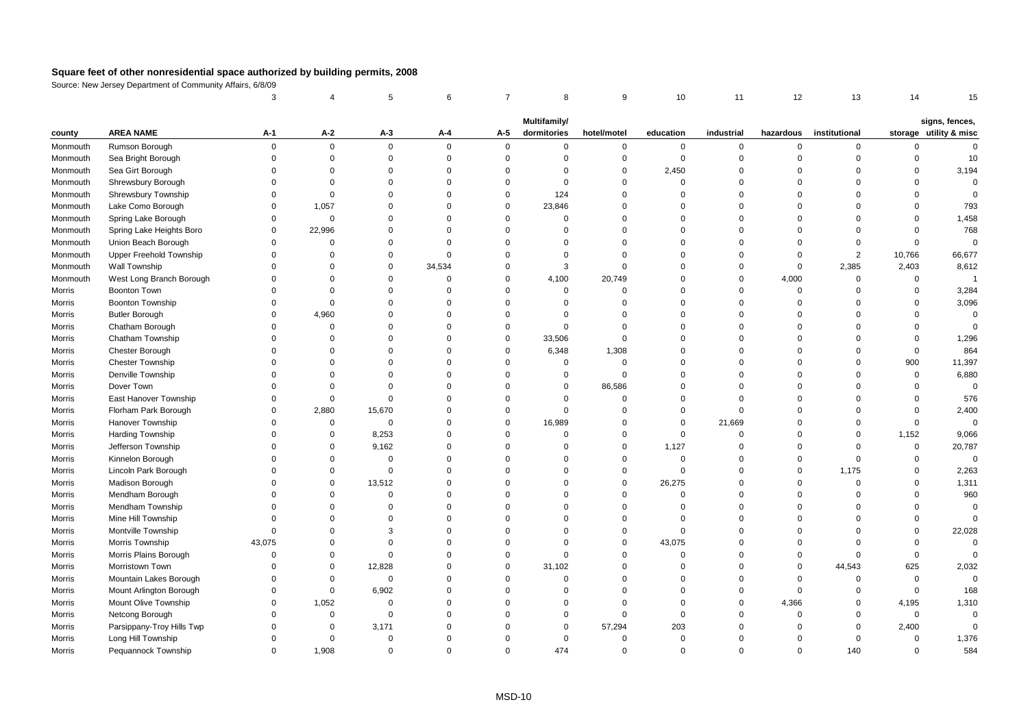|          |                           | 3           |             | 5              | 6        | $\overline{7}$ | 8            | 9           | 10          | 11          | 12             | 13            | 14          | 15                     |
|----------|---------------------------|-------------|-------------|----------------|----------|----------------|--------------|-------------|-------------|-------------|----------------|---------------|-------------|------------------------|
|          |                           |             |             |                |          |                | Multifamily/ |             |             |             |                |               |             | signs, fences,         |
| county   | <b>AREA NAME</b>          | A-1         | A-2         | $A-3$          | A-4      | A-5            | dormitories  | hotel/motel | education   | industrial  | hazardous      | institutional |             | storage utility & misc |
| Monmouth | Rumson Borough            | $\mathbf 0$ | $\mathbf 0$ | $\mathbf 0$    | $\Omega$ | $\mathbf 0$    | 0            | $\mathbf 0$ | $\mathbf 0$ | 0           | $\mathsf 0$    | $\mathbf 0$   | $\Omega$    | $\Omega$               |
| Monmouth | Sea Bright Borough        | $\Omega$    | $\mathbf 0$ | $\mathbf 0$    | $\Omega$ | $\mathbf 0$    | $\Omega$     | $\mathbf 0$ | $\mathbf 0$ | $\mathbf 0$ | $\overline{0}$ | $\Omega$      | $\Omega$    | 10                     |
| Monmouth | Sea Girt Borough          | $\Omega$    | $\mathbf 0$ | $\Omega$       | $\Omega$ | $\Omega$       | $\Omega$     | $\mathbf 0$ | 2,450       | $\mathbf 0$ | $\Omega$       | $\Omega$      | $\Omega$    | 3,194                  |
| Monmouth | Shrewsbury Borough        | $\Omega$    | $\mathbf 0$ | $\Omega$       | $\Omega$ | $\Omega$       | $\Omega$     | $\mathbf 0$ | $\Omega$    | $\mathbf 0$ | $\Omega$       | $\Omega$      | $\Omega$    | $\Omega$               |
| Monmouth | Shrewsbury Township       | $\Omega$    | $\mathbf 0$ | $\Omega$       | $\Omega$ | $\mathbf 0$    | 124          | $\mathbf 0$ | $\Omega$    | $\Omega$    | $\Omega$       | $\Omega$      | $\Omega$    | $\Omega$               |
| Monmouth | Lake Como Borough         | $\mathbf 0$ | 1,057       | $\Omega$       | $\Omega$ | $\mathbf 0$    | 23,846       | $\mathbf 0$ | $\Omega$    | $\mathbf 0$ | $\Omega$       | $\Omega$      | $\Omega$    | 793                    |
| Monmouth | Spring Lake Borough       | $\Omega$    | $\mathbf 0$ | $\Omega$       | $\Omega$ | $\Omega$       | $\Omega$     | $\mathbf 0$ | $\Omega$    | $\Omega$    | $\Omega$       | $\Omega$      | $\Omega$    | 1,458                  |
| Monmouth | Spring Lake Heights Boro  | $\Omega$    | 22,996      | $\Omega$       | $\Omega$ | $\Omega$       | $\Omega$     | $\Omega$    | $\Omega$    | $\Omega$    | $\Omega$       | $\Omega$      | $\Omega$    | 768                    |
| Monmouth | Union Beach Borough       | $\Omega$    | $\Omega$    | $\Omega$       | $\Omega$ | $\Omega$       | $\Omega$     | $\mathbf 0$ | $\Omega$    | $\Omega$    | $\Omega$       | $\Omega$      | $\mathbf 0$ | $\mathbf 0$            |
| Monmouth | Upper Freehold Township   | $\Omega$    | $\mathbf 0$ | $\Omega$       | $\Omega$ | $\mathbf 0$    | $\Omega$     | $\mathbf 0$ | $\Omega$    | $\mathbf 0$ | $\overline{0}$ | 2             | 10,766      | 66,677                 |
| Monmouth | Wall Township             | $\Omega$    | $\Omega$    | 0              | 34,534   | $\Omega$       | 3            | $\mathbf 0$ | $\Omega$    | $\mathbf 0$ | $\mathbf 0$    | 2,385         | 2,403       | 8,612                  |
| Monmouth | West Long Branch Borough  | $\Omega$    | $\Omega$    | $\Omega$       | $\Omega$ | $\Omega$       | 4,100        | 20,749      | $\Omega$    | $\mathbf 0$ | 4,000          | $\mathbf 0$   | $\mathbf 0$ | $\overline{1}$         |
| Morris   | <b>Boonton Town</b>       | $\Omega$    | $\Omega$    | $\Omega$       | $\Omega$ | $\Omega$       | $\Omega$     | $\mathbf 0$ | $\Omega$    | $\Omega$    | $\mathbf 0$    | $\Omega$      | $\Omega$    | 3,284                  |
| Morris   | Boonton Township          | $\Omega$    | $\Omega$    | $\Omega$       | $\Omega$ | $\Omega$       | $\Omega$     | $\Omega$    | $\Omega$    | $\mathbf 0$ | $\Omega$       | $\Omega$      | $\Omega$    | 3,096                  |
| Morris   | <b>Butler Borough</b>     | $\Omega$    | 4,960       | $\Omega$       | $\Omega$ | $\Omega$       | $\Omega$     | $\mathbf 0$ | $\Omega$    | $\mathbf 0$ | $\Omega$       | $\Omega$      | $\Omega$    | $\mathbf 0$            |
| Morris   | Chatham Borough           | $\Omega$    | $\mathbf 0$ | $\Omega$       | $\Omega$ | $\Omega$       | $\Omega$     | $\mathbf 0$ | $\Omega$    | $\Omega$    | $\Omega$       | $\Omega$      | $\Omega$    | $\Omega$               |
| Morris   | Chatham Township          | $\Omega$    | $\Omega$    | $\Omega$       | $\Omega$ | $\mathbf 0$    | 33,506       | $\mathbf 0$ | $\Omega$    | $\Omega$    | $\Omega$       | $\Omega$      | $\Omega$    | 1,296                  |
| Morris   | Chester Borough           | $\Omega$    | $\Omega$    | $\Omega$       | $\Omega$ | $\mathbf 0$    | 6,348        | 1,308       | $\Omega$    | $\mathbf 0$ | $\Omega$       | $\Omega$      | $\mathbf 0$ | 864                    |
| Morris   | <b>Chester Township</b>   | $\Omega$    | $\Omega$    | $\Omega$       | $\Omega$ | $\Omega$       | $\Omega$     | $\mathbf 0$ | $\Omega$    | $\mathbf 0$ | $\Omega$       | $\Omega$      | 900         | 11,397                 |
| Morris   | Denville Township         | $\Omega$    | $\Omega$    | $\Omega$       | $\Omega$ | $\Omega$       | $\mathbf 0$  | $\mathbf 0$ | $\Omega$    | $\Omega$    | $\Omega$       | $\Omega$      | $\mathbf 0$ | 6,880                  |
| Morris   | Dover Town                | $\Omega$    | $\Omega$    | $\Omega$       | $\Omega$ | $\Omega$       | $\Omega$     | 86,586      | $\Omega$    | $\Omega$    | $\Omega$       | $\Omega$      | $\Omega$    | $\mathbf 0$            |
| Morris   | East Hanover Township     | $\Omega$    | $\mathbf 0$ | $\Omega$       | $\Omega$ | $\Omega$       | $\Omega$     | $\mathbf 0$ | $\Omega$    | $\mathbf 0$ | $\Omega$       | $\Omega$      | $\mathbf 0$ | 576                    |
| Morris   | Florham Park Borough      | $\Omega$    | 2,880       | 15,670         | $\Omega$ | $\Omega$       | $\Omega$     | $\mathbf 0$ | $\Omega$    | $\mathbf 0$ | $\Omega$       | $\Omega$      | $\mathsf 0$ | 2,400                  |
| Morris   | Hanover Township          | $\Omega$    | $\mathbf 0$ | $\overline{0}$ | $\Omega$ | $\Omega$       | 16,989       | $\mathbf 0$ | $\Omega$    | 21,669      | $\Omega$       | $\Omega$      | $\mathbf 0$ | $\mathbf 0$            |
| Morris   | Harding Township          | $\Omega$    | $\mathbf 0$ | 8,253          | $\Omega$ | $\mathbf 0$    | $\Omega$     | $\mathbf 0$ | $\Omega$    | $\mathbf 0$ | $\mathbf 0$    | $\Omega$      | 1,152       | 9,066                  |
| Morris   | Jefferson Township        | $\Omega$    | $\Omega$    | 9,162          | $\Omega$ | $\Omega$       | $\Omega$     | $\mathbf 0$ | 1,127       | 0           | $\mathsf 0$    | $\mathbf 0$   | $\mathsf 0$ | 20,787                 |
| Morris   | Kinnelon Borough          | $\Omega$    | $\Omega$    | $\Omega$       | $\Omega$ | $\Omega$       | $\Omega$     | $\mathbf 0$ | $\Omega$    | $\mathbf 0$ | $\Omega$       | $\Omega$      | $\Omega$    | $\mathbf 0$            |
| Morris   | Lincoln Park Borough      | $\Omega$    | $\Omega$    | $\Omega$       | $\Omega$ | $\Omega$       | $\Omega$     | $\mathbf 0$ | $\Omega$    | $\mathbf 0$ | $\mathbf 0$    | 1,175         | $\Omega$    | 2,263                  |
| Morris   | Madison Borough           | $\Omega$    | $\Omega$    | 13,512         | $\Omega$ | $\Omega$       | $\Omega$     | $\mathbf 0$ | 26,275      | $\Omega$    | $\Omega$       | $\Omega$      | $\Omega$    | 1,311                  |
| Morris   | Mendham Borough           | $\Omega$    | $\mathbf 0$ | $\Omega$       | $\Omega$ | $\Omega$       | $\Omega$     | $\mathbf 0$ | $\Omega$    | $\mathbf 0$ | $\mathbf 0$    | $\Omega$      | $\Omega$    | 960                    |
| Morris   | Mendham Township          | $\Omega$    | $\Omega$    | $\Omega$       | $\Omega$ | $\Omega$       | $\Omega$     | $\mathbf 0$ | $\Omega$    | $\mathbf 0$ | $\mathbf 0$    | $\Omega$      | $\Omega$    | $\Omega$               |
| Morris   | Mine Hill Township        | $\Omega$    | $\Omega$    | $\Omega$       | $\Omega$ | $\Omega$       | $\Omega$     | $\mathbf 0$ | $\Omega$    | $\Omega$    | $\Omega$       | $\Omega$      | $\Omega$    | $\mathbf 0$            |
| Morris   | Montville Township        | $\Omega$    | $\Omega$    | 3              | $\Omega$ | $\Omega$       | $\Omega$     | $\mathbf 0$ | $\Omega$    | $\mathbf 0$ | $\mathbf 0$    | $\Omega$      | $\Omega$    | 22,028                 |
| Morris   | Morris Township           | 43,075      | $\Omega$    | $\Omega$       | $\Omega$ | $\Omega$       | $\Omega$     | $\mathbf 0$ | 43,075      | $\Omega$    | $\overline{0}$ | $\Omega$      | $\Omega$    | $\mathbf 0$            |
| Morris   | Morris Plains Borough     | $\Omega$    | 0           | $\Omega$       | $\Omega$ | $\Omega$       | $\Omega$     | $\Omega$    | $\Omega$    | $\Omega$    | $\mathbf 0$    | $\Omega$      | $\Omega$    | $\Omega$               |
| Morris   | Morristown Town           | $\Omega$    | $\mathbf 0$ | 12,828         | $\Omega$ | $\Omega$       | 31,102       | $\mathbf 0$ | $\Omega$    | $\Omega$    | $\mathbf 0$    | 44,543        | 625         | 2,032                  |
| Morris   | Mountain Lakes Borough    | $\Omega$    | $\Omega$    | $\mathbf 0$    | $\Omega$ | $\Omega$       | $\Omega$     | $\Omega$    | $\Omega$    | $\Omega$    | $\overline{0}$ | 0             | $\mathsf 0$ | $\mathbf 0$            |
| Morris   | Mount Arlington Borough   | $\mathbf 0$ | $\mathbf 0$ | 6,902          | $\Omega$ | $\Omega$       | $\Omega$     | $\mathbf 0$ | $\Omega$    | 0           | $\overline{0}$ | $\Omega$      | $\mathsf 0$ | 168                    |
| Morris   | Mount Olive Township      | $\Omega$    | 1,052       | $\Omega$       | $\Omega$ | $\Omega$       | $\Omega$     | $\Omega$    | $\Omega$    | $\Omega$    | 4,366          | $\mathbf 0$   | 4,195       | 1,310                  |
| Morris   | Netcong Borough           | $\Omega$    | $\mathbf 0$ | $\Omega$       | $\Omega$ | $\Omega$       | $\Omega$     | $\Omega$    | $\Omega$    | $\Omega$    | $\mathbf 0$    | $\Omega$      | $\mathbf 0$ | $\Omega$               |
| Morris   | Parsippany-Troy Hills Twp | $\Omega$    | 0           | 3,171          | $\Omega$ | $\Omega$       | $\Omega$     | 57,294      | 203         | 0           | $\Omega$       | $\mathbf 0$   | 2,400       | $\Omega$               |
| Morris   | Long Hill Township        | $\Omega$    | $\mathbf 0$ | $\Omega$       | $\Omega$ | $\Omega$       | $\Omega$     | $\mathbf 0$ | $\Omega$    | $\mathbf 0$ | $\Omega$       | $\mathbf 0$   | $\mathsf 0$ | 1,376                  |
| Morris   | Pequannock Township       | $\Omega$    | 1.908       | $\Omega$       | $\Omega$ | $\Omega$       | 474          | $\Omega$    | $\Omega$    | $\Omega$    | $\Omega$       | 140           | $\Omega$    | 584                    |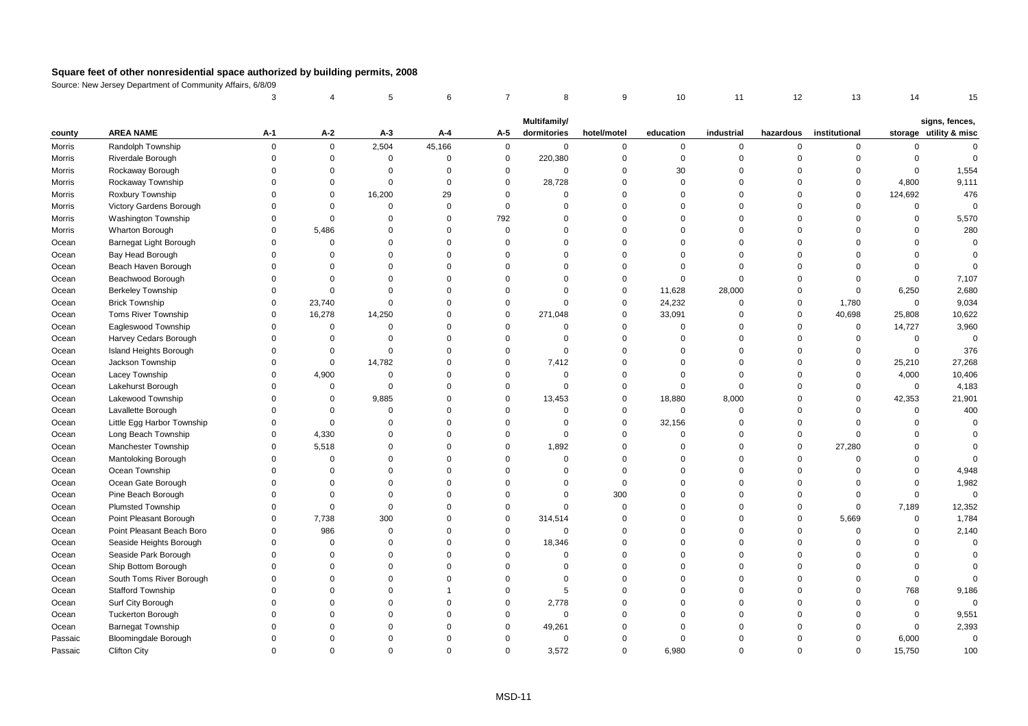|         |                             | 3              |              | 5           | 6              | $\overline{7}$ | 8            | 9           | 10          | 11          | 12             | 13            | 14          | 15                     |
|---------|-----------------------------|----------------|--------------|-------------|----------------|----------------|--------------|-------------|-------------|-------------|----------------|---------------|-------------|------------------------|
|         |                             |                |              |             |                |                | Multifamily/ |             |             |             |                |               |             | signs, fences,         |
| county  | <b>AREA NAME</b>            | A-1            | A-2          | $A-3$       | A-4            | A-5            | dormitories  | hotel/motel | education   | industrial  | hazardous      | institutional |             | storage utility & misc |
| Morris  | Randolph Township           | $\overline{0}$ | $\mathbf 0$  | 2,504       | 45,166         | $\mathsf 0$    | $\mathbf 0$  | $\mathbf 0$ | $\mathbf 0$ | 0           | $\mathbf 0$    | $\mathbf 0$   | 0           | $\Omega$               |
| Morris  | Riverdale Borough           | $\Omega$       | $\mathbf 0$  | $\mathsf 0$ | $\Omega$       | $\mathsf 0$    | 220,380      | $\mathbf 0$ | $\mathbf 0$ | $\mathbf 0$ | $\overline{0}$ | $\mathbf 0$   | $\mathbf 0$ | $\mathbf 0$            |
| Morris  | Rockaway Borough            | $\Omega$       | $\Omega$     | $\Omega$    | $\Omega$       | $\mathbf 0$    | $\Omega$     | $\mathbf 0$ | 30          | $\mathbf 0$ | $\Omega$       | $\Omega$      | $\mathbf 0$ | 1,554                  |
| Morris  | Rockaway Township           | $\Omega$       | 0            | $\mathbf 0$ | $\Omega$       | $\mathbf 0$    | 28,728       | $\mathbf 0$ | $\Omega$    | $\mathbf 0$ | $\Omega$       | $\mathbf 0$   | 4,800       | 9,111                  |
| Morris  | Roxbury Township            | $\Omega$       | $\mathbf 0$  | 16,200      | 29             | $\mathbf 0$    | $\Omega$     | $\mathbf 0$ | $\Omega$    | $\mathbf 0$ | $\mathbf 0$    | $\mathbf 0$   | 124,692     | 476                    |
| Morris  | Victory Gardens Borough     | $\Omega$       | $\mathbf{0}$ | $\mathbf 0$ | $\Omega$       | $\mathbf 0$    | $\Omega$     | $\mathbf 0$ | $\Omega$    | $\mathbf 0$ | $\Omega$       | $\Omega$      | $\mathsf 0$ | $\Omega$               |
| Morris  | <b>Washington Township</b>  | $\Omega$       | $\mathbf 0$  | $\Omega$    | $\Omega$       | 792            | $\Omega$     | $\mathbf 0$ | $\Omega$    | $\Omega$    | $\Omega$       | $\Omega$      | $\mathbf 0$ | 5,570                  |
| Morris  | Wharton Borough             | $\Omega$       | 5,486        | $\Omega$    | $\Omega$       | $\mathbf 0$    | $\Omega$     | $\mathbf 0$ | $\Omega$    | $\mathbf 0$ | $\Omega$       | $\Omega$      | $\Omega$    | 280                    |
| Ocean   | Barnegat Light Borough      | $\Omega$       | $\mathbf 0$  | $\Omega$    | $\Omega$       | $\Omega$       | $\Omega$     | $\Omega$    | $\Omega$    | $\Omega$    | $\Omega$       | $\Omega$      | $\Omega$    | $\Omega$               |
| Ocean   | Bay Head Borough            | $\Omega$       | $\mathbf 0$  | $\Omega$    | $\Omega$       | $\Omega$       | $\Omega$     | $\mathbf 0$ | $\Omega$    | $\mathbf 0$ | $\mathbf 0$    | $\Omega$      | $\Omega$    | $\Omega$               |
| Ocean   | Beach Haven Borough         | $\Omega$       | $\mathbf 0$  | $\Omega$    | $\Omega$       | $\Omega$       | $\Omega$     | $\mathbf 0$ | $\Omega$    | $\mathbf 0$ | $\mathbf 0$    | $\Omega$      | $\Omega$    | $\Omega$               |
| Ocean   | Beachwood Borough           | $\mathbf 0$    | $\Omega$     | $\Omega$    | $\Omega$       | $\Omega$       | $\Omega$     | $\mathbf 0$ | $\mathbf 0$ | $\mathbf 0$ | $\overline{0}$ | $\mathbf 0$   | $\mathbf 0$ | 7,107                  |
| Ocean   | Berkeley Township           | $\Omega$       | $\Omega$     | $\Omega$    | $\Omega$       | $\Omega$       | $\Omega$     | $\mathbf 0$ | 11,628      | 28,000      | $\mathbf 0$    | $\mathbf 0$   | 6,250       | 2,680                  |
| Ocean   | <b>Brick Township</b>       | $\Omega$       | 23,740       | $\Omega$    | $\Omega$       | $\Omega$       | $\Omega$     | $\mathbf 0$ | 24,232      | $\Omega$    | $\mathbf 0$    | 1,780         | $\mathbf 0$ | 9,034                  |
| Ocean   | Toms River Township         | $\Omega$       | 16,278       | 14,250      | $\Omega$       | $\mathbf 0$    | 271,048      | $\mathbf 0$ | 33,091      | $\mathbf 0$ | $\mathsf 0$    | 40,698        | 25,808      | 10,622                 |
| Ocean   | Eagleswood Township         | $\Omega$       | $\mathbf 0$  | $\Omega$    | $\Omega$       | $\Omega$       | $\Omega$     | $\mathbf 0$ | $\Omega$    | $\Omega$    | $\mathsf 0$    | $\mathbf 0$   | 14,727      | 3,960                  |
| Ocean   | Harvey Cedars Borough       | $\Omega$       | $\mathbf 0$  | $\Omega$    | $\Omega$       | $\Omega$       | $\Omega$     | $\mathbf 0$ | $\Omega$    | $\mathbf 0$ | $\Omega$       | $\mathbf 0$   | 0           | $\mathbf 0$            |
| Ocean   | Island Heights Borough      | $\Omega$       | $\mathbf 0$  | $\Omega$    | $\Omega$       | $\Omega$       | $\Omega$     | $\mathbf 0$ | $\Omega$    | $\mathbf 0$ | $\Omega$       | $\mathbf 0$   | $\mathsf 0$ | 376                    |
| Ocean   | Jackson Township            | $\Omega$       | $\mathbf 0$  | 14,782      | $\Omega$       | $\mathbf 0$    | 7,412        | $\mathbf 0$ | $\Omega$    | $\Omega$    | $\overline{0}$ | $\mathbf 0$   | 25,210      | 27,268                 |
| Ocean   | Lacey Township              | $\Omega$       | 4,900        | $\Omega$    | $\Omega$       | $\Omega$       | $\Omega$     | $\Omega$    | $\Omega$    | $\mathbf 0$ | $\Omega$       | $\Omega$      | 4,000       | 10,406                 |
| Ocean   | Lakehurst Borough           | $\Omega$       | $\mathbf 0$  | $\mathbf 0$ | $\Omega$       | $\mathbf 0$    | $\Omega$     | $\mathbf 0$ | $\Omega$    | $\mathbf 0$ | $\mathbf 0$    | $\mathbf 0$   | $\mathsf 0$ | 4,183                  |
| Ocean   | Lakewood Township           | $\Omega$       | $\mathbf 0$  | 9,885       | $\Omega$       | $\Omega$       | 13,453       | $\mathbf 0$ | 18,880      | 8,000       | $\overline{0}$ | $\mathbf 0$   | 42,353      | 21,901                 |
| Ocean   | Lavallette Borough          | $\Omega$       | $\Omega$     | $\Omega$    | $\Omega$       | $\Omega$       | $\Omega$     | $\mathbf 0$ | $\Omega$    | $\mathbf 0$ | $\Omega$       | $\Omega$      | $\mathbf 0$ | 400                    |
| Ocean   | Little Egg Harbor Township  | $\Omega$       | $\Omega$     | $\Omega$    | $\Omega$       | $\Omega$       | $\Omega$     | $\mathbf 0$ | 32,156      | $\Omega$    | $\mathbf 0$    | $\Omega$      | $\Omega$    | $\Omega$               |
| Ocean   | Long Beach Township         | $\Omega$       | 4,330        | $\Omega$    | $\Omega$       | $\mathbf 0$    | $\Omega$     | $\mathbf 0$ | $\Omega$    | $\mathbf 0$ | $\mathsf 0$    | $\Omega$      | $\Omega$    | $\Omega$               |
| Ocean   | Manchester Township         | $\Omega$       | 5,518        | $\Omega$    | $\Omega$       | $\mathbf 0$    | 1,892        | $\mathbf 0$ | $\Omega$    | $\mathbf 0$ | $\mathbf 0$    | 27,280        | $\Omega$    | $\Omega$               |
| Ocean   | Mantoloking Borough         | $\Omega$       | $\Omega$     | $\Omega$    | $\Omega$       | $\Omega$       | $\Omega$     | $\mathbf 0$ | $\Omega$    | $\Omega$    | $\overline{0}$ | $\mathbf 0$   | $\Omega$    | $\Omega$               |
| Ocean   | Ocean Township              | $\Omega$       | $\Omega$     | $\Omega$    | $\Omega$       | $\Omega$       | $\Omega$     | $\mathbf 0$ | $\Omega$    | $\mathbf 0$ | $\Omega$       | $\Omega$      | $\Omega$    | 4,948                  |
| Ocean   | Ocean Gate Borough          | $\Omega$       | $\Omega$     | $\Omega$    | $\Omega$       | $\Omega$       | $\Omega$     | $\mathbf 0$ | $\Omega$    | $\Omega$    | $\Omega$       | $\Omega$      | $\Omega$    | 1,982                  |
| Ocean   | Pine Beach Borough          | $\Omega$       | $\Omega$     | $\Omega$    | $\Omega$       | $\Omega$       | $\Omega$     | 300         | $\Omega$    | $\Omega$    | $\mathbf 0$    | $\Omega$      | $\Omega$    | $\mathbf 0$            |
| Ocean   | <b>Plumsted Township</b>    | $\Omega$       | $\mathbf 0$  | $\mathbf 0$ | $\Omega$       | $\Omega$       | $\mathbf 0$  | $\mathbf 0$ | $\Omega$    | 0           | $\mathbf 0$    | $\mathbf 0$   | 7,189       | 12,352                 |
| Ocean   | Point Pleasant Borough      | $\Omega$       | 7,738        | 300         | $\Omega$       | $\mathsf 0$    | 314,514      | $\mathbf 0$ | $\Omega$    | $\mathbf 0$ | $\mathbf 0$    | 5,669         | $\mathsf 0$ | 1,784                  |
| Ocean   | Point Pleasant Beach Boro   | $\Omega$       | 986          | $\mathbf 0$ | $\Omega$       | $\mathbf 0$    | $\Omega$     | $\mathbf 0$ | $\Omega$    | $\mathbf 0$ | $\Omega$       | $\mathbf 0$   | $\Omega$    | 2,140                  |
| Ocean   | Seaside Heights Borough     | $\Omega$       | $\Omega$     | $\Omega$    | $\Omega$       | $\mathbf 0$    | 18,346       | $\mathbf 0$ | $\Omega$    | $\Omega$    | $\Omega$       | $\Omega$      | $\Omega$    | $\mathbf 0$            |
| Ocean   | Seaside Park Borough        | $\Omega$       | $\Omega$     | $\Omega$    | $\Omega$       | $\Omega$       | $\Omega$     | $\mathbf 0$ | $\Omega$    | $\Omega$    | $\Omega$       | $\Omega$      | $\Omega$    | $\Omega$               |
| Ocean   | Ship Bottom Borough         | $\Omega$       | $\Omega$     | $\Omega$    | $\Omega$       | $\Omega$       | $\Omega$     | $\mathbf 0$ | $\Omega$    | $\Omega$    | $\mathbf 0$    | $\Omega$      | $\Omega$    | $\Omega$               |
| Ocean   | South Toms River Borough    | $\Omega$       | $\Omega$     | $\Omega$    | $\Omega$       | $\Omega$       | $\Omega$     | $\mathbf 0$ | $\Omega$    | $\Omega$    | $\Omega$       | $\Omega$      | $\mathbf 0$ | $\Omega$               |
| Ocean   | Stafford Township           | $\Omega$       | $\Omega$     | $\Omega$    | $\overline{1}$ | $\Omega$       | 5            | $\mathbf 0$ | $\Omega$    | $\mathbf 0$ | $\Omega$       | $\Omega$      | 768         | 9,186                  |
| Ocean   | Surf City Borough           | $\Omega$       | $\Omega$     | $\Omega$    | $\Omega$       | $\mathbf 0$    | 2,778        | $\mathbf 0$ | $\Omega$    | 0           | $\Omega$       | $\Omega$      | $\mathsf 0$ | $\mathsf 0$            |
| Ocean   | <b>Tuckerton Borough</b>    | $\Omega$       | $\Omega$     | $\Omega$    | $\Omega$       | $\Omega$       | $\Omega$     | $\Omega$    | $\Omega$    | $\Omega$    | $\Omega$       | $\Omega$      | $\Omega$    | 9,551                  |
| Ocean   | <b>Barnegat Township</b>    | $\Omega$       | $\Omega$     | 0           | $\Omega$       | $\Omega$       | 49,261       | $\mathbf 0$ | $\Omega$    | $\Omega$    | $\Omega$       | $\Omega$      | 0           | 2,393                  |
| Passaic | <b>Bloomingdale Borough</b> | $\Omega$       | $\Omega$     | $\Omega$    | $\Omega$       | $\Omega$       | $\mathbf 0$  | $\mathbf 0$ | $\Omega$    | $\Omega$    | $\Omega$       | $\Omega$      | 6,000       | $\mathsf 0$            |
| Passaic | <b>Clifton City</b>         | $\Omega$       | $\Omega$     | $\Omega$    | $\Omega$       | $\Omega$       | 3,572        | $\Omega$    | 6.980       | $\Omega$    | $\Omega$       | $\Omega$      | 15,750      | 100                    |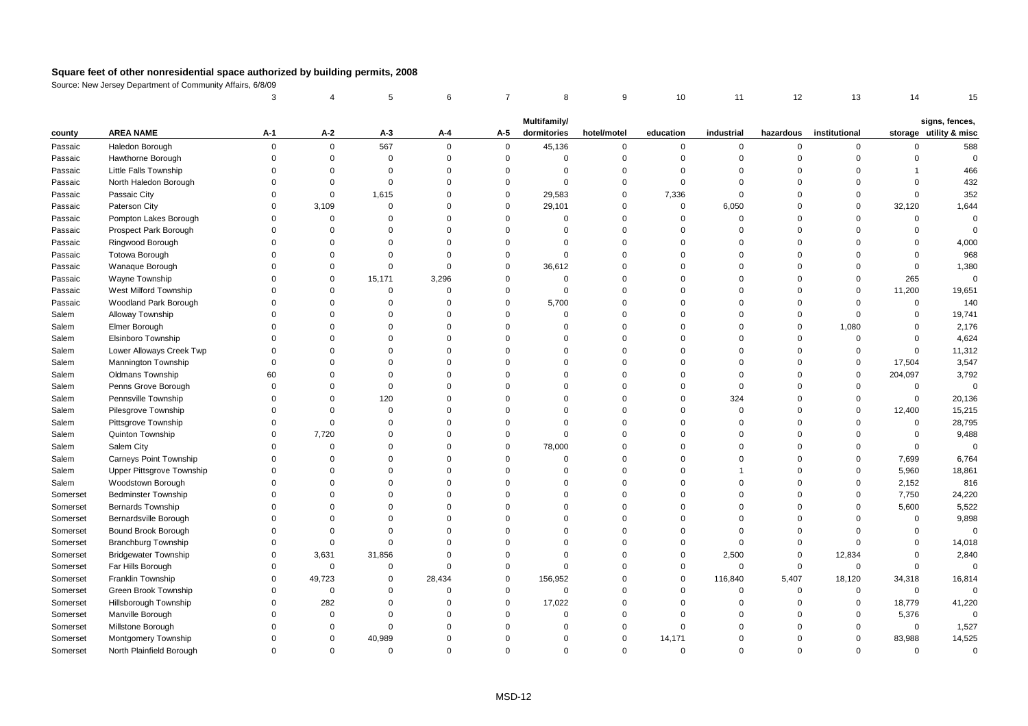|          |                               | 3           |             | 5           | 6        | $\overline{7}$ | 8            | 9           | 10          | 11          | 12             | 13            | 14           | 15                     |
|----------|-------------------------------|-------------|-------------|-------------|----------|----------------|--------------|-------------|-------------|-------------|----------------|---------------|--------------|------------------------|
|          |                               |             |             |             |          |                | Multifamily/ |             |             |             |                |               |              | signs, fences,         |
| county   | <b>AREA NAME</b>              | A-1         | A-2         | $A-3$       | A-4      | A-5            | dormitories  | hotel/motel | education   | industrial  | hazardous      | institutional |              | storage utility & misc |
| Passaic  | Haledon Borough               | $\mathbf 0$ | $\mathbf 0$ | 567         | $\Omega$ | $\mathbf 0$    | 45,136       | $\mathbf 0$ | 0           | 0           | $\mathbf 0$    | 0             | $\mathbf 0$  | 588                    |
| Passaic  | Hawthorne Borough             | $\Omega$    | $\mathsf 0$ | $\mathbf 0$ | $\Omega$ | $\mathsf 0$    | $\mathbf 0$  | $\mathbf 0$ | $\mathbf 0$ | $\mathbf 0$ | $\mathbf 0$    | $\mathbf 0$   | $\mathsf 0$  | $\mathbf 0$            |
| Passaic  | Little Falls Township         | $\Omega$    | $\Omega$    | $\Omega$    | $\Omega$ | $\Omega$       | $\Omega$     | $\Omega$    | $\Omega$    | $\Omega$    | $\Omega$       | $\Omega$      | $\mathbf{1}$ | 466                    |
| Passaic  | North Haledon Borough         | $\Omega$    | $\mathbf 0$ | $\mathbf 0$ | $\Omega$ | $\mathbf 0$    | $\Omega$     | $\mathbf 0$ | $\Omega$    | $\mathbf 0$ | $\Omega$       | $\Omega$      | $\Omega$     | 432                    |
| Passaic  | Passaic City                  | $\Omega$    | 0           | 1,615       | $\Omega$ | $\mathbf 0$    | 29,583       | $\mathbf 0$ | 7,336       | $\mathbf 0$ | $\Omega$       | $\mathbf 0$   | $\mathsf 0$  | 352                    |
| Passaic  | Paterson City                 | $\Omega$    | 3,109       | $\mathbf 0$ | $\Omega$ | $\mathbf 0$    | 29,101       | $\mathbf 0$ | $\mathsf 0$ | 6,050       | $\overline{0}$ | $\mathbf 0$   | 32,120       | 1,644                  |
| Passaic  | Pompton Lakes Borough         | $\Omega$    | $\Omega$    | $\Omega$    | $\Omega$ | $\mathbf 0$    | $\Omega$     | $\mathbf 0$ | $\Omega$    | $\mathbf 0$ | $\Omega$       | $\Omega$      | $\mathbf 0$  | $\mathbf 0$            |
| Passaic  | Prospect Park Borough         | $\Omega$    | $\Omega$    | $\Omega$    | $\Omega$ | $\Omega$       | $\Omega$     | $\mathbf 0$ | $\Omega$    | $\Omega$    | $\Omega$       | $\Omega$      | $\Omega$     | $\Omega$               |
| Passaic  | Ringwood Borough              | $\Omega$    | $\Omega$    | $\Omega$    | $\Omega$ | $\Omega$       | $\mathbf 0$  | $\mathbf 0$ | $\Omega$    | $\Omega$    | $\Omega$       | $\Omega$      | $\mathbf 0$  | 4,000                  |
| Passaic  | <b>Totowa Borough</b>         | $\Omega$    | $\Omega$    | $\Omega$    | $\Omega$ | $\mathbf 0$    | $\mathbf 0$  | $\mathbf 0$ | $\Omega$    | $\mathbf 0$ | $\Omega$       | $\Omega$      | $\mathbf 0$  | 968                    |
| Passaic  | Wanaque Borough               | $\Omega$    | $\Omega$    | $\Omega$    | $\Omega$ | $\mathbf 0$    | 36,612       | $\mathbf 0$ | $\Omega$    | $\Omega$    | $\Omega$       | $\Omega$      | $\mathsf 0$  | 1,380                  |
| Passaic  | Wayne Township                | $\Omega$    | $\Omega$    | 15,171      | 3,296    | $\mathbf 0$    | $\mathbf 0$  | $\mathbf 0$ | $\Omega$    | $\Omega$    | $\Omega$       | $\Omega$      | 265          | $\mathbf 0$            |
| Passaic  | West Milford Township         | $\Omega$    | $\Omega$    | $\Omega$    | $\Omega$ | $\Omega$       | $\Omega$     | $\mathbf 0$ | $\Omega$    | $\Omega$    | $\Omega$       | $\mathbf 0$   | 11,200       | 19,651                 |
| Passaic  | Woodland Park Borough         | $\Omega$    | $\Omega$    | $\Omega$    | $\Omega$ | $\Omega$       | 5,700        | $\mathbf 0$ | $\Omega$    | $\Omega$    | $\Omega$       | $\Omega$      | $\mathbf 0$  | 140                    |
| Salem    | Alloway Township              | $\Omega$    | $\Omega$    | $\Omega$    | $\Omega$ | $\mathbf 0$    | $\Omega$     | $\mathbf 0$ | $\Omega$    | $\Omega$    | $\Omega$       | $\Omega$      | $\mathbf 0$  | 19,741                 |
| Salem    | Elmer Borough                 | $\Omega$    | $\Omega$    | $\Omega$    | $\Omega$ | $\Omega$       | $\Omega$     | $\mathbf 0$ | $\Omega$    | $\Omega$    | $\overline{0}$ | 1,080         | $\Omega$     | 2,176                  |
| Salem    | Elsinboro Township            | $\Omega$    | $\Omega$    | $\Omega$    | $\Omega$ | $\Omega$       | $\Omega$     | $\mathbf 0$ | $\Omega$    | 0           | $\overline{0}$ | $\mathbf 0$   | $\mathbf 0$  | 4,624                  |
| Salem    | Lower Alloways Creek Twp      | $\Omega$    | $\Omega$    | $\Omega$    | $\Omega$ | $\Omega$       | $\Omega$     | $\mathbf 0$ | $\Omega$    | $\Omega$    | $\Omega$       | $\Omega$      | $\mathbf 0$  | 11,312                 |
| Salem    | Mannington Township           | $\Omega$    | $\Omega$    | $\Omega$    | $\Omega$ | $\Omega$       | $\Omega$     | $\mathbf 0$ | $\Omega$    | $\Omega$    | $\Omega$       | $\mathbf 0$   | 17,504       | 3,547                  |
| Salem    | Oldmans Township              | 60          | $\Omega$    | $\Omega$    | $\Omega$ | $\Omega$       | $\Omega$     | $\mathbf 0$ | $\Omega$    | $\mathbf 0$ | $\Omega$       | $\mathbf 0$   | 204,097      | 3,792                  |
| Salem    | Penns Grove Borough           | $\Omega$    | $\Omega$    | $\Omega$    | $\Omega$ | $\Omega$       | $\Omega$     | $\mathbf 0$ | $\Omega$    | $\mathbf 0$ | $\Omega$       | $\Omega$      | 0            | $\mathbf 0$            |
| Salem    | Pennsville Township           | $\Omega$    | $\Omega$    | 120         | $\Omega$ | $\Omega$       | $\Omega$     | $\mathbf 0$ | $\Omega$    | 324         | $\Omega$       | $\Omega$      | $\mathsf 0$  | 20,136                 |
| Salem    | Pilesgrove Township           | $\Omega$    | $\mathbf 0$ | $\mathbf 0$ | $\Omega$ | $\Omega$       | $\Omega$     | $\mathbf 0$ | $\Omega$    | $\mathbf 0$ | $\Omega$       | $\mathbf 0$   | 12,400       | 15,215                 |
| Salem    | Pittsgrove Township           | $\Omega$    | $\mathsf 0$ | $\Omega$    | $\Omega$ | $\Omega$       | $\Omega$     | $\mathbf 0$ | $\Omega$    | $\Omega$    | $\Omega$       | $\Omega$      | $\mathsf 0$  | 28,795                 |
| Salem    | Quinton Township              | $\Omega$    | 7,720       | $\Omega$    | $\Omega$ | $\mathbf 0$    | $\Omega$     | $\mathbf 0$ | $\Omega$    | $\mathbf 0$ | $\Omega$       | $\Omega$      | $\mathbf 0$  | 9,488                  |
| Salem    | Salem City                    | $\Omega$    | $\mathbf 0$ | $\Omega$    | $\Omega$ | $\mathbf 0$    | 78,000       | $\mathbf 0$ | $\Omega$    | $\mathbf 0$ | $\Omega$       | $\Omega$      | $\mathbf 0$  | $\Omega$               |
| Salem    | <b>Carneys Point Township</b> | $\Omega$    | $\Omega$    | $\Omega$    | $\Omega$ | $\Omega$       | $\mathbf 0$  | $\mathbf 0$ | $\Omega$    | $\Omega$    | $\Omega$       | $\mathbf 0$   | 7,699        | 6,764                  |
| Salem    | Upper Pittsgrove Township     | $\Omega$    | $\Omega$    | $\Omega$    | $\Omega$ | $\Omega$       | $\Omega$     | $\mathbf 0$ | $\Omega$    | 1           | $\Omega$       | $\mathbf 0$   | 5,960        | 18,861                 |
| Salem    | Woodstown Borough             | $\Omega$    | $\Omega$    | $\Omega$    | $\Omega$ | $\Omega$       | $\Omega$     | $\mathbf 0$ | $\Omega$    | $\Omega$    | $\Omega$       | $\Omega$      | 2,152        | 816                    |
| Somerset | <b>Bedminster Township</b>    | $\Omega$    | $\Omega$    | $\Omega$    | $\Omega$ | $\Omega$       | $\Omega$     | $\mathbf 0$ | $\Omega$    | $\Omega$    | $\Omega$       | $\Omega$      | 7,750        | 24,220                 |
| Somerset | Bernards Township             | $\Omega$    | $\Omega$    | $\mathbf 0$ | $\Omega$ | $\Omega$       | $\Omega$     | $\mathbf 0$ | $\Omega$    | 0           | $\overline{0}$ | $\mathbf 0$   | 5,600        | 5,522                  |
| Somerset | Bernardsville Borough         | $\Omega$    | $\Omega$    | $\Omega$    | $\Omega$ | $\Omega$       | $\Omega$     | $\mathbf 0$ | $\Omega$    | $\Omega$    | $\Omega$       | $\Omega$      | $\mathbf 0$  | 9,898                  |
| Somerset | Bound Brook Borough           | $\Omega$    | $\Omega$    | $\Omega$    | $\Omega$ | $\Omega$       | $\Omega$     | $\mathbf 0$ | $\Omega$    | $\mathbf 0$ | $\Omega$       | $\Omega$      | $\Omega$     | $\Omega$               |
| Somerset | <b>Branchburg Township</b>    | $\Omega$    | $\mathsf 0$ | $\Omega$    | $\Omega$ | $\Omega$       | $\Omega$     | $\mathbf 0$ | $\Omega$    | $\Omega$    | $\mathbf 0$    | $\Omega$      | $\Omega$     | 14,018                 |
| Somerset | <b>Bridgewater Township</b>   | $\Omega$    | 3,631       | 31,856      | $\Omega$ | $\Omega$       | $\Omega$     | $\mathbf 0$ | $\mathbf 0$ | 2,500       | $\mathbf 0$    | 12,834        | $\Omega$     | 2,840                  |
| Somerset | Far Hills Borough             | $\Omega$    | $\mathbf 0$ | $\mathbf 0$ | $\Omega$ | $\mathbf 0$    | $\Omega$     | $\mathbf 0$ | $\mathbf 0$ | $\mathbf 0$ | $\mathbf 0$    | $\mathbf 0$   | $\mathbf 0$  | $\Omega$               |
| Somerset | <b>Franklin Township</b>      | $\Omega$    | 49,723      | $\Omega$    | 28,434   | $\Omega$       | 156,952      | $\mathbf 0$ | $\Omega$    | 116,840     | 5,407          | 18,120        | 34,318       | 16,814                 |
| Somerset | Green Brook Township          | $\Omega$    | $\mathsf 0$ | $\Omega$    | $\Omega$ | $\mathbf 0$    | $\mathbf 0$  | $\mathbf 0$ | $\Omega$    | $\mathbf 0$ | $\overline{0}$ | $\mathbf 0$   | $\mathsf 0$  | $\Omega$               |
| Somerset | Hillsborough Township         | $\Omega$    | 282         | $\Omega$    | $\Omega$ | $\Omega$       | 17,022       | $\mathbf 0$ | $\Omega$    | $\mathbf 0$ | $\Omega$       | $\mathbf 0$   | 18,779       | 41,220                 |
| Somerset | Manville Borough              | $\Omega$    | $\Omega$    | $\Omega$    | $\Omega$ | $\Omega$       | $\Omega$     | $\mathbf 0$ | $\Omega$    | $\Omega$    | $\Omega$       | $\Omega$      | 5,376        | $\mathbf 0$            |
| Somerset | Millstone Borough             | $\Omega$    | $\mathbf 0$ | $\mathbf 0$ | $\Omega$ | $\Omega$       | $\Omega$     | $\mathbf 0$ | $\Omega$    | $\Omega$    | $\Omega$       | $\Omega$      | 0            | 1,527                  |
| Somerset | Montgomery Township           | $\Omega$    | $\Omega$    | 40,989      | $\Omega$ | $\Omega$       | $\Omega$     | $\mathbf 0$ | 14,171      | $\Omega$    | $\Omega$       | $\mathbf 0$   | 83,988       | 14,525                 |
| Somerset | North Plainfield Borough      | $\Omega$    | $\Omega$    | $\Omega$    | $\Omega$ | $\Omega$       | $\Omega$     | $\Omega$    | $\Omega$    | $\Omega$    | $\Omega$       | $\Omega$      | $\Omega$     | $\Omega$               |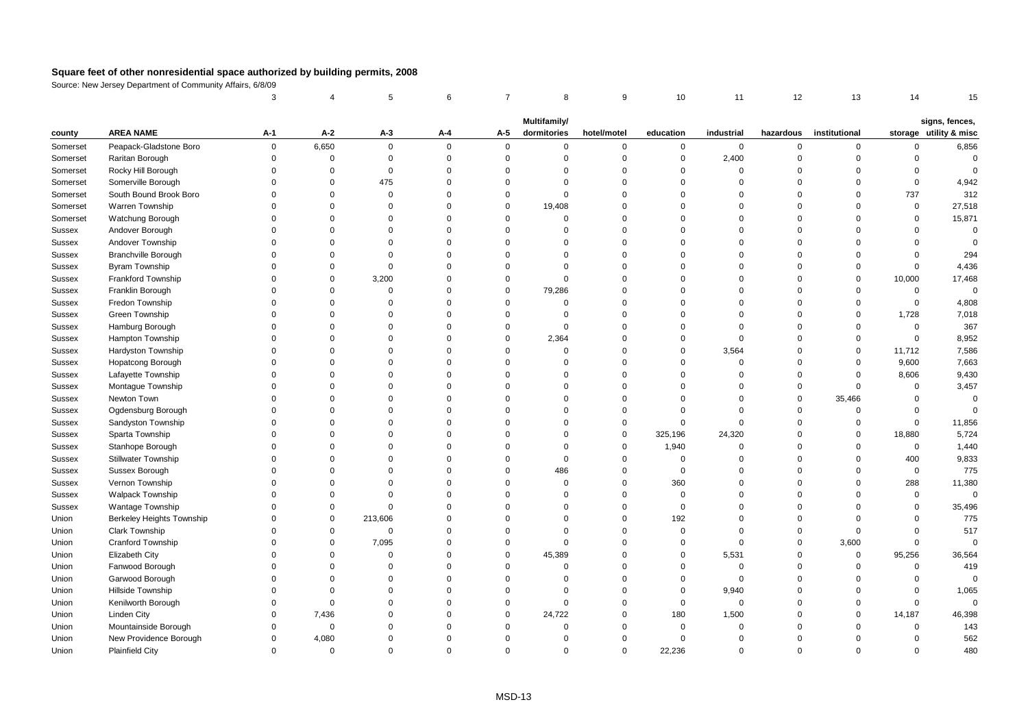|          |                            | 3            |             | 5           | 6        | $\overline{7}$ | 8           | 9           | 10          | 11          | 12             | 13            | 14                  | 15                     |
|----------|----------------------------|--------------|-------------|-------------|----------|----------------|-------------|-------------|-------------|-------------|----------------|---------------|---------------------|------------------------|
|          |                            | Multifamily/ |             |             |          |                |             |             |             |             |                |               |                     | signs, fences,         |
| county   | <b>AREA NAME</b>           | $A-1$        | $A-2$       | $A-3$       | A-4      | A-5            | dormitories | hotel/motel | education   | industrial  | hazardous      | institutional |                     | storage utility & misc |
| Somerset | Peapack-Gladstone Boro     | 0            | 6,650       | $\mathbf 0$ | $\Omega$ | $\mathbf 0$    | $\mathbf 0$ | $\mathbf 0$ | 0           | $\mathbf 0$ | $\mathbf 0$    | $\mathbf 0$   | $\mathbf 0$         | 6,856                  |
| Somerset | Raritan Borough            | $\Omega$     | $\mathsf 0$ | $\mathbf 0$ | $\Omega$ | $\mathsf 0$    | $\mathbf 0$ | $\mathbf 0$ | $\mathbf 0$ | 2,400       | $\mathbf 0$    | $\mathbf 0$   | $\mathsf 0$         | $\mathbf 0$            |
| Somerset | Rocky Hill Borough         | $\Omega$     | $\Omega$    | $\Omega$    | $\Omega$ | $\Omega$       | $\Omega$    | $\mathbf 0$ | $\mathbf 0$ | $\Omega$    | $\Omega$       | $\Omega$      | $\Omega$            | $\Omega$               |
| Somerset | Somerville Borough         | $\Omega$     | $\Omega$    | 475         | $\Omega$ | $\Omega$       | $\Omega$    | $\mathbf 0$ | $\Omega$    | $\Omega$    | $\Omega$       | $\Omega$      | $\mathbf 0$         | 4,942                  |
| Somerset | South Bound Brook Boro     | $\Omega$     | $\mathbf 0$ | $\mathbf 0$ | $\Omega$ | $\mathbf 0$    | $\Omega$    | $\mathbf 0$ | $\Omega$    | $\mathbf 0$ | $\Omega$       | $\Omega$      | 737                 | 312                    |
| Somerset | Warren Township            | $\Omega$     | $\Omega$    | $\Omega$    | $\Omega$ | $\mathbf 0$    | 19,408      | $\mathbf 0$ | $\Omega$    | $\Omega$    | $\Omega$       | $\Omega$      | $\mathsf 0$         | 27,518                 |
| Somerset | Watchung Borough           | $\mathbf 0$  | $\Omega$    | $\mathbf 0$ | $\Omega$ | $\mathbf 0$    | $\mathbf 0$ | $\mathbf 0$ | $\mathbf 0$ | 0           | $\overline{0}$ | $\Omega$      | $\mathbf 0$         | 15,871                 |
| Sussex   | Andover Borough            | $\Omega$     | $\Omega$    | $\Omega$    | $\Omega$ | $\Omega$       | $\Omega$    | $\mathbf 0$ | $\Omega$    | $\Omega$    | $\Omega$       | $\Omega$      | $\Omega$            | $\mathbf 0$            |
| Sussex   | Andover Township           | $\Omega$     | $\Omega$    | $\Omega$    | $\Omega$ | $\Omega$       | $\Omega$    | $\mathbf 0$ | $\Omega$    | $\Omega$    | $\Omega$       | $\Omega$      | $\Omega$            | $\Omega$               |
| Sussex   | <b>Branchville Borough</b> | $\Omega$     | $\Omega$    | $\Omega$    | $\Omega$ | $\Omega$       | $\Omega$    | $\mathbf 0$ | $\Omega$    | $\mathbf 0$ | $\Omega$       | $\Omega$      | $\Omega$            | 294                    |
| Sussex   | <b>Byram Township</b>      | $\Omega$     | $\Omega$    | $\Omega$    | $\Omega$ | $\Omega$       | $\Omega$    | $\mathbf 0$ | $\Omega$    | $\Omega$    | $\Omega$       | $\mathbf 0$   | $\mathsf 0$         | 4,436                  |
| Sussex   | Frankford Township         | $\Omega$     | $\Omega$    | 3,200       | $\Omega$ | $\Omega$       | $\Omega$    | $\mathbf 0$ | $\Omega$    | $\Omega$    | $\Omega$       | $\Omega$      | 10,000              | 17,468                 |
| Sussex   | Franklin Borough           | $\Omega$     | $\Omega$    | $\Omega$    | $\Omega$ | $\mathbf 0$    | 79,286      | $\mathbf 0$ | $\Omega$    | $\Omega$    | $\Omega$       | $\Omega$      | $\mathbf 0$         | $\mathsf 0$            |
| Sussex   | Fredon Township            | $\Omega$     | $\Omega$    | $\Omega$    | $\Omega$ | $\Omega$       | $\mathbf 0$ | $\mathbf 0$ | $\Omega$    | $\Omega$    | $\Omega$       | $\Omega$      | $\mathsf 0$         | 4,808                  |
| Sussex   | Green Township             | $\Omega$     | $\Omega$    | $\Omega$    | $\Omega$ | $\mathbf 0$    | $\Omega$    | $\mathbf 0$ | $\Omega$    | $\mathbf 0$ | $\Omega$       | $\Omega$      | 1,728               | 7,018                  |
| Sussex   | Hamburg Borough            | $\Omega$     | $\Omega$    | $\Omega$    | $\Omega$ | $\mathbf 0$    | $\Omega$    | $\mathbf 0$ | $\Omega$    | $\mathbf 0$ | $\Omega$       | $\Omega$      | $\mathbf 0$         | 367                    |
| Sussex   | Hampton Township           | $\Omega$     | $\Omega$    | $\Omega$    | $\Omega$ | $\mathbf 0$    | 2,364       | $\mathbf 0$ | $\Omega$    | $\mathbf 0$ | $\Omega$       | $\mathbf 0$   | $\mathsf 0$         | 8,952                  |
| Sussex   | Hardyston Township         | $\Omega$     | $\Omega$    | $\Omega$    | $\Omega$ | $\Omega$       | $\Omega$    | $\mathbf 0$ | $\mathbf 0$ | 3,564       | $\Omega$       | $\mathbf 0$   | 11,712              | 7,586                  |
| Sussex   | Hopatcong Borough          | $\Omega$     | $\Omega$    | $\Omega$    | $\Omega$ | $\Omega$       | $\Omega$    | $\Omega$    | $\Omega$    | $\Omega$    | $\Omega$       | $\Omega$      | 9,600               | 7,663                  |
| Sussex   | Lafayette Township         | $\Omega$     | $\Omega$    | $\Omega$    | $\Omega$ | $\Omega$       | $\Omega$    | $\Omega$    | $\Omega$    | $\mathbf 0$ | $\Omega$       | $\Omega$      | 8,606               | 9,430                  |
| Sussex   | Montague Township          | $\Omega$     | $\Omega$    | $\Omega$    | $\Omega$ | $\Omega$       | $\Omega$    | $\mathbf 0$ | $\Omega$    | 0           | $\overline{0}$ | $\mathbf 0$   | 0                   | 3,457                  |
| Sussex   | Newton Town                | $\Omega$     | $\Omega$    | $\Omega$    | $\Omega$ | $\Omega$       | $\Omega$    | $\mathbf 0$ | $\Omega$    | $\mathbf 0$ | $\overline{0}$ | 35,466        | $\mathsf 0$         | $\mathbf 0$            |
| Sussex   | Ogdensburg Borough         | $\Omega$     | $\Omega$    | $\Omega$    | $\Omega$ | $\Omega$       | $\Omega$    | $\mathbf 0$ | $\Omega$    | $\mathbf 0$ | $\Omega$       | $\Omega$      | $\mathbf 0$         | $\Omega$               |
| Sussex   | Sandyston Township         | $\Omega$     | $\Omega$    | $\Omega$    | $\Omega$ | $\Omega$       | $\Omega$    | $\mathbf 0$ | $\Omega$    | $\mathbf 0$ | $\Omega$       | $\mathbf 0$   | $\mathbf 0$         | 11,856                 |
| Sussex   | Sparta Township            | $\Omega$     | $\Omega$    | $\Omega$    | $\Omega$ | $\Omega$       | $\Omega$    | $\mathbf 0$ | 325,196     | 24,320      | $\Omega$       | $\Omega$      | 18,880              | 5,724                  |
| Sussex   | Stanhope Borough           | $\Omega$     | $\Omega$    | $\mathbf 0$ | $\Omega$ | $\Omega$       | $\Omega$    | $\mathbf 0$ | 1,940       | $\mathbf 0$ | $\overline{0}$ | $\mathbf 0$   | $\mathsf 0$         | 1,440                  |
| Sussex   | <b>Stillwater Township</b> | $\Omega$     | $\Omega$    | $\Omega$    | $\Omega$ | $\Omega$       | $\Omega$    | $\mathbf 0$ | $\mathbf 0$ | $\Omega$    | $\Omega$       | $\Omega$      | 400                 | 9,833                  |
| Sussex   | Sussex Borough             | $\Omega$     | $\Omega$    | $\Omega$    | $\Omega$ | $\Omega$       | 486         | $\mathbf 0$ | $\mathbf 0$ | $\mathbf 0$ | $\Omega$       | $\Omega$      | 0                   | 775                    |
| Sussex   | Vernon Township            | $\Omega$     | $\Omega$    | $\Omega$    | $\Omega$ | $\Omega$       | $\Omega$    | $\mathbf 0$ | 360         | $\Omega$    | $\Omega$       | $\Omega$      | 288                 | 11,380                 |
| Sussex   | <b>Walpack Township</b>    | $\Omega$     | $\Omega$    | $\Omega$    | $\Omega$ | $\Omega$       | $\Omega$    | $\mathbf 0$ | $\mathbf 0$ | $\Omega$    | $\Omega$       | $\Omega$      | $\mathsf 0$         | $\mathbf 0$            |
| Sussex   | Wantage Township           | $\Omega$     | $\Omega$    | $\Omega$    | $\Omega$ | $\Omega$       | $\Omega$    | $\mathbf 0$ | $\mathbf 0$ | $\Omega$    | $\Omega$       | $\Omega$      | $\mathbf 0$         | 35,496                 |
| Union    | Berkeley Heights Township  | $\Omega$     | $\Omega$    | 213,606     | $\Omega$ | $\Omega$       | $\Omega$    | $\mathbf 0$ | 192         | $\mathbf 0$ | $\Omega$       | $\Omega$      | $\Omega$            | 775                    |
| Union    | <b>Clark Township</b>      | $\Omega$     | $\mathbf 0$ | $\mathbf 0$ | $\Omega$ | $\Omega$       | $\Omega$    | $\mathbf 0$ | $\mathbf 0$ | $\mathbf 0$ | $\mathbf 0$    | $\Omega$      | 0                   | 517                    |
| Union    | Cranford Township          | $\Omega$     | $\mathbf 0$ | 7,095       | $\Omega$ | $\mathbf 0$    | $\Omega$    | $\mathbf 0$ | $\mathbf 0$ | $\mathbf 0$ | $\overline{0}$ | 3,600         | $\mathsf 0$         | $\mathsf 0$            |
| Union    | Elizabeth City             | $\Omega$     | $\Omega$    | $\Omega$    | $\Omega$ | $\mathbf 0$    | 45,389      | $\mathbf 0$ | $\Omega$    | 5,531       | $\Omega$       | $\mathbf 0$   | 95,256              | 36,564                 |
| Union    | Fanwood Borough            | $\Omega$     | $\Omega$    | $\Omega$    | $\Omega$ | $\Omega$       | $\Omega$    | $\mathbf 0$ | $\Omega$    | $\mathbf 0$ | $\Omega$       | $\mathbf 0$   | 0                   | 419                    |
| Union    | Garwood Borough            | $\Omega$     | $\Omega$    | $\Omega$    | $\Omega$ | $\mathbf 0$    | $\Omega$    | $\mathbf 0$ | $\mathbf 0$ | $\mathbf 0$ | $\Omega$       | $\Omega$      | $\mathsf 0$         | $\mathbf 0$            |
| Union    | Hillside Township          | $\Omega$     | $\Omega$    | $\Omega$    | $\Omega$ | $\Omega$       | $\mathbf 0$ | $\mathbf 0$ | $\mathbf 0$ | 9,940       | $\overline{0}$ | $\Omega$      | $\mathsf{O}\xspace$ | 1,065                  |
| Union    | Kenilworth Borough         | $\Omega$     | $\Omega$    | $\Omega$    | $\Omega$ | $\Omega$       | $\Omega$    | $\mathbf 0$ | $\mathbf 0$ | $\mathbf 0$ | $\Omega$       | $\Omega$      | $\mathbf 0$         | $\mathbf 0$            |
| Union    | <b>Linden City</b>         | $\Omega$     | 7,436       | $\Omega$    | $\Omega$ | $\mathbf 0$    | 24,722      | $\mathbf 0$ | 180         | 1,500       | $\Omega$       | $\mathbf 0$   | 14,187              | 46,398                 |
| Union    | Mountainside Borough       | $\Omega$     | $\mathsf 0$ | $\Omega$    | $\Omega$ | $\Omega$       | $\Omega$    | $\mathbf 0$ | $\mathbf 0$ | $\mathbf 0$ | $\Omega$       | $\Omega$      | $\mathsf 0$         | 143                    |
| Union    | New Providence Borough     | $\mathbf 0$  | 4,080       | $\Omega$    | $\Omega$ | $\Omega$       | $\Omega$    | $\mathbf 0$ | $\mathbf 0$ | $\mathbf 0$ | $\Omega$       | $\Omega$      | $\mathsf 0$         | 562                    |
| Union    | <b>Plainfield City</b>     | $\Omega$     | $\Omega$    | $\Omega$    | $\Omega$ | $\Omega$       | $\Omega$    | $\Omega$    | 22,236      | $\Omega$    | $\Omega$       | $\Omega$      | $\Omega$            | 480                    |